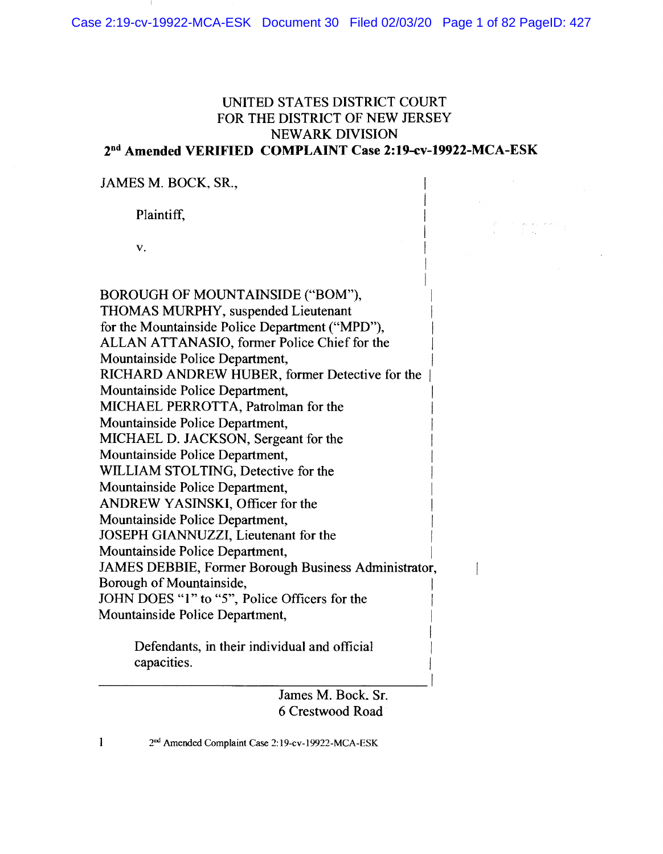# **UNITED STATES DISTRICT COURT** FOR THE DISTRICT OF NEW JERSEY **NEWARK DIVISION** 2<sup>nd</sup> Amended VERIFIED COMPLAINT Case 2:19-cv-19922-MCA-ESK

JAMES M. BOCK, SR.,

Plaintiff,

V.

BOROUGH OF MOUNTAINSIDE ("BOM"), THOMAS MURPHY, suspended Lieutenant for the Mountainside Police Department ("MPD"). ALLAN ATTANASIO, former Police Chief for the Mountainside Police Department, RICHARD ANDREW HUBER, former Detective for the Mountainside Police Department, MICHAEL PERROTTA, Patrolman for the Mountainside Police Department, MICHAEL D. JACKSON, Sergeant for the Mountainside Police Department, WILLIAM STOLTING, Detective for the Mountainside Police Department. ANDREW YASINSKI, Officer for the Mountainside Police Department, JOSEPH GIANNUZZI, Lieutenant for the Mountainside Police Department, JAMES DEBBIE, Former Borough Business Administrator, Borough of Mountainside. JOHN DOES "1" to "5", Police Officers for the Mountainside Police Department, Defendants, in their individual and official capacities.

> James M. Bock, Sr. 6 Crestwood Road

 $\overline{\phantom{a}}$ 

2<sup>nd</sup> Amended Complaint Case 2:19-cv-19922-MCA-ESK

 $\mathbf{1}$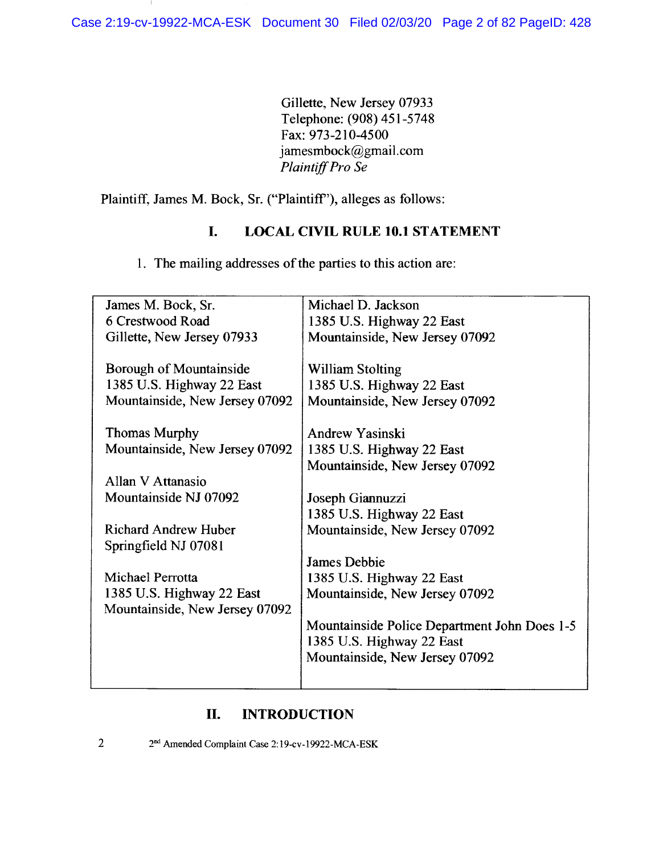Gillette, New Jersey 07933 Telephone: (908) 451-5748 Fax: 973-210-4500 jamesmbock@gmail.com Plaintiff Pro Se

Plaintiff, James M. Bock, Sr. ("Plaintiff"), alleges as follows:

### I. **LOCAL CIVIL RULE 10.1 STATEMENT**

1. The mailing addresses of the parties to this action are:

| James M. Bock, Sr.             | Michael D. Jackson                           |
|--------------------------------|----------------------------------------------|
| 6 Crestwood Road               | 1385 U.S. Highway 22 East                    |
| Gillette, New Jersey 07933     | Mountainside, New Jersey 07092               |
|                                |                                              |
| Borough of Mountainside        | <b>William Stolting</b>                      |
| 1385 U.S. Highway 22 East      | 1385 U.S. Highway 22 East                    |
| Mountainside, New Jersey 07092 | Mountainside, New Jersey 07092               |
|                                |                                              |
| <b>Thomas Murphy</b>           | Andrew Yasinski                              |
| Mountainside, New Jersey 07092 | 1385 U.S. Highway 22 East                    |
|                                | Mountainside, New Jersey 07092               |
| Allan V Attanasio              |                                              |
| Mountainside NJ 07092          | Joseph Giannuzzi                             |
|                                | 1385 U.S. Highway 22 East                    |
| <b>Richard Andrew Huber</b>    | Mountainside, New Jersey 07092               |
| Springfield NJ 07081           |                                              |
|                                | <b>James Debbie</b>                          |
| Michael Perrotta               | 1385 U.S. Highway 22 East                    |
| 1385 U.S. Highway 22 East      | Mountainside, New Jersey 07092               |
| Mountainside, New Jersey 07092 |                                              |
|                                | Mountainside Police Department John Does 1-5 |
|                                | 1385 U.S. Highway 22 East                    |
|                                | Mountainside, New Jersey 07092               |
|                                |                                              |
|                                |                                              |

### **INTRODUCTION** II.

 $\overline{2}$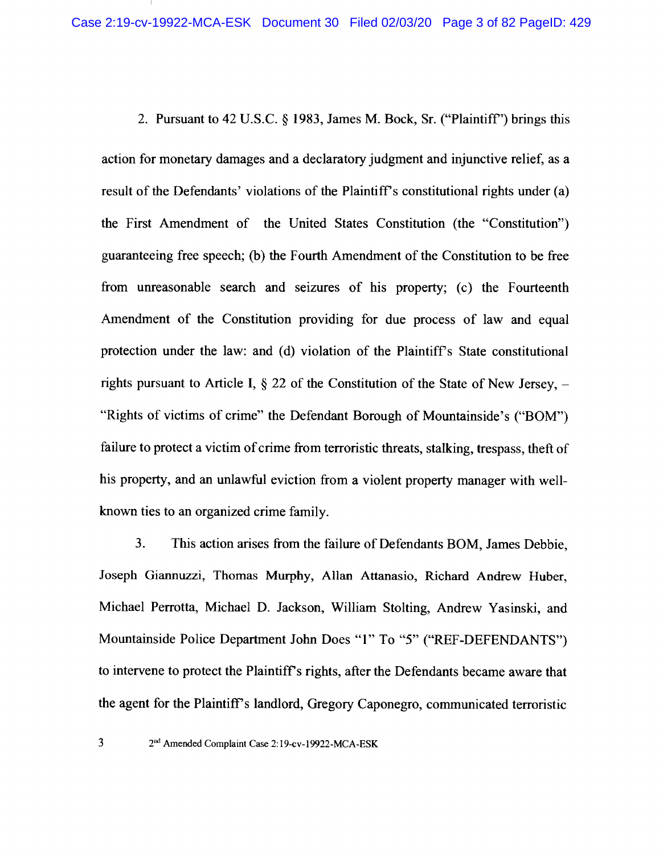2. Pursuant to 42 U.S.C. § 1983, James M. Bock, Sr. ("Plaintiff") brings this action for monetary damages and a declaratory judgment and injunctive relief, as a result of the Defendants' violations of the Plaintiff's constitutional rights under (a) the First Amendment of the United States Constitution (the "Constitution") guaranteeing free speech; (b) the Fourth Amendment of the Constitution to be free from unreasonable search and seizures of his property; (c) the Fourteenth Amendment of the Constitution providing for due process of law and equal protection under the law: and (d) violation of the Plaintiff's State constitutional rights pursuant to Article I,  $\S$  22 of the Constitution of the State of New Jersey,  $-$ "Rights of victims of crime" the Defendant Borough of Mountainside's ("BOM") failure to protect a victim of crime from terroristic threats, stalking, trespass, theft of his property, and an unlawful eviction from a violent property manager with wellknown ties to an organized crime family.

3. This action arises from the failure of Defendants BOM, James Debbie, Joseph Giannuzzi, Thomas Murphy, Allan Attanasio, Richard Andrew Huber, Michael Perrotta, Michael D. Jackson, William Stolting, Andrew Yasinski, and Mountainside Police Department John Does "1" To "5" ("REF-DEFENDANTS") to intervene to protect the Plaintiff's rights, after the Defendants became aware that the agent for the Plaintiff's landlord, Gregory Caponegro, communicated terroristic

 $\overline{\mathbf{3}}$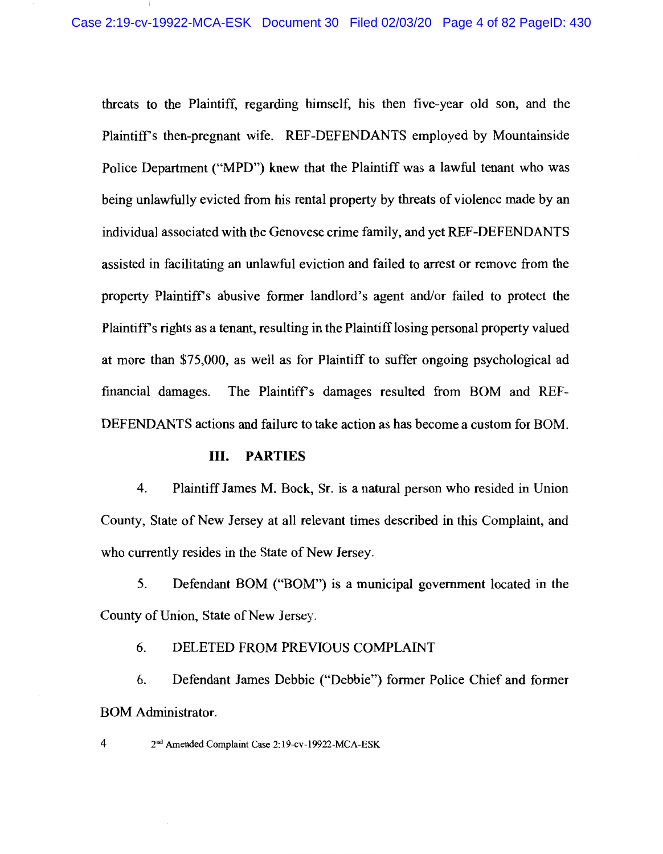threats to the Plaintiff, regarding himself, his then five-year old son, and the Plaintiff's then-pregnant wife. REF-DEFENDANTS employed by Mountainside Police Department ("MPD") knew that the Plaintiff was a lawful tenant who was being unlawfully evicted from his rental property by threats of violence made by an individual associated with the Genovese crime family, and yet REF-DEFENDANTS assisted in facilitating an unlawful eviction and failed to arrest or remove from the property Plaintiff's abusive former landlord's agent and/or failed to protect the Plaintiff's rights as a tenant, resulting in the Plaintiff losing personal property valued at more than \$75,000, as well as for Plaintiff to suffer ongoing psychological ad financial damages. The Plaintiff's damages resulted from BOM and REF-DEFENDANTS actions and failure to take action as has become a custom for BOM.

#### Ш. **PARTIES**

4. Plaintiff James M. Bock, Sr. is a natural person who resided in Union County, State of New Jersey at all relevant times described in this Complaint, and who currently resides in the State of New Jersey.

5. Defendant BOM ("BOM") is a municipal government located in the County of Union, State of New Jersey.

6. DELETED FROM PREVIOUS COMPLAINT

6. Defendant James Debbie ("Debbie") former Police Chief and former **BOM** Administrator.

2<sup>nd</sup> Amended Complaint Case 2:19-cv-19922-MCA-ESK

 $\overline{4}$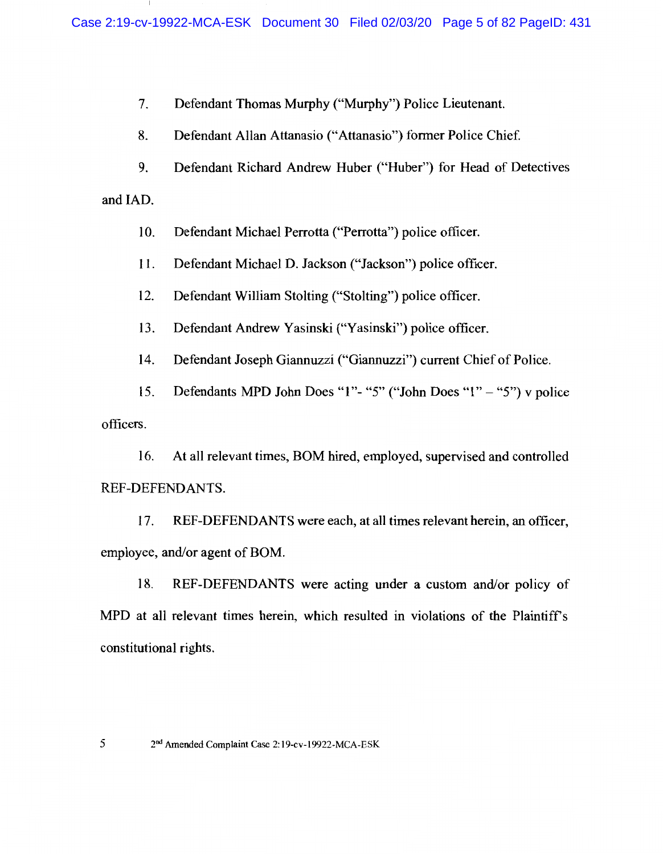7. Defendant Thomas Murphy ("Murphy") Police Lieutenant.

8. Defendant Allan Attanasio ("Attanasio") former Police Chief.

9. Defendant Richard Andrew Huber ("Huber") for Head of Detectives

and IAD.

5

10. Defendant Michael Perrotta ("Perrotta") police officer.

11. Defendant Michael D. Jackson ("Jackson") police officer.

12. Defendant William Stolting ("Stolting") police officer.

13. Defendant Andrew Yasinski ("Yasinski") police officer.

14. Defendant Joseph Giannuzzi ("Giannuzzi") current Chief of Police.

Defendants MPD John Does "1"- "5" ("John Does "1" - "5") v police 15. officers.

16. At all relevant times, BOM hired, employed, supervised and controlled REF-DEFENDANTS.

17. REF-DEFENDANTS were each, at all times relevant herein, an officer, employee, and/or agent of BOM.

18. REF-DEFENDANTS were acting under a custom and/or policy of MPD at all relevant times herein, which resulted in violations of the Plaintiff's constitutional rights.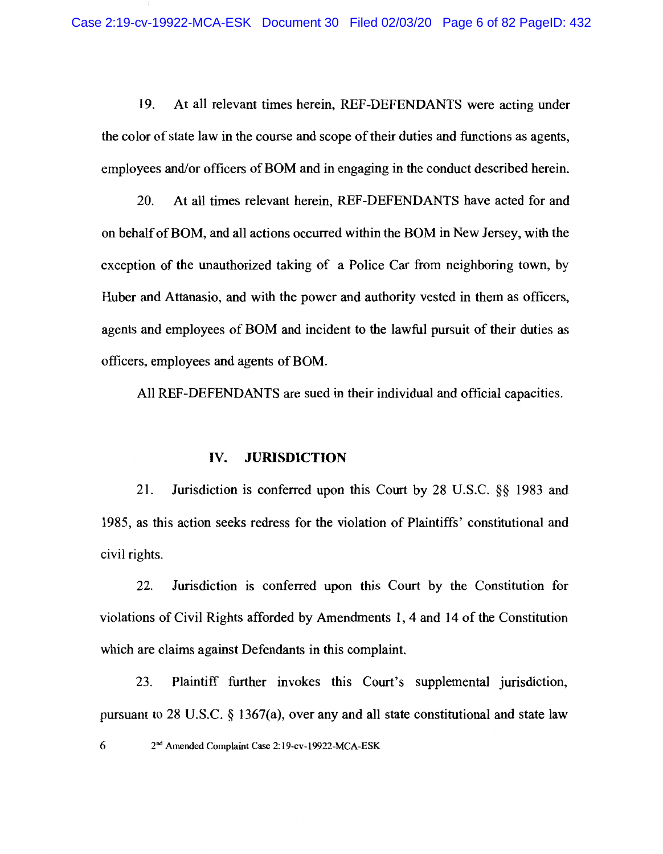19. At all relevant times herein, REF-DEFENDANTS were acting under the color of state law in the course and scope of their duties and functions as agents, employees and/or officers of BOM and in engaging in the conduct described herein.

20. At all times relevant herein, REF-DEFENDANTS have acted for and on behalf of BOM, and all actions occurred within the BOM in New Jersey, with the exception of the unauthorized taking of a Police Car from neighboring town, by Huber and Attanasio, and with the power and authority vested in them as officers, agents and employees of BOM and incident to the lawful pursuit of their duties as officers, employees and agents of BOM.

All REF-DEFENDANTS are sued in their individual and official capacities.

### IV. **JURISDICTION**

21. Jurisdiction is conferred upon this Court by 28 U.S.C. §§ 1983 and 1985, as this action seeks redress for the violation of Plaintiffs' constitutional and civil rights.

22. Jurisdiction is conferred upon this Court by the Constitution for violations of Civil Rights afforded by Amendments 1, 4 and 14 of the Constitution which are claims against Defendants in this complaint.

23. Plaintiff further invokes this Court's supplemental jurisdiction, pursuant to 28 U.S.C.  $\S$  1367(a), over any and all state constitutional and state law

6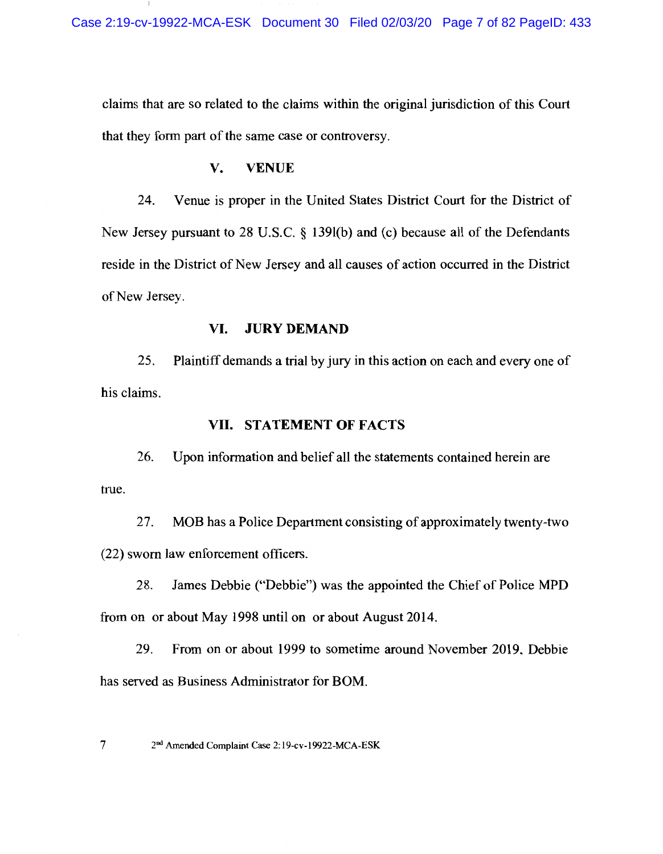claims that are so related to the claims within the original jurisdiction of this Court that they form part of the same case or controversy.

### V. **VENUE**

24. Venue is proper in the United States District Court for the District of New Jersey pursuant to 28 U.S.C. § 139(b) and (c) because all of the Defendants reside in the District of New Jersey and all causes of action occurred in the District of New Jersey.

### VI. **JURY DEMAND**

25. Plaintiff demands a trial by jury in this action on each and every one of his claims.

### VII. STATEMENT OF FACTS

26. Upon information and belief all the statements contained herein are true.

27. MOB has a Police Department consisting of approximately twenty-two (22) sworn law enforcement officers.

28. James Debbie ("Debbie") was the appointed the Chief of Police MPD from on or about May 1998 until on or about August 2014.

29. From on or about 1999 to sometime around November 2019, Debbie has served as Business Administrator for BOM.

 $7\overline{ }$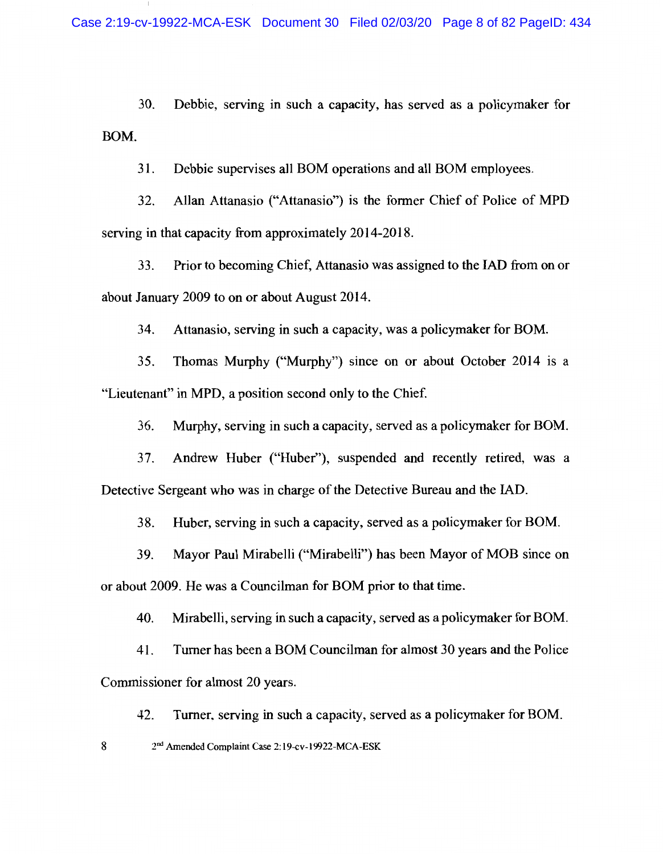30. Debbie, serving in such a capacity, has served as a policymaker for BOM.

 $31.$ Debbie supervises all BOM operations and all BOM employees.

32. Allan Attanasio ("Attanasio") is the former Chief of Police of MPD serving in that capacity from approximately 2014-2018.

33. Prior to becoming Chief, Attanasio was assigned to the IAD from on or about January 2009 to on or about August 2014.

34. Attanasio, serving in such a capacity, was a policymaker for BOM.

35. Thomas Murphy ("Murphy") since on or about October 2014 is a "Lieutenant" in MPD, a position second only to the Chief.

Murphy, serving in such a capacity, served as a policymaker for BOM. 36.

Andrew Huber ("Huber"), suspended and recently retired, was a 37. Detective Sergeant who was in charge of the Detective Bureau and the IAD.

38. Huber, serving in such a capacity, served as a policymaker for BOM.

39. Mayor Paul Mirabelli ("Mirabelli") has been Mayor of MOB since on or about 2009. He was a Councilman for BOM prior to that time.

Mirabelli, serving in such a capacity, served as a policymaker for BOM. 40.

41. Turner has been a BOM Councilman for almost 30 years and the Police Commissioner for almost 20 years.

42. Turner, serving in such a capacity, served as a policymaker for BOM.

8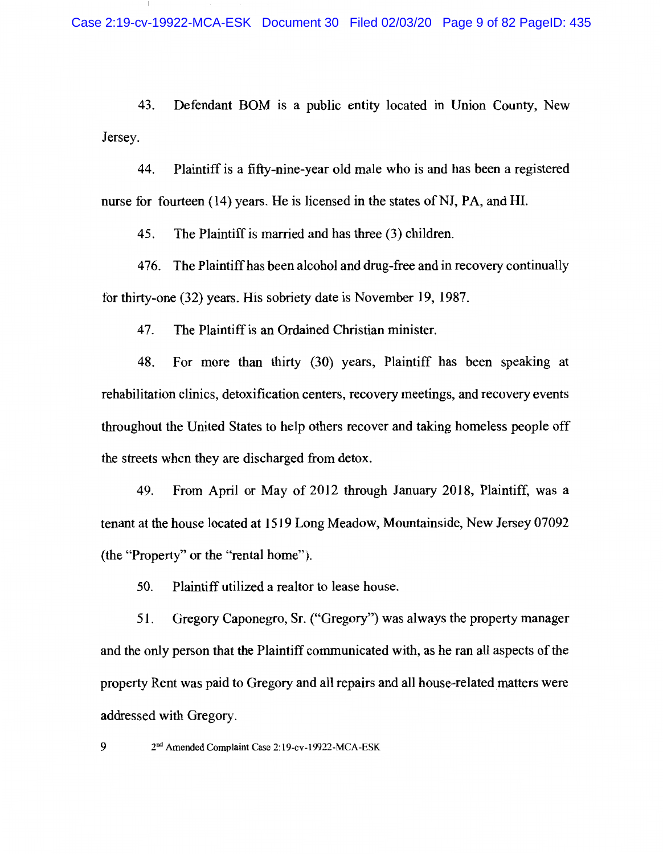43. Defendant BOM is a public entity located in Union County, New Jersey.

Plaintiff is a fifty-nine-year old male who is and has been a registered 44. nurse for fourteen (14) years. He is licensed in the states of NJ, PA, and HI.

45. The Plaintiff is married and has three (3) children.

The Plaintiff has been alcohol and drug-free and in recovery continually 476. for thirty-one (32) years. His sobriety date is November 19, 1987.

47. The Plaintiff is an Ordained Christian minister.

48. For more than thirty (30) years, Plaintiff has been speaking at rehabilitation clinics, detoxification centers, recovery meetings, and recovery events throughout the United States to help others recover and taking homeless people off the streets when they are discharged from detox.

49. From April or May of 2012 through January 2018, Plaintiff, was a tenant at the house located at 1519 Long Meadow, Mountainside, New Jersey 07092 (the "Property" or the "rental home").

Plaintiff utilized a realtor to lease house. 50.

Gregory Caponegro, Sr. ("Gregory") was always the property manager 51. and the only person that the Plaintiff communicated with, as he ran all aspects of the property Rent was paid to Gregory and all repairs and all house-related matters were addressed with Gregory.

2<sup>nd</sup> Amended Complaint Case 2:19-cv-19922-MCA-ESK

9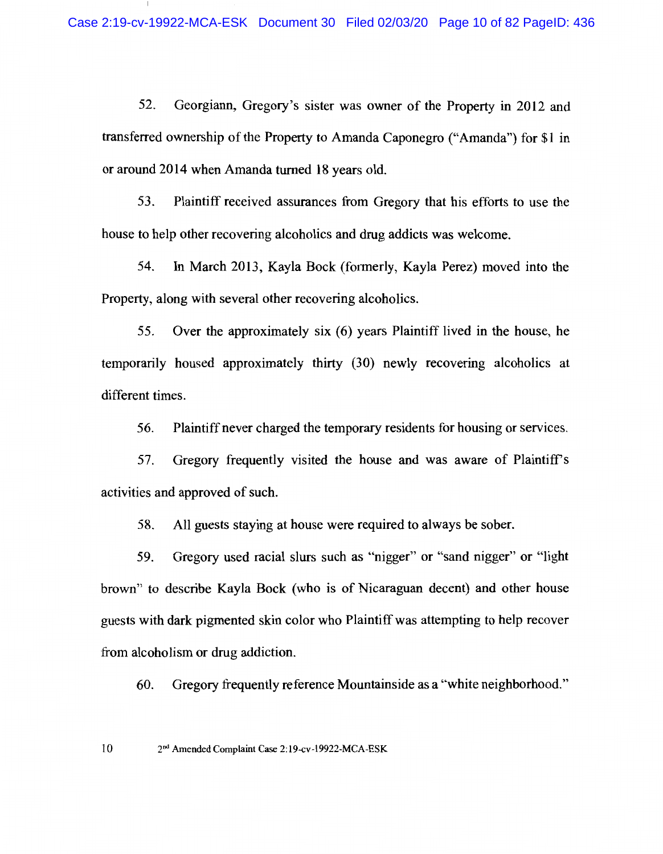52. Georgiann, Gregory's sister was owner of the Property in 2012 and transferred ownership of the Property to Amanda Caponegro ("Amanda") for \$1 in or around 2014 when Amanda turned 18 years old.

53. Plaintiff received assurances from Gregory that his efforts to use the house to help other recovering alcoholics and drug addicts was welcome.

54. In March 2013, Kayla Bock (formerly, Kayla Perez) moved into the Property, along with several other recovering alcoholics.

55. Over the approximately six (6) years Plaintiff lived in the house, he temporarily housed approximately thirty (30) newly recovering alcoholics at different times.

56. Plaintiff never charged the temporary residents for housing or services.

Gregory frequently visited the house and was aware of Plaintiff's 57. activities and approved of such.

58. All guests staying at house were required to always be sober.

Gregory used racial slurs such as "nigger" or "sand nigger" or "light" 59. brown" to describe Kayla Bock (who is of Nicaraguan decent) and other house guests with dark pigmented skin color who Plaintiff was attempting to help recover from alcoholism or drug addiction.

Gregory frequently reference Mountainside as a "white neighborhood." 60.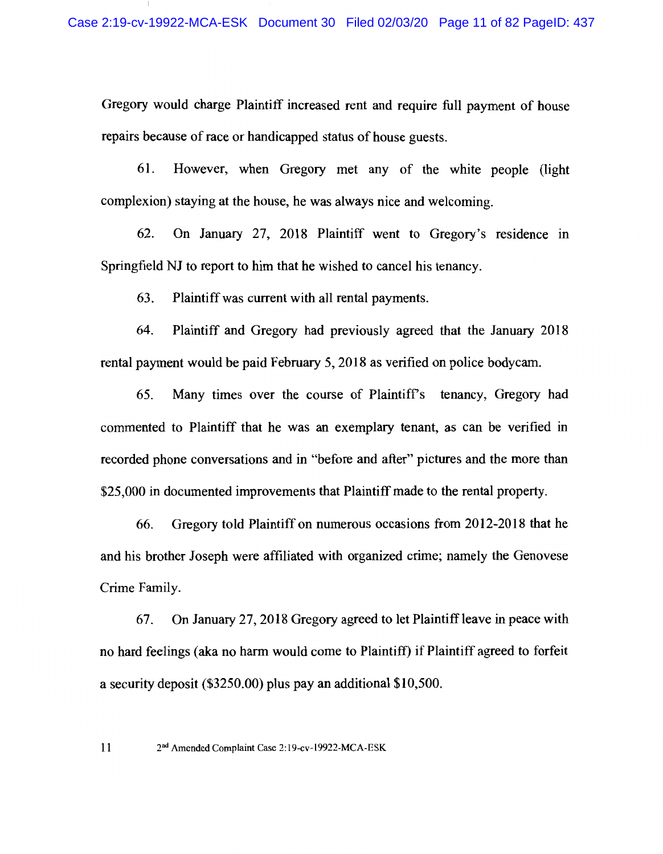Gregory would charge Plaintiff increased rent and require full payment of house repairs because of race or handicapped status of house guests.

61. However, when Gregory met any of the white people (light complexion) staying at the house, he was always nice and welcoming.

62. On January 27, 2018 Plaintiff went to Gregory's residence in Springfield NJ to report to him that he wished to cancel his tenancy.

63. Plaintiff was current with all rental payments.

Plaintiff and Gregory had previously agreed that the January 2018 64. rental payment would be paid February 5, 2018 as verified on police bodycam.

65. Many times over the course of Plaintiff's tenancy, Gregory had commented to Plaintiff that he was an exemplary tenant, as can be verified in recorded phone conversations and in "before and after" pictures and the more than \$25,000 in documented improvements that Plaintiff made to the rental property.

Gregory told Plaintiff on numerous occasions from 2012-2018 that he 66. and his brother Joseph were affiliated with organized crime; namely the Genovese Crime Family.

On January 27, 2018 Gregory agreed to let Plaintiff leave in peace with 67. no hard feelings (aka no harm would come to Plaintiff) if Plaintiff agreed to forfeit a security deposit  $(\$3250.00)$  plus pay an additional  $\$10,500$ .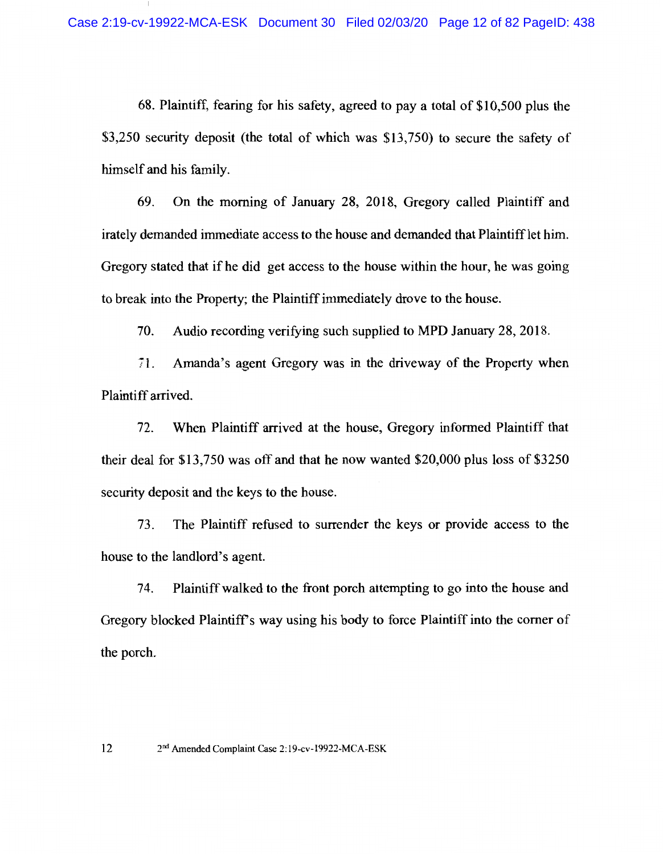68. Plaintiff, fearing for his safety, agreed to pay a total of \$10,500 plus the \$3,250 security deposit (the total of which was \$13,750) to secure the safety of himself and his family.

On the morning of January 28, 2018, Gregory called Plaintiff and 69. irately demanded immediate access to the house and demanded that Plaintiff let him. Gregory stated that if he did get access to the house within the hour, he was going to break into the Property; the Plaintiff immediately drove to the house.

70. Audio recording verifying such supplied to MPD January 28, 2018.

Amanda's agent Gregory was in the driveway of the Property when  $71.$ Plaintiff arrived.

72. When Plaintiff arrived at the house, Gregory informed Plaintiff that their deal for \$13,750 was off and that he now wanted \$20,000 plus loss of \$3250 security deposit and the keys to the house.

The Plaintiff refused to surrender the keys or provide access to the 73. house to the landlord's agent.

Plaintiff walked to the front porch attempting to go into the house and 74. Gregory blocked Plaintiff's way using his body to force Plaintiff into the corner of the porch.

 $12$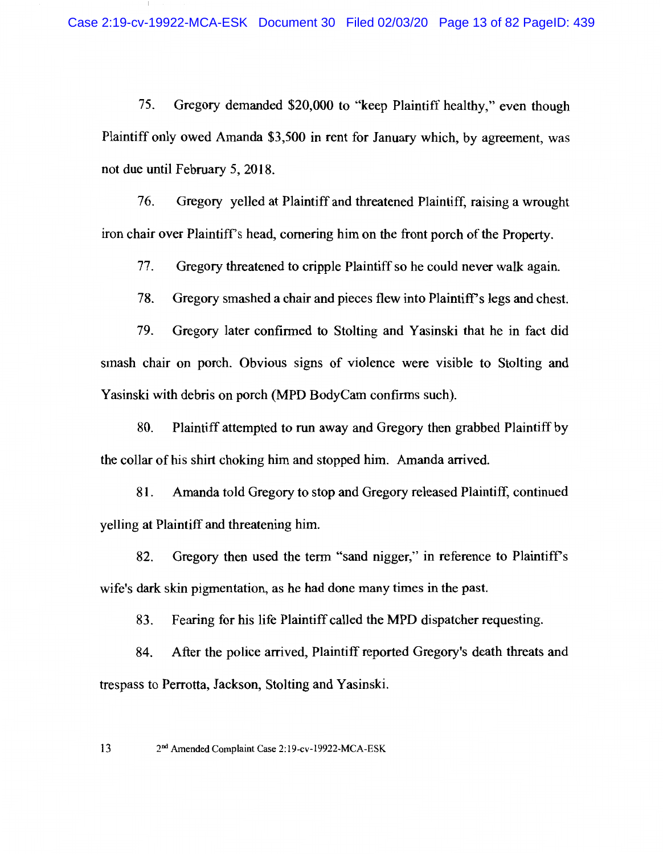75. Gregory demanded \$20,000 to "keep Plaintiff healthy," even though Plaintiff only owed Amanda \$3,500 in rent for January which, by agreement, was not due until February 5, 2018.

76. Gregory yelled at Plaintiff and threatened Plaintiff, raising a wrought iron chair over Plaintiff's head, cornering him on the front porch of the Property.

77. Gregory threatened to cripple Plaintiff so he could never walk again.

78. Gregory smashed a chair and pieces flew into Plaintiff's legs and chest.

79. Gregory later confirmed to Stolting and Yasinski that he in fact did smash chair on porch. Obvious signs of violence were visible to Stolting and Yasinski with debris on porch (MPD BodyCam confirms such).

80. Plaintiff attempted to run away and Gregory then grabbed Plaintiff by the collar of his shirt choking him and stopped him. Amanda arrived.

81. Amanda told Gregory to stop and Gregory released Plaintiff, continued velling at Plaintiff and threatening him.

Gregory then used the term "sand nigger," in reference to Plaintiff's 82. wife's dark skin pigmentation, as he had done many times in the past.

83. Fearing for his life Plaintiff called the MPD dispatcher requesting.

84. After the police arrived, Plaintiff reported Gregory's death threats and trespass to Perrotta, Jackson, Stolting and Yasinski.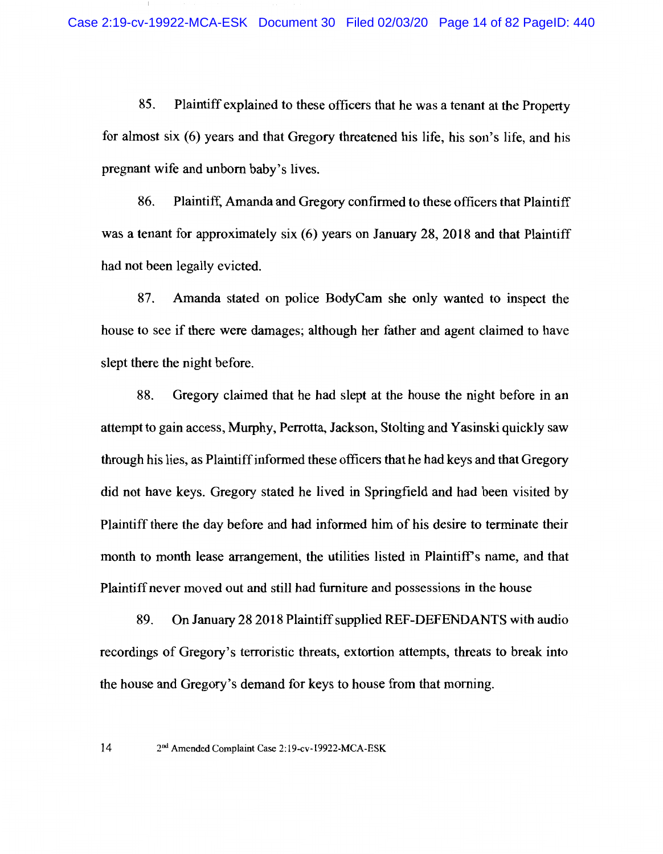85. Plaintiff explained to these officers that he was a tenant at the Property for almost six (6) years and that Gregory threatened his life, his son's life, and his pregnant wife and unborn baby's lives.

86. Plaintiff, Amanda and Gregory confirmed to these officers that Plaintiff was a tenant for approximately six (6) years on January 28, 2018 and that Plaintiff had not been legally evicted.

87. Amanda stated on police BodyCam she only wanted to inspect the house to see if there were damages; although her father and agent claimed to have slept there the night before.

88. Gregory claimed that he had slept at the house the night before in an attempt to gain access, Murphy, Perrotta, Jackson, Stolting and Yasinski quickly saw through his lies, as Plaintiff informed these officers that he had keys and that Gregory did not have keys. Gregory stated he lived in Springfield and had been visited by Plaintiff there the day before and had informed him of his desire to terminate their month to month lease arrangement, the utilities listed in Plaintiff's name, and that Plaintiff never moved out and still had furniture and possessions in the house

89. On January 28 2018 Plaintiff supplied REF-DEFENDANTS with audio recordings of Gregory's terroristic threats, extortion attempts, threats to break into the house and Gregory's demand for keys to house from that morning.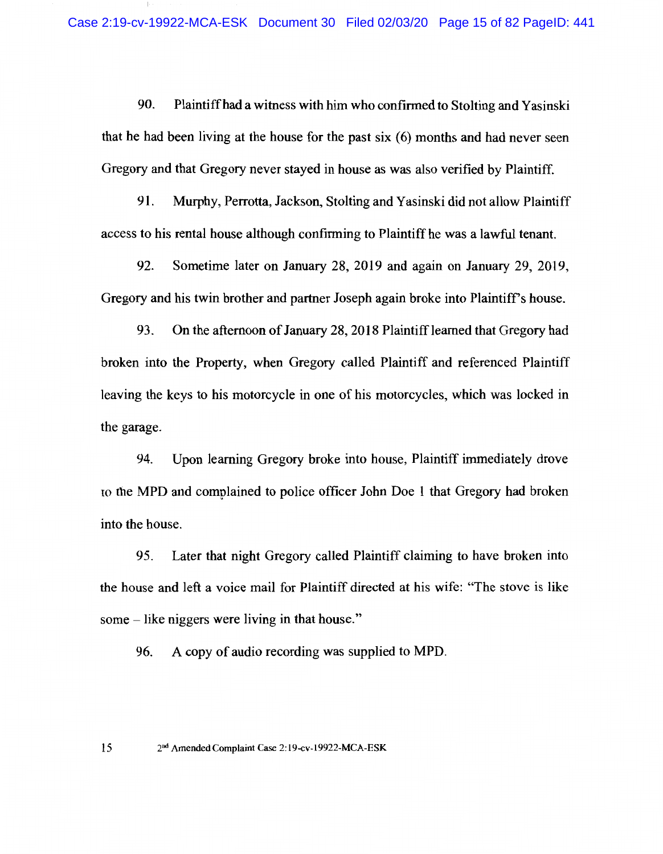90. Plaintiff had a witness with him who confirmed to Stolting and Yasinski that he had been living at the house for the past six (6) months and had never seen Gregory and that Gregory never stayed in house as was also verified by Plaintiff.

91. Murphy, Perrotta, Jackson, Stolting and Yasinski did not allow Plaintiff access to his rental house although confirming to Plaintiff he was a lawful tenant.

Sometime later on January 28, 2019 and again on January 29, 2019, 92. Gregory and his twin brother and partner Joseph again broke into Plaintiff's house.

93. On the afternoon of January 28, 2018 Plaintiff learned that Gregory had broken into the Property, when Gregory called Plaintiff and referenced Plaintiff leaving the keys to his motorcycle in one of his motorcycles, which was locked in the garage.

94. Upon learning Gregory broke into house, Plaintiff immediately drove to the MPD and complained to police officer John Doe 1 that Gregory had broken into the house.

Later that night Gregory called Plaintiff claiming to have broken into 95. the house and left a voice mail for Plaintiff directed at his wife: "The stove is like some – like niggers were living in that house."

96. A copy of audio recording was supplied to MPD.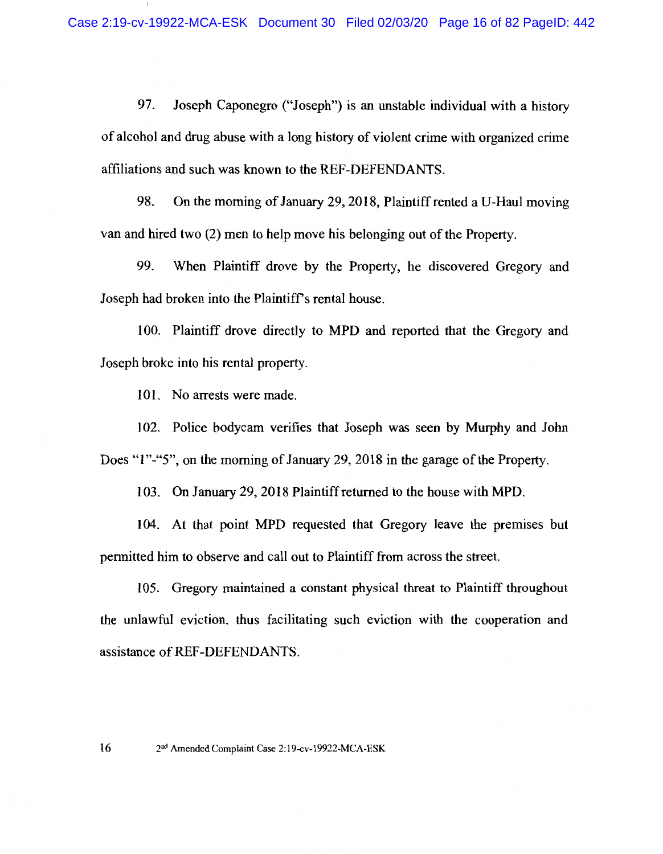97. Joseph Caponegro ("Joseph") is an unstable individual with a history of alcohol and drug abuse with a long history of violent crime with organized crime affiliations and such was known to the REF-DEFENDANTS.

98. On the morning of January 29, 2018, Plaintiff rented a U-Haul moving van and hired two (2) men to help move his belonging out of the Property.

99. When Plaintiff drove by the Property, he discovered Gregory and Joseph had broken into the Plaintiff's rental house.

100. Plaintiff drove directly to MPD and reported that the Gregory and Joseph broke into his rental property.

101. No arrests were made.

102. Police bodycam verifies that Joseph was seen by Murphy and John Does "1"-"5", on the morning of January 29, 2018 in the garage of the Property.

103. On January 29, 2018 Plaintiff returned to the house with MPD.

104. At that point MPD requested that Gregory leave the premises but permitted him to observe and call out to Plaintiff from across the street.

105. Gregory maintained a constant physical threat to Plaintiff throughout the unlawful eviction, thus facilitating such eviction with the cooperation and assistance of REF-DEFENDANTS.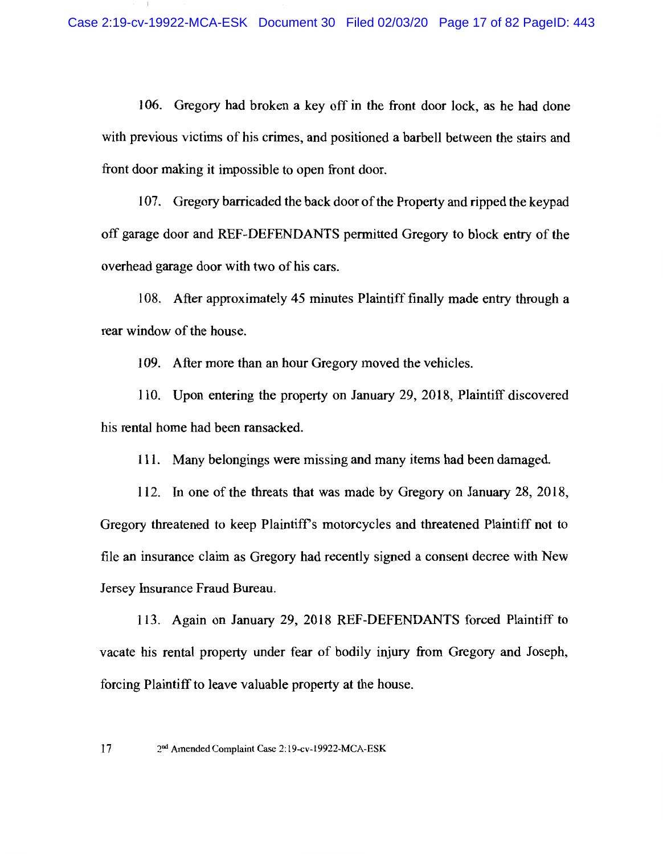106. Gregory had broken a key off in the front door lock, as he had done with previous victims of his crimes, and positioned a barbell between the stairs and front door making it impossible to open front door.

107. Gregory barricaded the back door of the Property and ripped the keypad off garage door and REF-DEFENDANTS permitted Gregory to block entry of the overhead garage door with two of his cars.

108. After approximately 45 minutes Plaintiff finally made entry through a rear window of the house.

109. After more than an hour Gregory moved the vehicles.

110. Upon entering the property on January 29, 2018, Plaintiff discovered his rental home had been ransacked.

111. Many belongings were missing and many items had been damaged.

112. In one of the threats that was made by Gregory on January 28, 2018, Gregory threatened to keep Plaintiff's motorcycles and threatened Plaintiff not to file an insurance claim as Gregory had recently signed a consent decree with New Jersey Insurance Fraud Bureau.

113. Again on January 29, 2018 REF-DEFENDANTS forced Plaintiff to vacate his rental property under fear of bodily injury from Gregory and Joseph, forcing Plaint iff to leave valuable property at the house.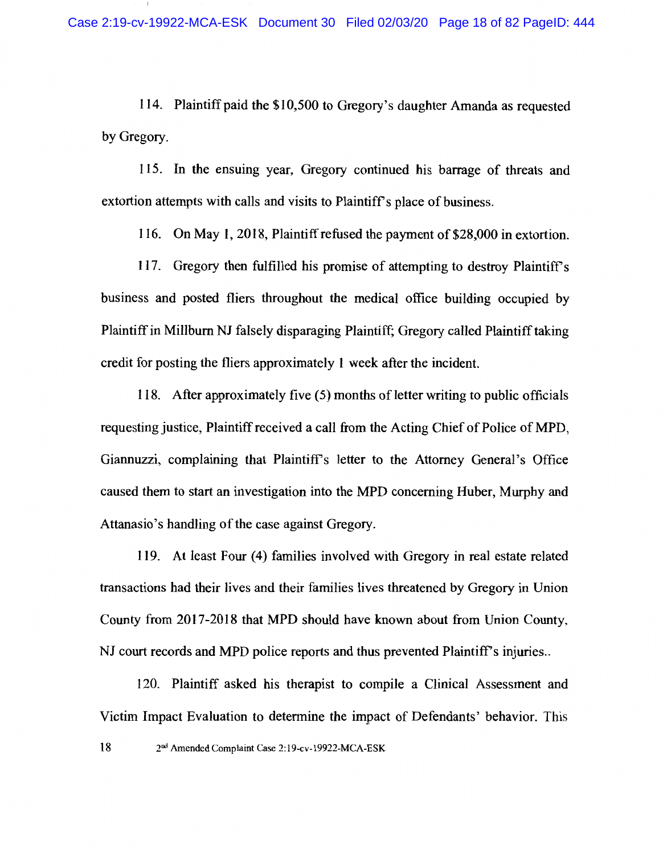114. Plaintiff paid the \$10,500 to Gregory's daughter Amanda as requested by Gregory.

115. In the ensuing year, Gregory continued his barrage of threats and extortion attempts with calls and visits to Plaintiff's place of business.

116. On May 1, 2018, Plaintiff refused the payment of \$28,000 in extortion.

117. Gregory then fulfilled his promise of attempting to destroy Plaintiff's business and posted fliers throughout the medical office building occupied by Plaintiff in Millburn NJ falsely disparaging Plaintiff; Gregory called Plaintiff taking credit for posting the fliers approximately 1 week after the incident.

118. After approximately five (5) months of letter writing to public officials requesting justice, Plaintiff received a call from the Acting Chief of Police of MPD, Giannuzzi, complaining that Plaintiff's letter to the Attorney General's Office caused them to start an investigation into the MPD concerning Huber, Murphy and Attanasio's handling of the case against Gregory.

119. At least Four (4) families involved with Gregory in real estate related transactions had their lives and their families lives threatened by Gregory in Union County from 2017-2018 that MPD should have known about from Union County, NJ court records and MPD police reports and thus prevented Plaintiff's injuries...

120. Plaintiff asked his therapist to compile a Clinical Assessment and Victim Impact Evaluation to determine the impact of Defendants' behavior. This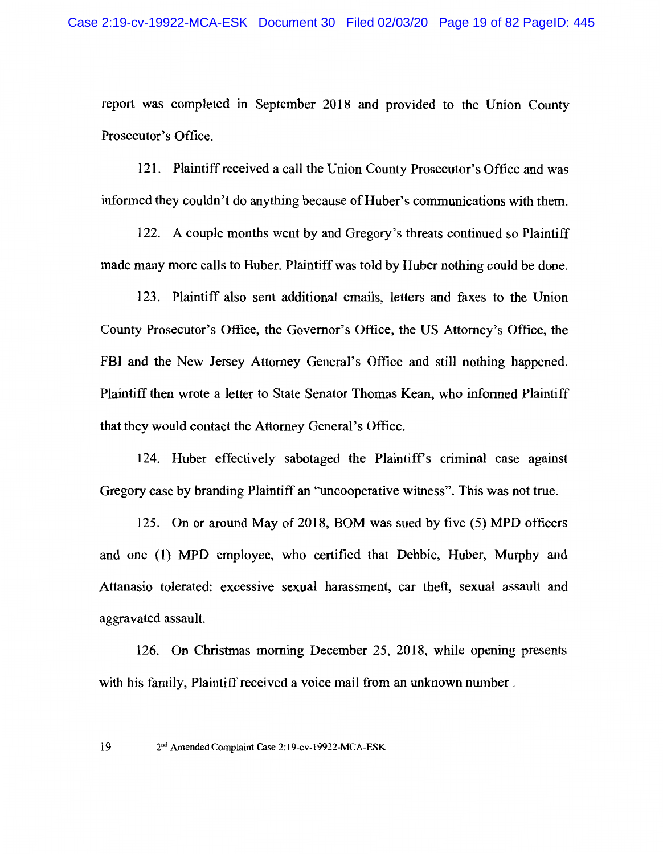report was completed in September 2018 and provided to the Union County Prosecutor's Office.

121. Plaintiff received a call the Union County Prosecutor's Office and was informed they couldn't do anything because of Huber's communications with them.

122. A couple months went by and Gregory's threats continued so Plaintiff made many more calls to Huber. Plaintiff was told by Huber nothing could be done.

123. Plaintiff also sent additional emails, letters and faxes to the Union County Prosecutor's Office, the Governor's Office, the US Attorney's Office, the FBI and the New Jersey Attorney General's Office and still nothing happened. Plaintiff then wrote a letter to State Senator Thomas Kean, who informed Plaintiff that they would contact the Attorney General's Office.

124. Huber effectively sabotaged the Plaintiff's criminal case against Gregory case by branding Plaintiff an "uncooperative witness". This was not true.

125. On or around May of 2018, BOM was sued by five (5) MPD officers and one (1) MPD employee, who certified that Debbie, Huber, Murphy and Attanasio tolerated: excessive sexual harassment, car theft, sexual assault and aggravated assault.

126. On Christmas morning December 25, 2018, while opening presents with his family. Plaintiff received a voice mail from an unknown number.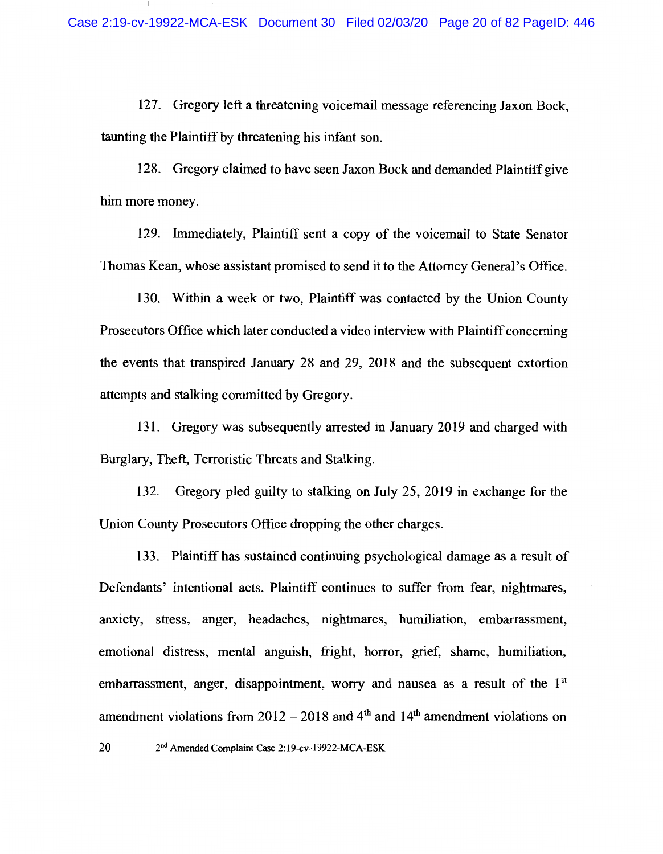127. Gregory left a threatening voicemail message referencing Jaxon Bock. taunting the Plaintiff by threatening his infant son.

128. Gregory claimed to have seen Jaxon Bock and demanded Plaintiff give him more money.

129. Immediately, Plaintiff sent a copy of the voicemail to State Senator Thomas Kean, whose assistant promised to send it to the Attorney General's Office.

130. Within a week or two, Plaintiff was contacted by the Union County Prosecutors Office which later conducted a video interview with Plaintiff concerning the events that transpired January 28 and 29, 2018 and the subsequent extortion attempts and stalking committed by Gregory.

131. Gregory was subsequently arrested in January 2019 and charged with Burglary, Theft, Terroristic Threats and Stalking.

Gregory pled guilty to stalking on July 25, 2019 in exchange for the 132. Union County Prosecutors Office dropping the other charges.

133. Plaintiff has sustained continuing psychological damage as a result of Defendants' intentional acts. Plaintiff continues to suffer from fear, nightmares, anxiety, stress, anger, headaches, nightmares, humiliation, embarrassment, emotional distress, mental anguish, fright, horror, grief, shame, humiliation, embarrassment, anger, disappointment, worry and nausea as a result of the 1<sup>st</sup> amendment violations from  $2012 - 2018$  and  $4<sup>th</sup>$  and  $14<sup>th</sup>$  amendment violations on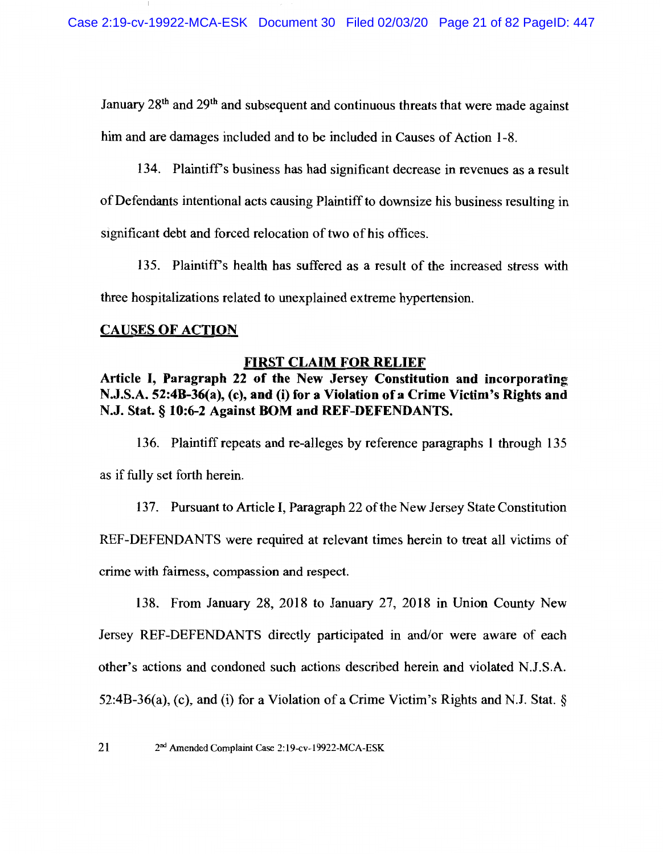January 28<sup>th</sup> and 29<sup>th</sup> and subsequent and continuous threats that were made against him and are damages included and to be included in Causes of Action 1-8.

134. Plaintiff's business has had significant decrease in revenues as a result

of Defendants intentional acts causing Plaintiff to downsize his business resulting in

significant debt and forced relocation of two of his offices.

135. Plaintiff's health has suffered as a result of the increased stress with three hospitalizations related to unexplained extreme hypertension.

## **CAUSES OF ACTION**

## **FIRST CLAIM FOR RELIEF**

# Article I, Paragraph 22 of the New Jersey Constitution and incorporating N.J.S.A. 52:4B-36(a), (c), and (i) for a Violation of a Crime Victim's Rights and N.J. Stat. § 10:6-2 Against BOM and REF-DEFENDANTS.

136. Plaintiff repeats and re-alleges by reference paragraphs 1 through 135 as if fully set forth herein.

137. Pursuant to Article I, Paragraph 22 of the New Jersey State Constitution REF-DEFENDANTS were required at relevant times herein to treat all victims of crime with fairness, compassion and respect.

138. From January 28, 2018 to January 27, 2018 in Union County New Jersey REF-DEFENDANTS directly participated in and/or were aware of each other's actions and condoned such actions described herein and violated N.J.S.A. 52:4B-36(a), (c), and (i) for a Violation of a Crime Victim's Rights and N.J. Stat.  $\S$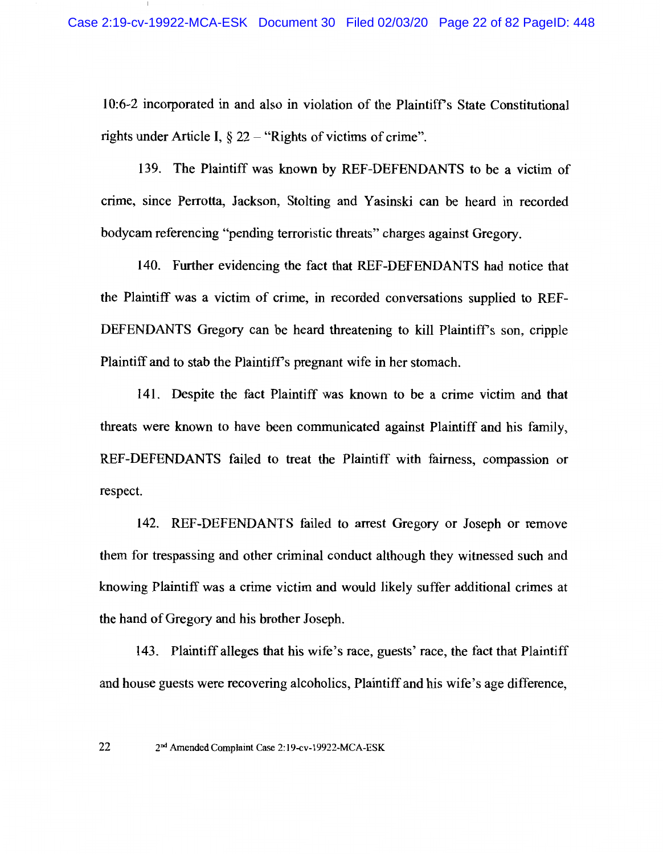10:6-2 incorporated in and also in violation of the Plaintiff's State Constitutional rights under Article I,  $\S 22 -$  "Rights of victims of crime".

139. The Plaintiff was known by REF-DEFENDANTS to be a victim of crime, since Perrotta, Jackson, Stolting and Yasinski can be heard in recorded bodycam referencing "pending terroristic threats" charges against Gregory.

140. Further evidencing the fact that REF-DEFENDANTS had notice that the Plaintiff was a victim of crime, in recorded conversations supplied to REF-DEFENDANTS Gregory can be heard threatening to kill Plaintiff's son, cripple Plaintiff and to stab the Plaintiff's pregnant wife in her stomach.

141. Despite the fact Plaintiff was known to be a crime victim and that threats were known to have been communicated against Plaintiff and his family, REF-DEFENDANTS failed to treat the Plaintiff with fairness, compassion or respect.

142. REF-DEFENDANTS failed to arrest Gregory or Joseph or remove them for trespassing and other criminal conduct although they witnessed such and knowing Plaintiff was a crime victim and would likely suffer additional crimes at the hand of Gregory and his brother Joseph.

143. Plaint iff alleges that his wife's race, guests' race, the fact that Plaint iff and house guests were recovering alcoholics. Plaintiff and his wife's age difference.

<sup>22</sup> 2<sup>nd</sup> Amended Complaint Case 2:19-cv-19922-MCA-ESK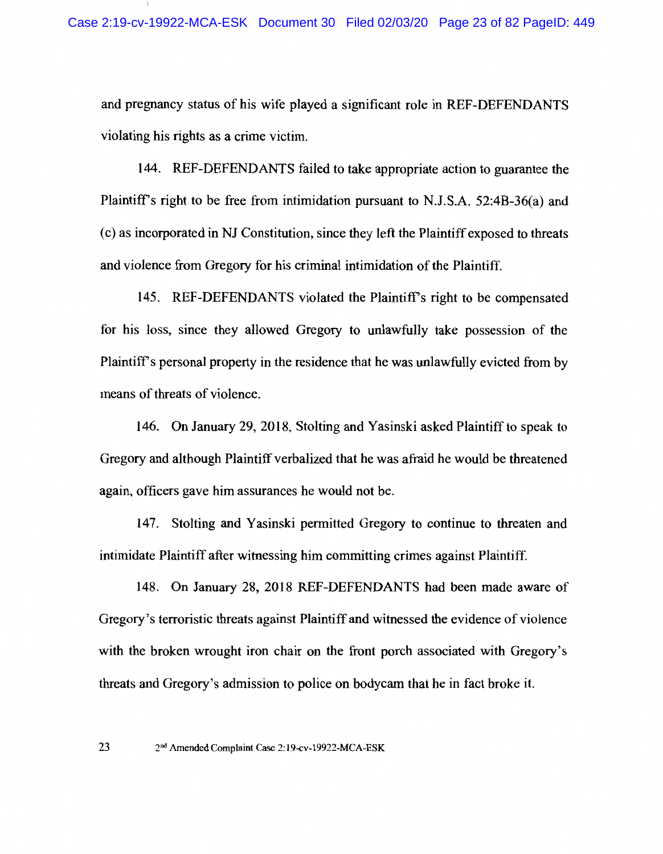and pregnancy status of his wife played a significant role in REF-DEFENDANTS violating his rights as a crime victim.

144. REF-DEFENDANTS failed to take appropriate action to guarantee the Plaintiff's right to be free from intimidation pursuant to N.J.S.A. 52:4B-36(a) and (c) as incorporated in NJ Constitution, since they left the Plaintiff exposed to threats and violence from Gregory for his criminal intimidation of the Plaintiff.

145. REF-DEFENDANTS violated the Plaintiff's right to be compensated for his loss, since they allowed Gregory to unlawfully take possession of the Plaintiff's personal property in the residence that he was unlawfully evicted from by means of threats of violence.

146. On January 29, 2018, Stolting and Yasinski asked Plaintiff to speak to Gregory and although Plaintiff verbalized that he was afraid he would be threatened again, officers gave him assurances he would not be.

147. Stolting and Yasinski permitted Gregory to continue to threaten and intimidate Plaintiff after witnessing him committing crimes against Plaintiff.

148. On January 28, 2018 REF-DEFENDANTS had been made aware of Gregory's terroristic threats against Plaintiff and witnessed the evidence of violence with the broken wrought iron chair on the front porch associated with Gregory's threats and Gregory's admission to police on bodycam that he in fact broke it.

<sup>23</sup> 2<sup>nd</sup> Amended Complaint Case 2:19-cv-19922-MCA-ESK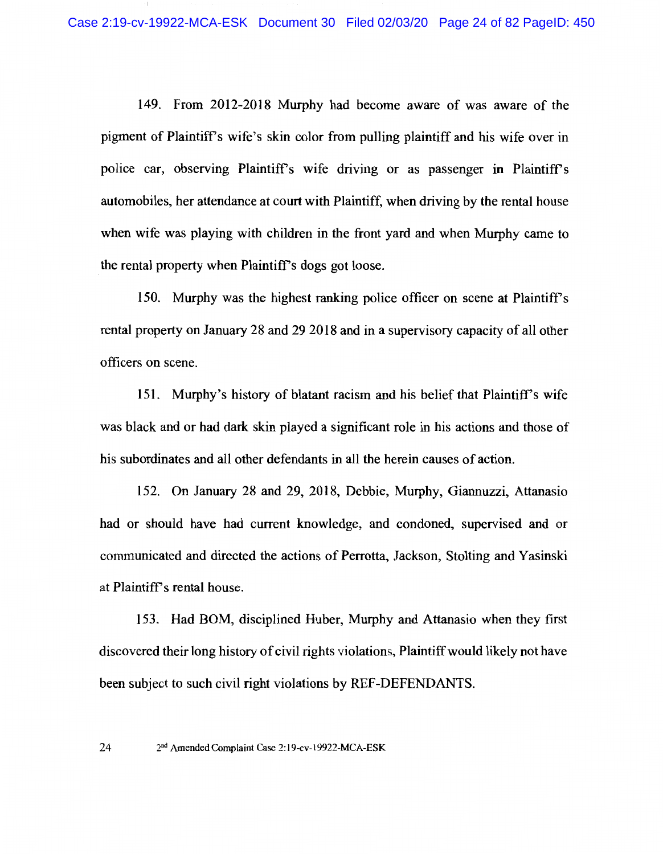149. From 2012-2018 Murphy had become aware of was aware of the pigment of Plaintiff's wife's skin color from pulling plaintiff and his wife over in police car, observing Plaintiff's wife driving or as passenger in Plaintiff's automobiles, her attendance at court with Plaintiff, when driving by the rental house when wife was playing with children in the front vard and when Murphy came to the rental property when Plaintiff's dogs got loose.

150. Murphy was the highest ranking police officer on scene at Plaintiff's rental property on January 28 and 29 2018 and in a supervisory capacity of all other officers on scene.

151. Murphy's history of blatant racism and his belief that Plaintiff's wife was black and or had dark skin played a significant role in his actions and those of his subordinates and all other defendants in all the herein causes of action.

152. On January 28 and 29, 2018, Debbie, Murphy, Giannuzzi, Attanasio had or should have had current knowledge, and condoned, supervised and or communicated and directed the actions of Perrotta, Jackson, Stolting and Yasinski at Plaintiff's rental house.

153. Had BOM, disciplined Huber, Murphy and Attanasio when they first discovered their long history of civil rights violations, Plaintiff would likely not have been subject to such civil right violations by REF-DEFENDANTS.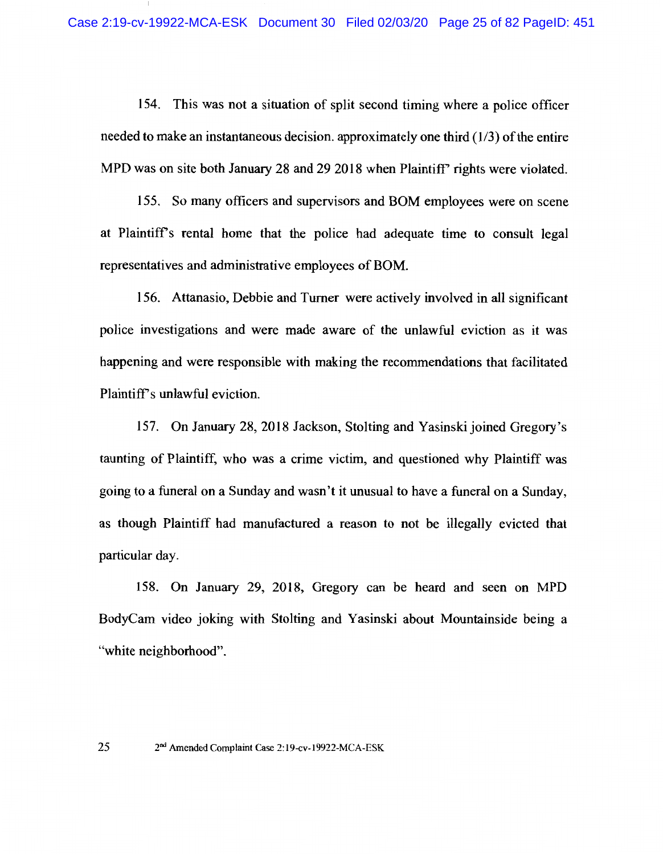154. This was not a situation of split second timing where a police officer needed to make an instantaneous decision. approximately one third  $(1/3)$  of the entire MPD was on site both January 28 and 29 2018 when Plaintiff' rights were violated.

155. So many officers and supervisors and BOM employees were on scene at Plaintiff's rental home that the police had adequate time to consult legal representatives and administrative employees of BOM.

156. Attanasio, Debbie and Turner were actively involved in all significant police investigations and were made aware of the unlawful eviction as it was happening and were responsible with making the recommendations that facilitated Plaintiff's unlawful eviction.

157. On January 28, 2018 Jackson, Stolting and Yasinski joined Gregory's taunting of Plaintiff, who was a crime victim, and questioned why Plaintiff was going to a funeral on a Sunday and wasn't it unusual to have a funeral on a Sunday, as though Plaintiff had manufactured a reason to not be illegally evicted that particular day.

158. On January 29, 2018, Gregory can be heard and seen on MPD BodyCam video joking with Stolting and Yasinski about Mountainside being a "white neighborhood".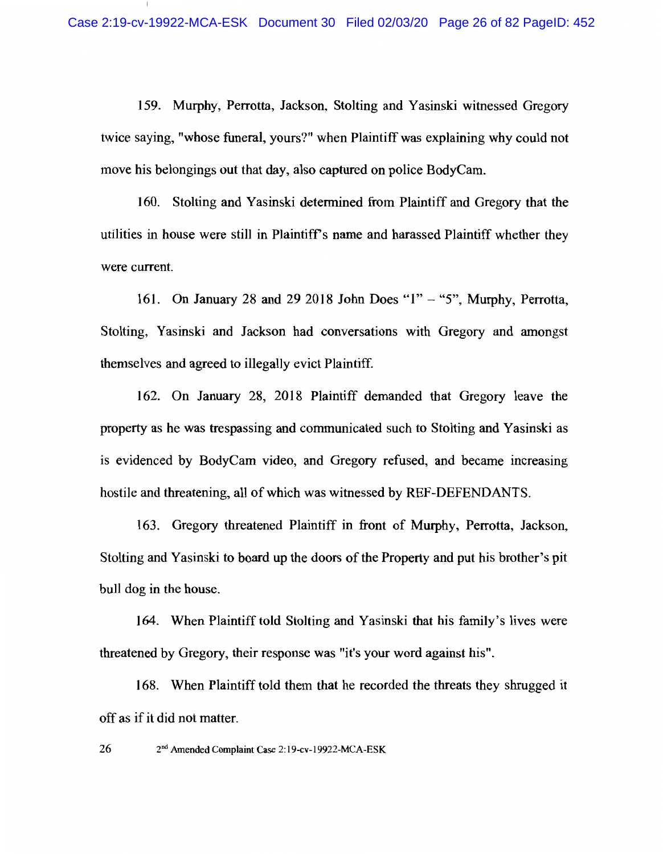159. Murphy, Perrotta, Jackson, Stolting and Yasinski witnessed Gregory twice saying, "whose funeral, yours?" when Plaintiff was explaining why could not move his belongings out that day, also captured on police BodyCam.

160. Stolting and Yasinski determined from Plaintiff and Gregory that the utilities in house were still in Plaintiff's name and harassed Plaintiff whether they were current.

161. On January 28 and 29 2018 John Does " $1" -$  "5", Murphy, Perrotta, Stolting, Yasinski and Jackson had conversations with Gregory and amongst themselves and agreed to illegally evict Plaintiff.

162. On January 28, 2018 Plaintiff demanded that Gregory leave the property as he was trespassing and communicated such to Stolting and Yasinski as is evidenced by BodyCam video, and Gregory refused, and became increasing hostile and threatening, all of which was witnessed by REF-DEFENDANTS.

163. Gregory threatened Plaintiff in front of Murphy, Perrotta, Jackson, Stolting and Yasinski to board up the doors of the Property and put his brother's pit bull dog in the house.

164. When Plaintiff told Stolting and Yasinski that his family's lives were threatened by Gregory, their response was "it's your word against his".

168. When Plaintiff told them that he recorded the threats they shrugged it off as if it did not matter.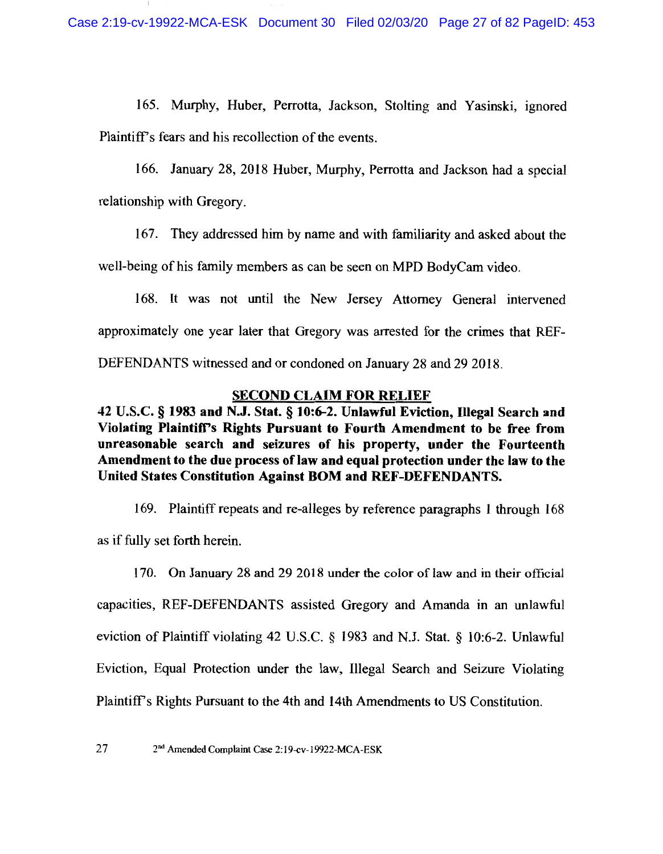165. Murphy, Huber, Perrotta, Jackson, Stolting and Yasinski, ignored Plaintiff's fears and his recollection of the events.

166. January 28, 2018 Huber, Murphy, Perrotta and Jackson had a special relationship with Gregory.

167. They addressed him by name and with familiarity and asked about the

well-being of his family members as can be seen on MPD BodyCam video.

168. It was not until the New Jersey Attorney General intervened approximately one year later that Gregory was arrested for the crimes that REF-DEFENDANTS witnessed and or condoned on January 28 and 29 2018.

# **SECOND CLAIM FOR RELIEF**

42 U.S.C. § 1983 and N.J. Stat. § 10:6-2. Unlawful Eviction, Illegal Search and Violating Plaintiff's Rights Pursuant to Fourth Amendment to be free from unreasonable search and seizures of his property, under the Fourteenth Amendment to the due process of law and equal protection under the law to the United States Constitution Against BOM and REF-DEFENDANTS.

169. Plaintiff repeats and re-alleges by reference paragraphs 1 through 168 as if fully set forth herein.

170. On January 28 and 29 2018 under the color of law and in their official capacities, REF-DEFENDANTS assisted Gregory and Amanda in an unlawful eviction of Plaintiff violating 42 U.S.C. § 1983 and N.J. Stat. § 10:6-2. Unlawful Eviction, Equal Protection under the law, Illegal Search and Seizure Violating Plaintiff's Rights Pursuant to the 4th and 14th Amendments to US Constitution.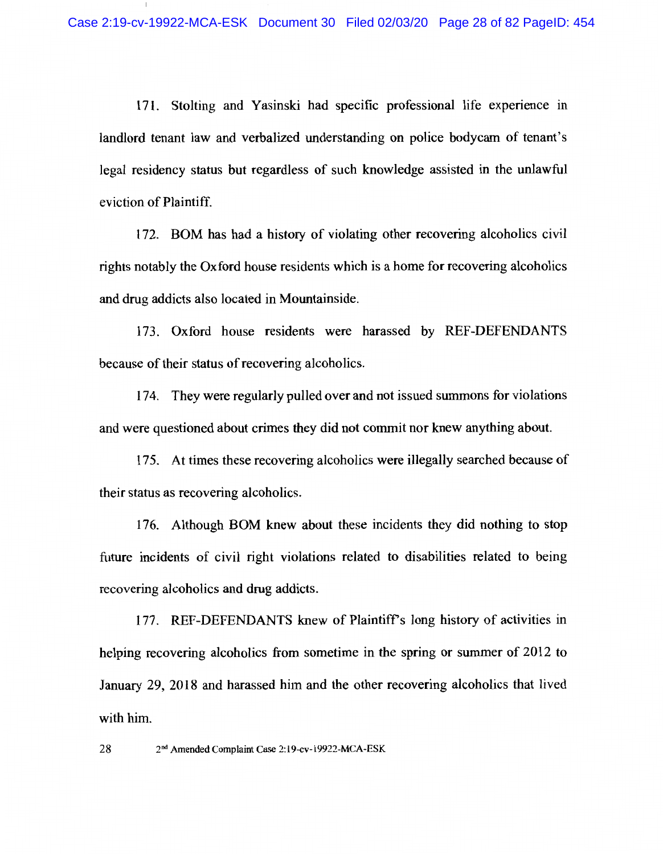171. Stolting and Yasinski had specific professional life experience in landlord tenant law and verbalized understanding on police bodycam of tenant's legal residency status but regardless of such knowledge assisted in the unlawful eviction of Plaintiff.

172. BOM has had a history of violating other recovering alcoholics civil rights notably the Oxford house residents which is a home for recovering alcoholics and drug addicts also located in Mountainside.

173. Oxford house residents were harassed by REF-DEFENDANTS because of their status of recovering alcoholics.

174. They were regularly pulled over and not issued summons for violations and were questioned about crimes they did not commit nor knew anything about.

175. At times these recovering alcoholics were illegally searched because of their status as recovering alcoholics.

176. Although BOM knew about these incidents they did nothing to stop future incidents of civil right violations related to disabilities related to being recovering alcoholics and drug addicts.

177. REF-DEFENDANTS knew of Plaintiff's long history of activities in helping recovering alcoholics from sometime in the spring or summer of 2012 to January 29, 2018 and harassed him and the other recovering alcoholics that lived with him.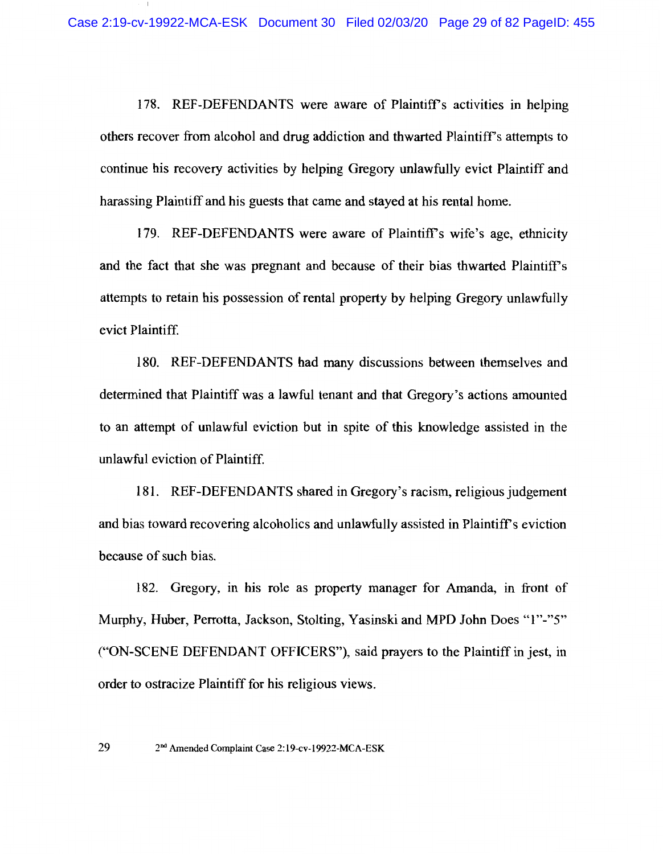178. REF-DEFENDANTS were aware of Plaintiff's activities in helping others recover from alcohol and drug addiction and thwarted Plaintiff's attempts to continue his recovery activities by helping Gregory unlawfully evict Plaintiff and harassing Plaintiff and his guests that came and stayed at his rental home.

179. REF-DEFENDANTS were aware of Plaintiff's wife's age, ethnicity and the fact that she was pregnant and because of their bias thwarted Plaintiff's attempts to retain his possession of rental property by helping Gregory unlawfully evict Plaintiff.

180. REF-DEFENDANTS had many discussions between themselves and determined that Plaintiff was a lawful tenant and that Gregory's actions amounted to an attempt of unlawful eviction but in spite of this knowledge assisted in the unlawful eviction of Plaintiff.

181. REF-DEFENDANTS shared in Gregory's racism, religious judgement and bias toward recovering alcoholics and unlawfully assisted in Plaintiff's eviction because of such bias.

182. Gregory, in his role as property manager for Amanda, in front of Murphy, Huber, Perrotta, Jackson, Stolting, Yasinski and MPD John Does "1"-"5" ("ON-SCENE DEFENDANT OFFICERS"), said prayers to the Plaintiff in jest, in order to ostracize Plaintiff for his religious views.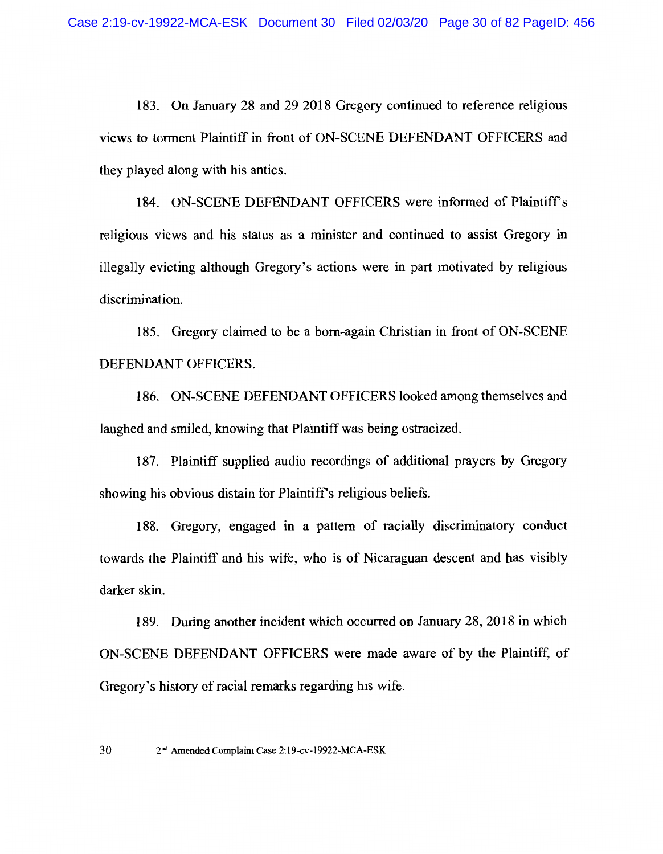183. On January 28 and 29 2018 Gregory continued to reference religious views to torment Plaintiff in front of ON-SCENE DEFENDANT OFFICERS and they played along with his antics.

184. ON-SCENE DEFENDANT OFFICERS were informed of Plaintiff's religious views and his status as a minister and continued to assist Gregory in illegally evicting although Gregory's actions were in part motivated by religious discrimination.

185. Gregory claimed to be a born-again Christian in front of ON-SCENE DEFENDANT OFFICERS.

186. ON-SCENE DEFENDANT OFFICERS looked among themselves and laughed and smiled, knowing that Plaintiff was being ostracized.

187. Plaintiff supplied audio recordings of additional prayers by Gregory showing his obvious distain for Plaintiff's religious beliefs.

188. Gregory, engaged in a pattern of racially discriminatory conduct towards the Plaintiff and his wife, who is of Nicaraguan descent and has visibly darker skin.

189. During another incident which occurred on January 28, 2018 in which ON-SCENE DEFENDANT OFFICERS were made aware of by the Plaintiff, of Gregory's history of racial remarks regarding his wife.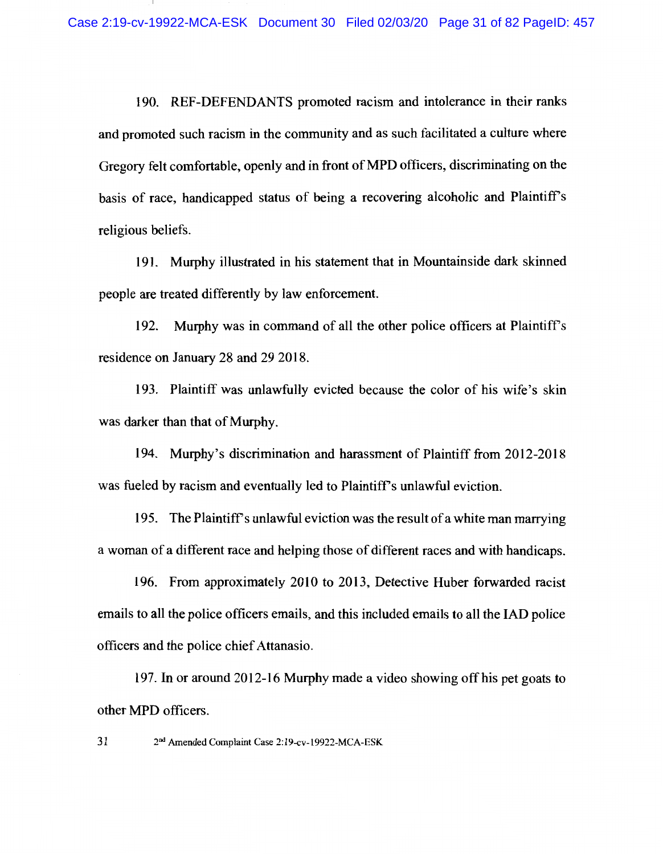190. REF-DEFENDANTS promoted racism and intolerance in their ranks and promoted such racism in the community and as such facilitated a culture where Gregory felt comfortable, openly and in front of MPD officers, discriminating on the basis of race, handicapped status of being a recovering alcoholic and Plaintiff's religious beliefs.

191. Murphy illustrated in his statement that in Mountainside dark skinned people are treated differently by law enforcement.

192. Murphy was in command of all the other police officers at Plaintiff's residence on January 28 and 29 2018.

193. Plaintiff was unlawfully evicted because the color of his wife's skin was darker than that of Murphy.

194. Murphy's discrimination and harassment of Plaintiff from 2012-2018 was fueled by racism and eventually led to Plaintiff's unlawful eviction.

195. The Plaint of Ts unlawful eviction was the result of a white man marrying a woman of a different race and helping those of different races and with handicaps.

196. From approximately 2010 to 2013, Detective Huber forwarded racist emails to all the police officers emails, and this included emails to all the IAD police officers and the police chief Attanasio.

197. In or around 2012-16 Murphy made a video showing off his pet goats to other MPD officers.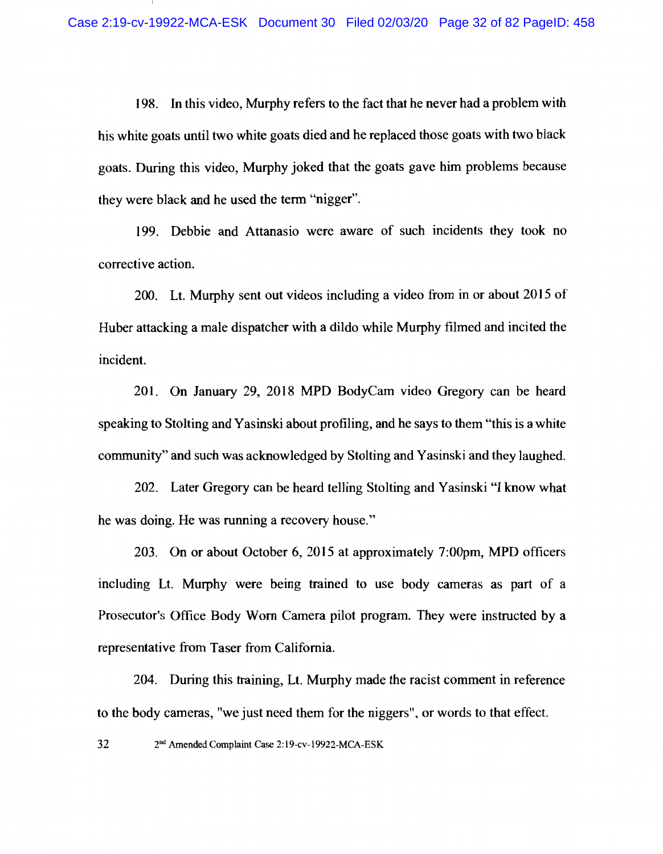198. In this video, Murphy refers to the fact that he never had a problem with his white goats until two white goats died and he replaced those goats with two black goats. During this video, Murphy joked that the goats gave him problems because they were black and he used the term "nigger".

199. Debbie and Attanasio were aware of such incidents they took no corrective action.

200. Lt. Murphy sent out videos including a video from in or about 2015 of Huber attacking a male dispatcher with a dildo while Murphy filmed and incited the incident.

201. On January 29, 2018 MPD BodyCam video Gregory can be heard speaking to Stolting and Yasinski about profiling, and he says to them "this is a white" community" and such was acknowledged by Stolting and Yasinski and they laughed.

202. Later Gregory can be heard telling Stolting and Yasinski "I know what he was doing. He was running a recovery house."

203. On or about October 6, 2015 at approximately 7:00pm, MPD officers including Lt. Murphy were being trained to use body cameras as part of a Prosecutor's Office Body Worn Camera pilot program. They were instructed by a representative from Taser from California.

204. During this training, Lt. Murphy made the racist comment in reference to the body cameras, "we just need them for the niggers", or words to that effect.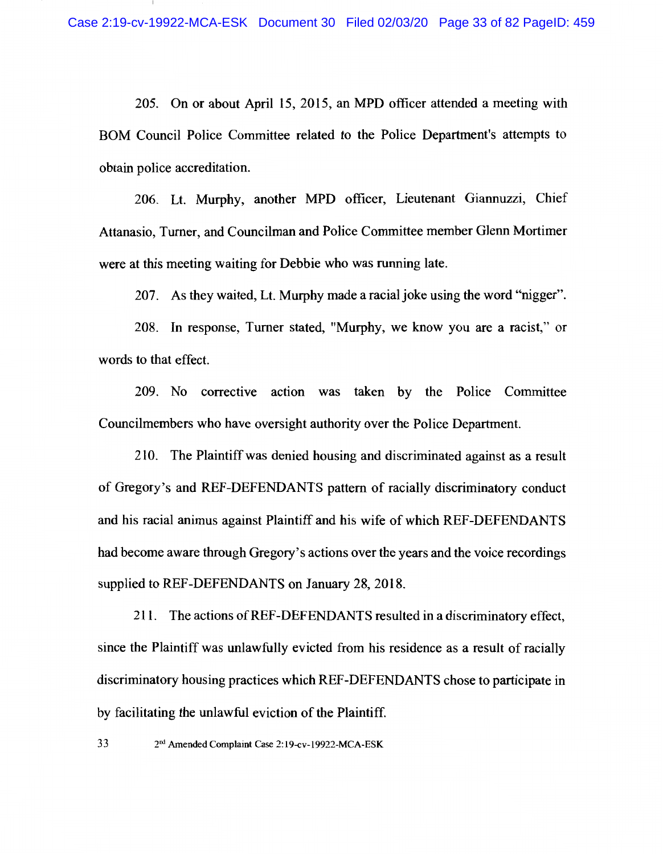205. On or about April 15, 2015, an MPD officer attended a meeting with BOM Council Police Committee related to the Police Department's attempts to obtain police accreditation.

206. Lt. Murphy, another MPD officer, Lieutenant Giannuzzi, Chief Attanasio, Turner, and Councilman and Police Committee member Glenn Mortimer were at this meeting waiting for Debbie who was running late.

207. As they waited, Lt. Murphy made a racial joke using the word "nigger".

208. In response, Turner stated, "Murphy, we know you are a racist," or words to that effect.

209. No corrective action was taken by the Police Committee Councilmembers who have oversight authority over the Police Department.

210. The Plaintiff was denied housing and discriminated against as a result of Gregory's and REF-DEFENDANTS pattern of racially discriminatory conduct and his racial animus against Plaintiff and his wife of which REF-DEFENDANTS had become aware through Gregory's actions over the years and the voice recordings supplied to REF-DEFENDANTS on January 28, 2018.

211. The actions of REF-DEFENDANTS resulted in a discriminatory effect, since the Plaintiff was unlawfully evicted from his residence as a result of racially discriminatory housing practices which REF-DEFENDANTS chose to participate in by facilitating the unlawful eviction of the Plaintiff.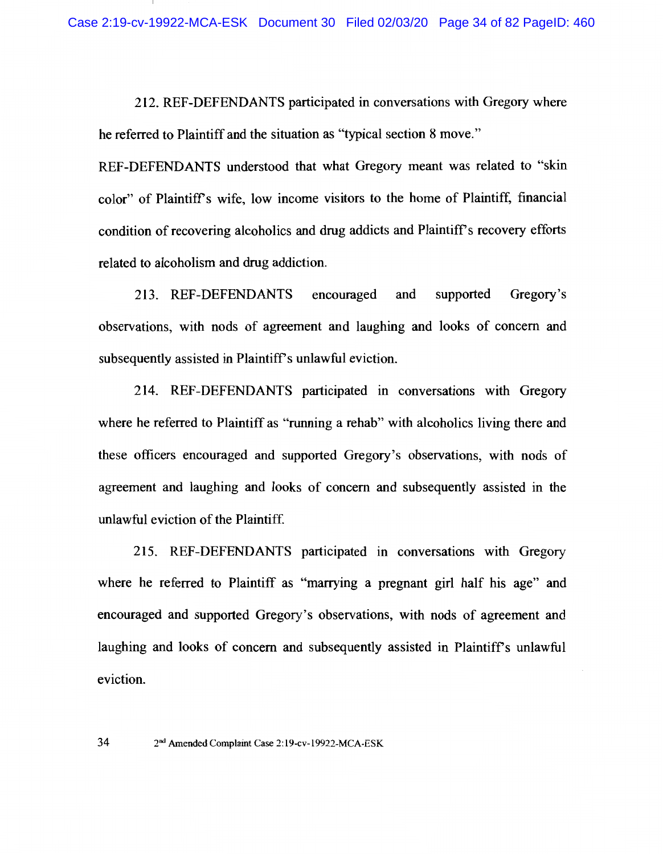212. REF-DEFENDANTS participated in conversations with Gregory where he referred to Plaintiff and the situation as "typical section 8 move."

REF-DEFENDANTS understood that what Gregory meant was related to "skin" color" of Plaintiff's wife, low income visitors to the home of Plaintiff, financial condition of recovering alcoholics and drug addicts and Plaintiff's recovery efforts related to alcoholism and drug addiction.

213. REF-DEFENDANTS encouraged and supported Gregory's observations, with nods of agreement and laughing and looks of concern and subsequently assisted in Plaintiff's unlawful eviction.

214. REF-DEFENDANTS participated in conversations with Gregory where he referred to Plaintiff as "running a rehab" with alcoholics living there and these officers encouraged and supported Gregory's observations, with nods of agreement and laughing and looks of concern and subsequently assisted in the unlawful eviction of the Plaintiff.

215. REF-DEFENDANTS participated in conversations with Gregory where he referred to Plaintiff as "marrying a pregnant girl half his age" and encouraged and supported Gregory's observations, with nods of agreement and laughing and looks of concern and subsequently assisted in Plaintiff's unlawful eviction.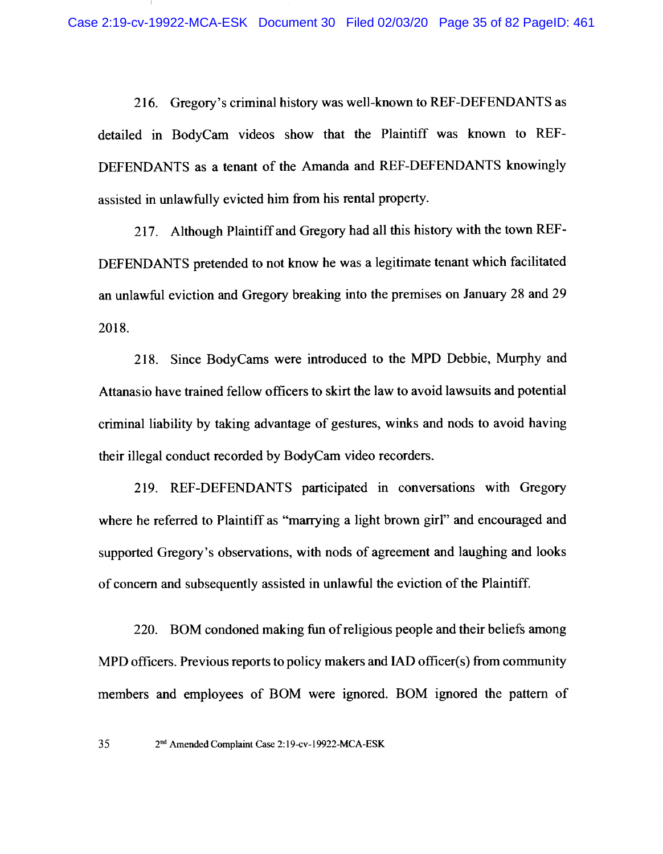216. Gregory's criminal history was well-known to REF-DEFENDANTS as detailed in BodyCam videos show that the Plaintiff was known to REF-DEFENDANTS as a tenant of the Amanda and REF-DEFENDANTS knowingly assisted in unlawfully evicted him from his rental property.

217. Although Plaintiff and Gregory had all this history with the town REF-DEFENDANTS pretended to not know he was a legitimate tenant which facilitated an unlawful eviction and Gregory breaking into the premises on January 28 and 29 2018.

218. Since BodyCams were introduced to the MPD Debbie, Murphy and Attanasio have trained fellow officers to skirt the law to avoid lawsuits and potential criminal liability by taking advantage of gestures, winks and nods to avoid having their illegal conduct recorded by BodyCam video recorders.

219. REF-DEFENDANTS participated in conversations with Gregory where he referred to Plaintiff as "marrying a light brown girl" and encouraged and supported Gregory's observations, with nods of agreement and laughing and looks of concern and subsequently assisted in unlawful the eviction of the Plaintiff.

220. BOM condoned making fun of religious people and their beliefs among MPD officers. Previous reports to policy makers and IAD officer(s) from community members and employees of BOM were ignored. BOM ignored the pattern of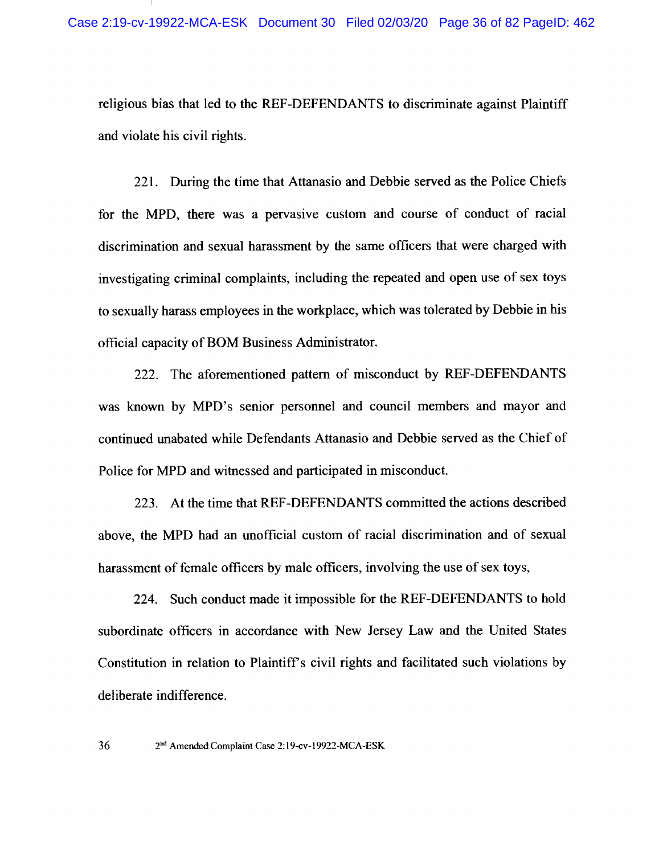religious bias that led to the REF-DEFENDANTS to discriminate against Plaintiff and violate his civil rights.

221. During the time that Attanasio and Debbie served as the Police Chiefs for the MPD, there was a pervasive custom and course of conduct of racial discrimination and sexual harassment by the same officers that were charged with investigating criminal complaints, including the repeated and open use of sex toys to sexually harass employees in the workplace, which was tolerated by Debbie in his official capacity of BOM Business Administrator.

222. The aforementioned pattern of misconduct by REF-DEFENDANTS was known by MPD's senior personnel and council members and mayor and continued unabated while Defendants Attanasio and Debbie served as the Chief of Police for MPD and witnessed and participated in misconduct.

223. At the time that REF-DEFENDANTS committed the actions described above, the MPD had an unofficial custom of racial discrimination and of sexual harassment of female officers by male officers, involving the use of sex toys,

224. Such conduct made it impossible for the REF-DEFENDANTS to hold subordinate officers in accordance with New Jersey Law and the United States Constitution in relation to Plaintiff's civil rights and facilitated such violations by deliberate indifference.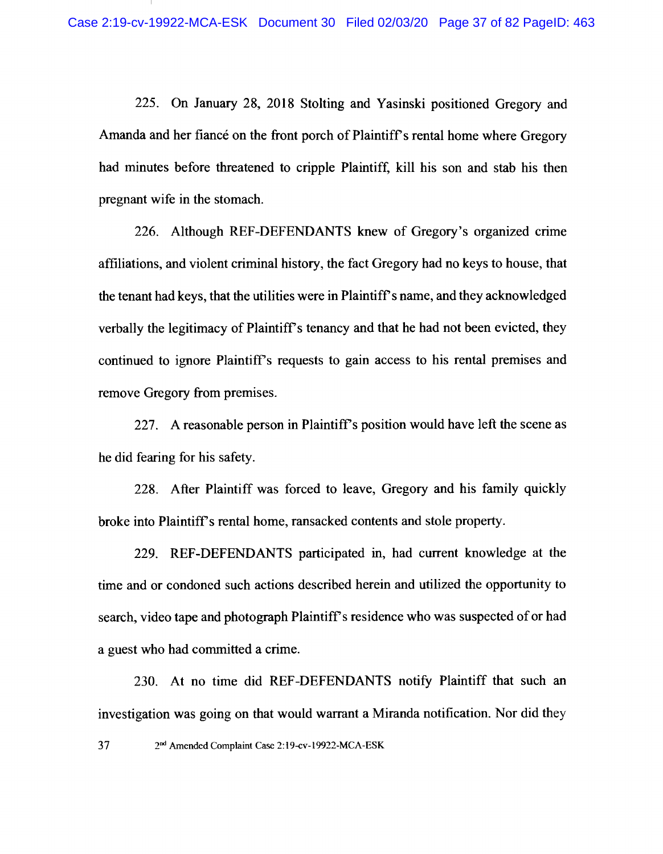225. On January 28, 2018 Stolting and Yasinski positioned Gregory and Amanda and her fiance on the front porch of Plaintiff's rental home where Gregory had minutes before threatened to cripple Plaintiff, kill his son and stab his then pregnant wife in the stomach.

226. Although REF-DEFENDANTS knew of Gregory's organized crime affiliations, and violent criminal history, the fact Gregory had no keys to house, that the tenant had keys, that the utilities were in Plaintiff's name, and they acknowledged verbally the legitimacy of Plaintiff's tenancy and that he had not been evicted, they continued to ignore Plaintiff's requests to gain access to his rental premises and remove Gregory from premises.

227. A reasonable person in Plaintiff's position would have left the scene as he did fearing for his safety.

228. After Plaintiff was forced to leave, Gregory and his family quickly broke into Plaintiff's rental home, ransacked contents and stole property.

229. REF-DEFENDANTS participated in, had current knowledge at the time and or condoned such actions described herein and utilized the opportunity to search, video tape and photograph Plaintiff's residence who was suspected of or had a guest who had committed a crime.

230. At no time did REF-DEFENDANTS notify Plaintiff that such an investigation was going on that would warrant a Miranda notification. Nor did they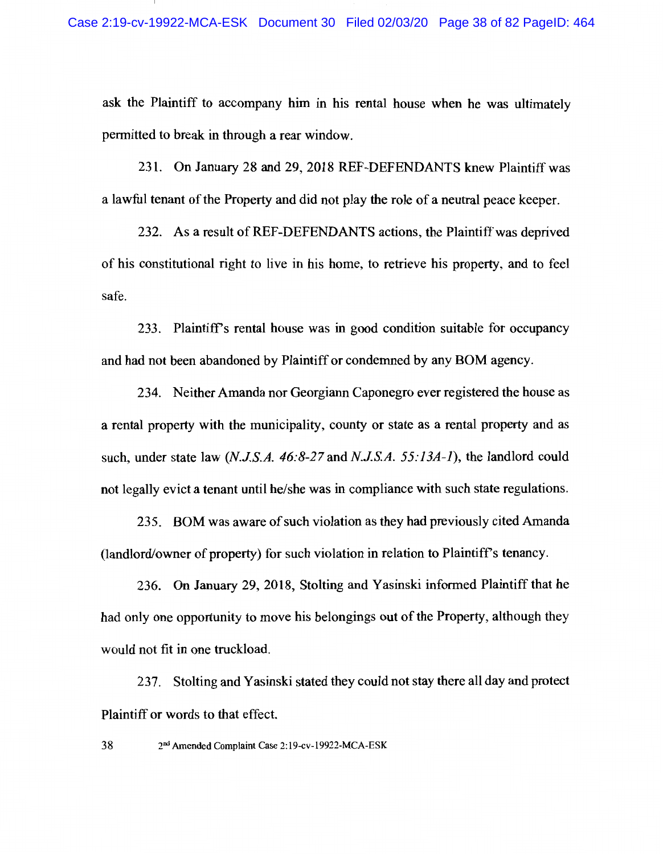ask the Plaintiff to accompany him in his rental house when he was ultimately permitted to break in through a rear window.

231. On January 28 and 29, 2018 REF-DEFENDANTS knew Plaintiff was a lawful tenant of the Property and did not play the role of a neutral peace keeper.

232. As a result of REF-DEFENDANTS actions, the Plaintiff was deprived of his constitutional right to live in his home, to retrieve his property, and to feel safe.

233. Plaintiff's rental house was in good condition suitable for occupancy and had not been abandoned by Plaintiff or condemned by any BOM agency.

234. Neither Amanda nor Georgiann Caponegro ever registered the house as a rental property with the municipality, county or state as a rental property and as such, under state law (N.J.S.A. 46:8-27 and N.J.S.A. 55:13A-1), the landlord could not legally evict a tenant until he/she was in compliance with such state regulations.

235. BOM was aware of such violation as they had previously cited Amanda (landlord/owner of property) for such violation in relation to Plaintiff's tenancy.

236. On January 29, 2018, Stolting and Yasinski informed Plaintiff that he had only one opportunity to move his belongings out of the Property, although they would not fit in one truckload.

237. Stolting and Yasinski stated they could not stay there all day and protect Plaintiff or words to that effect.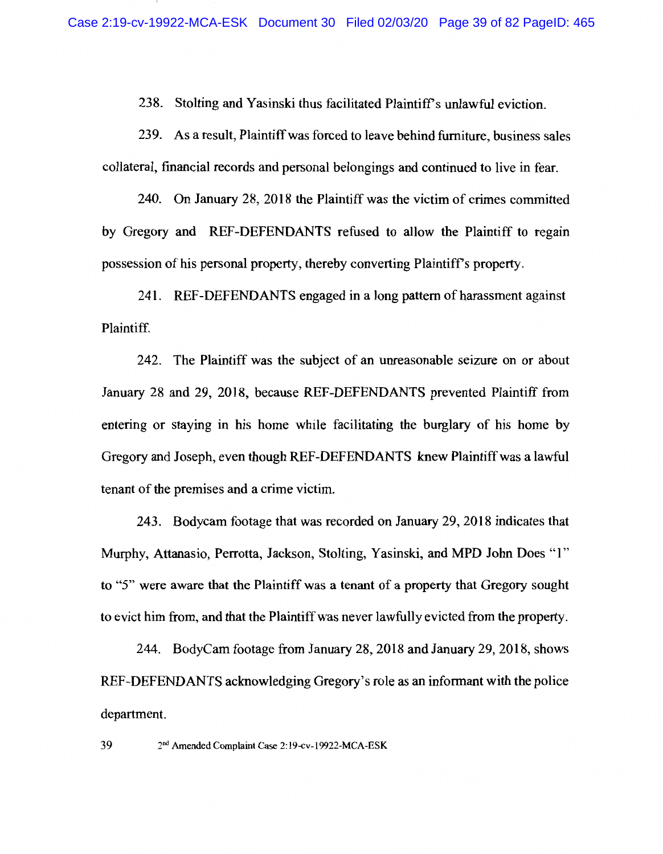238. Stolting and Yasinski thus facilitated Plaintiff's unlawful eviction.

239. As a result, Plaintiff was forced to leave behind furniture, business sales collateral, financial records and personal belongings and continued to live in fear.

240. On January 28, 2018 the Plaintiff was the victim of crimes committed by Gregory and REF-DEFENDANTS refused to allow the Plaintiff to regain possession of his personal property, thereby converting Plaintiff's property.

241. REF-DEFENDANTS engaged in a long pattern of harassment against Plaintiff.

242. The Plaintiff was the subject of an unreasonable seizure on or about January 28 and 29, 2018, because REF-DEFENDANTS prevented Plaintiff from entering or staving in his home while facilitating the burglary of his home by Gregory and Joseph, even though REF-DEFENDANTS knew Plaintiff was a lawful tenant of the premises and a crime victim.

243. Bodycam footage that was recorded on January 29, 2018 indicates that Murphy, Attanasio, Perrotta, Jackson, Stolting, Yasinski, and MPD John Does "1" to "5" were aware that the Plaintiff was a tenant of a property that Gregory sought to evict him from, and that the Plaintiff was never lawfully evicted from the property.

244. BodyCam footage from January 28, 2018 and January 29, 2018, shows REF-DEFENDANTS acknowledging Gregory's role as an informant with the police department.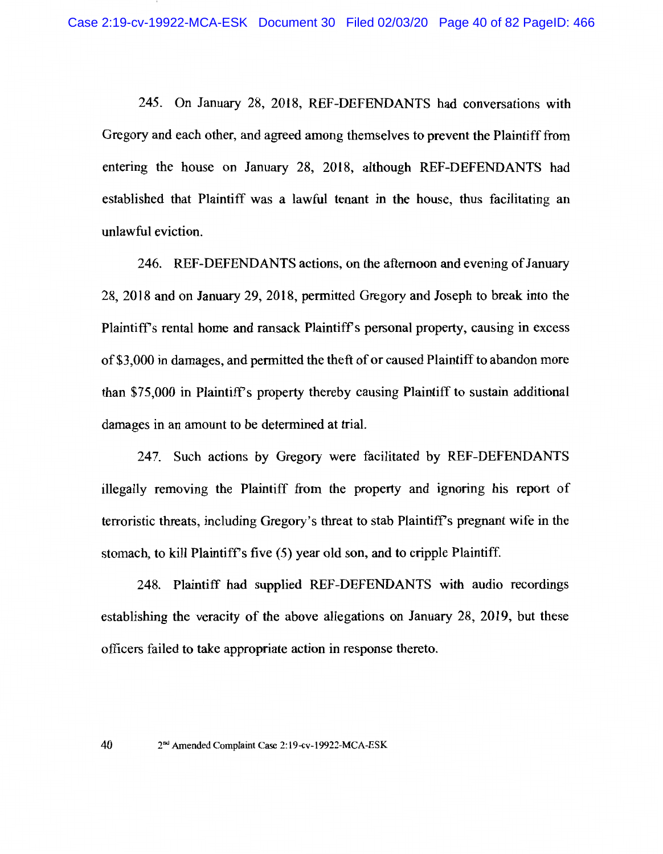245. On January 28, 2018, REF-DEFENDANTS had conversations with Gregory and each other, and agreed among themselves to prevent the Plaintiff from entering the house on January 28, 2018, although REF-DEFENDANTS had established that Plaintiff was a lawful tenant in the house, thus facilitating an unlawful eviction.

246. REF-DEFENDANTS actions, on the afternoon and evening of January 28, 2018 and on January 29, 2018, permitted Gregory and Joseph to break into the Plaintiff's rental home and ransack Plaintiff's personal property, causing in excess of \$3,000 in damages, and permitted the theft of or caused Plaintiff to abandon more than \$75,000 in Plaintiff's property thereby causing Plaintiff to sustain additional damages in an amount to be determined at trial.

247. Such actions by Gregory were facilitated by REF-DEFENDANTS illegally removing the Plaintiff from the property and ignoring his report of terroristic threats, including Gregory's threat to stab Plaintiff's pregnant wife in the stomach, to kill Plaintiff's five (5) year old son, and to cripple Plaintiff.

248. Plaintiff had supplied REF-DEFENDANTS with audio recordings establishing the veracity of the above allegations on January 28, 2019, but these officers failed to take appropriate action in response thereto.

2<sup>nd</sup> Amended Complaint Case 2:19-cv-19922-MCA-ESK

40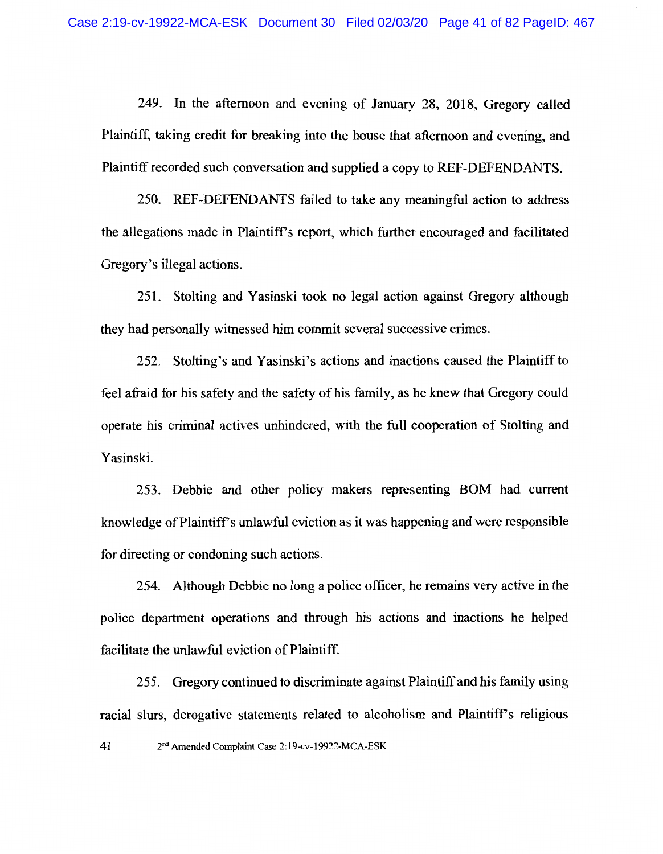249. In the afternoon and evening of January 28, 2018, Gregory called Plaintiff, taking credit for breaking into the house that afternoon and evening, and Plaintiff recorded such conversation and supplied a copy to REF-DEFENDANTS.

250. REF-DEFENDANTS failed to take any meaningful action to address the allegations made in Plaintiff's report, which further encouraged and facilitated Gregory's illegal actions.

251. Stolting and Yasinski took no legal action against Gregory although they had personally witnessed him commit several successive crimes.

252. Stolting's and Yasinski's actions and inactions caused the Plaintiff to feel afraid for his safety and the safety of his family, as he knew that Gregory could operate his criminal actives unhindered, with the full cooperation of Stolting and Yasinski.

253. Debbie and other policy makers representing BOM had current knowledge of Plaintiff's unlawful eviction as it was happening and were responsible for directing or condoning such actions.

254. Although Debbie no long a police officer, he remains very active in the police department operations and through his actions and inactions he helped facilitate the unlawful eviction of Plaintiff.

255. Gregory continued to discriminate against Plaintiff and his family using racial slurs, derogative statements related to alcoholism and Plaintiff's religious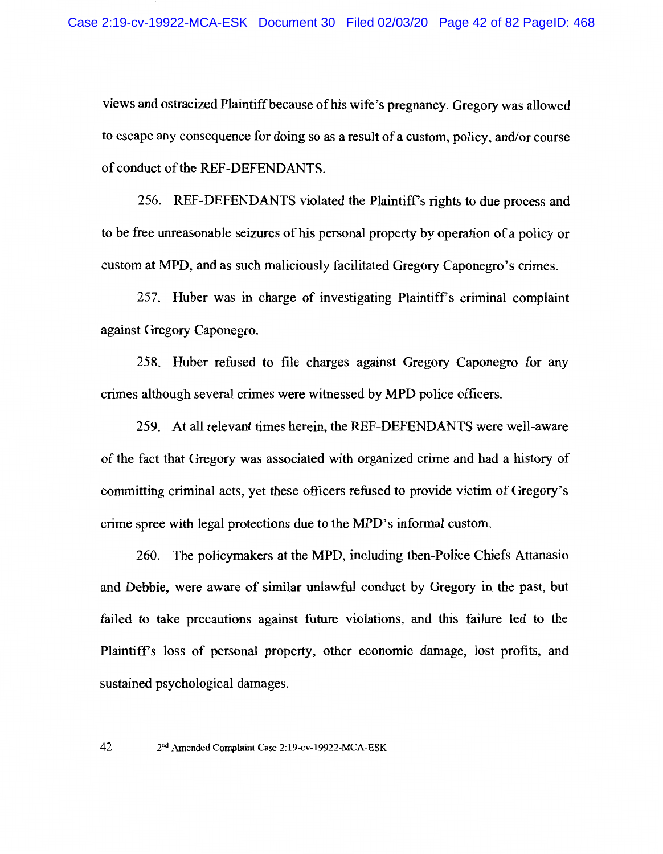views and ostracized Plaintiff because of his wife's pregnancy. Gregory was allowed to escape any consequence for doing so as a result of a custom, policy, and/or course of conduct of the REF-DEFENDANTS.

256. REF-DEFENDANTS violated the Plaintiff's rights to due process and to be free unreasonable seizures of his personal property by operation of a policy or custom at MPD, and as such maliciously facilitated Gregory Caponegro's crimes.

257. Huber was in charge of investigating Plaintiff's criminal complaint against Gregory Caponegro.

258. Huber refused to file charges against Gregory Caponegro for any crimes although several crimes were witnessed by MPD police officers.

259. At all relevant times herein, the REF-DEFENDANTS were well-aware of the fact that Gregory was associated with organized crime and had a history of committing criminal acts, yet these officers refused to provide victim of Gregory's crime spree with legal protections due to the MPD's informal custom.

260. The policymakers at the MPD, including then-Police Chiefs Attanasio and Debbie, were aware of similar unlawful conduct by Gregory in the past, but failed to take precautions against future violations, and this failure led to the Plaintiff's loss of personal property, other economic damage, lost profits, and sustained psychological damages.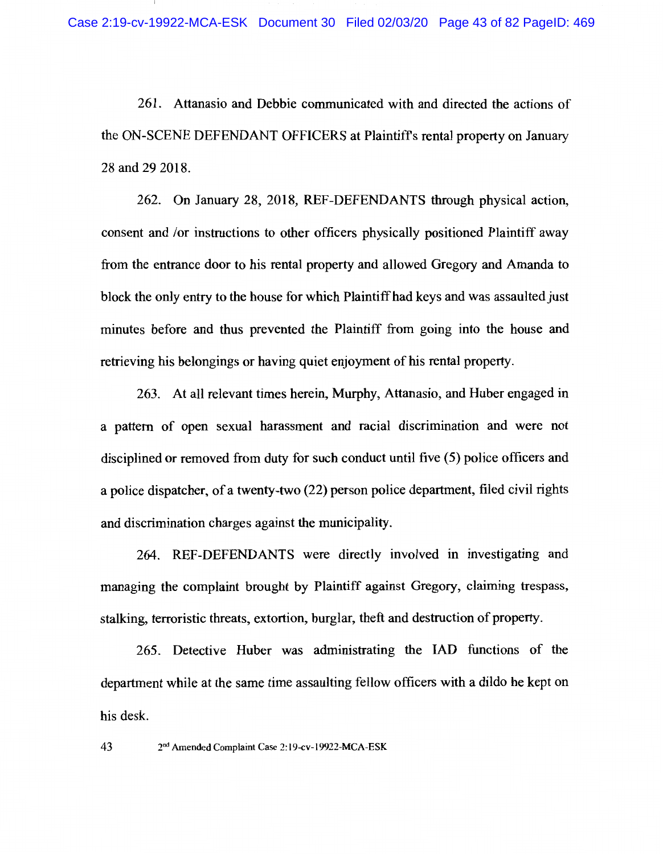261. Attanasio and Debbie communicated with and directed the actions of the ON-SCENE DEFENDANT OFFICERS at Plaintiff's rental property on January 28 and 29 2018.

262. On January 28, 2018, REF-DEFENDANTS through physical action, consent and /or instructions to other officers physically positioned Plaintiff away from the entrance door to his rental property and allowed Gregory and Amanda to block the only entry to the house for which Plaintiff had keys and was assaulted just minutes before and thus prevented the Plaintiff from going into the house and retrieving his belongings or having quiet enjoyment of his rental property.

263. At all relevant times herein, Murphy, Attanasio, and Huber engaged in a pattern of open sexual harassment and racial discrimination and were not disciplined or removed from duty for such conduct until five (5) police officers and a police dispatcher, of a twenty-two (22) person police department, filed civil rights and discrimination charges against the municipality.

264. REF-DEFENDANTS were directly involved in investigating and managing the complaint brought by Plaintiff against Gregory, claiming trespass, stalking, terroristic threats, extortion, burglar, theft and destruction of property.

265. Detective Huber was administrating the IAD functions of the department while at the same time assaulting fellow officers with a dildo he kept on his desk.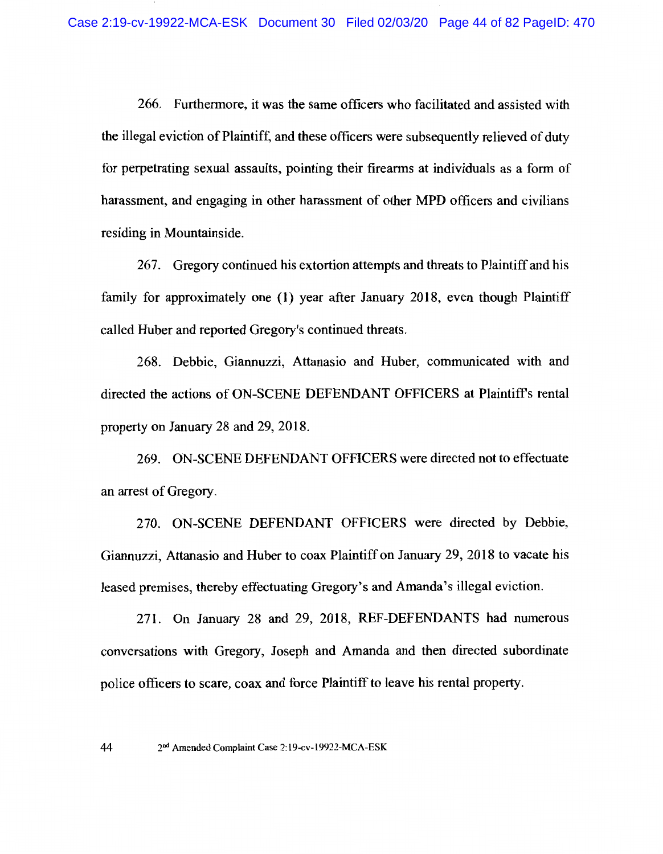266. Furthermore, it was the same officers who facilitated and assisted with the illegal eviction of Plaintiff, and these officers were subsequently relieved of duty for perpetrating sexual assaults, pointing their firearms at individuals as a form of harassment, and engaging in other harassment of other MPD officers and civilians residing in Mountainside.

267. Gregory continued his extortion attempts and threats to Plaintiff and his family for approximately one (1) year after January 2018, even though Plaintiff called Huber and reported Gregory's continued threats.

268. Debbie, Giannuzzi, Attanasio and Huber, communicated with and directed the actions of ON-SCENE DEFENDANT OFFICERS at Plaintiff's rental property on January 28 and 29, 2018.

269. ON-SCENE DEFENDANT OFFICERS were directed not to effectuate an arrest of Gregory.

270. ON-SCENE DEFENDANT OFFICERS were directed by Debbie, Giannuzzi, Attanasio and Huber to coax Plaintiff on January 29, 2018 to vacate his leased premises, thereby effectuating Gregory's and Amanda's illegal eviction.

271. On January 28 and 29, 2018, REF-DEFENDANTS had numerous conversations with Gregory, Joseph and Amanda and then directed subordinate police officers to scare, coax and force Plaintiff to leave his rental property.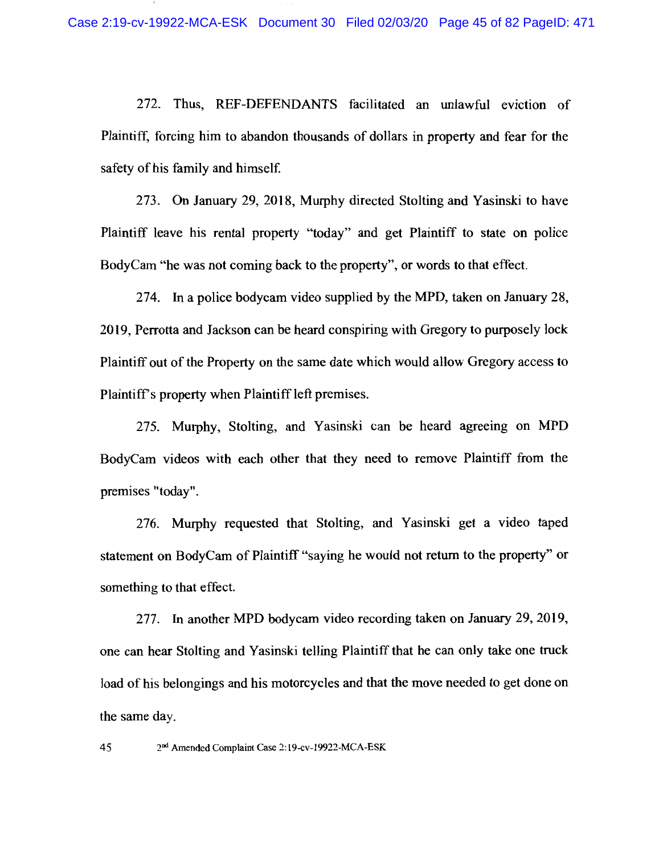272. Thus, REF-DEFENDANTS facilitated an unlawful eviction of Plaintiff, forcing him to abandon thousands of dollars in property and fear for the safety of his family and himself.

273. On January 29, 2018, Murphy directed Stolting and Yasinski to have Plaintiff leave his rental property "today" and get Plaintiff to state on police BodyCam "he was not coming back to the property", or words to that effect.

274. In a police bodycam video supplied by the MPD, taken on January 28, 2019, Perrotta and Jackson can be heard conspiring with Gregory to purposely lock Plaintiff out of the Property on the same date which would allow Gregory access to Plaintiff's property when Plaintiff left premises.

275. Murphy, Stolting, and Yasinski can be heard agreeing on MPD BodyCam videos with each other that they need to remove Plaintiff from the premises "today".

276. Murphy requested that Stolting, and Yasinski get a video taped statement on BodyCam of Plaintiff "saying he would not return to the property" or something to that effect.

277. In another MPD bodycam video recording taken on January 29, 2019, one can hear Stolting and Yasinski telling Plaintiff that he can only take one truck load of his belongings and his motorcycles and that the move needed to get done on the same day.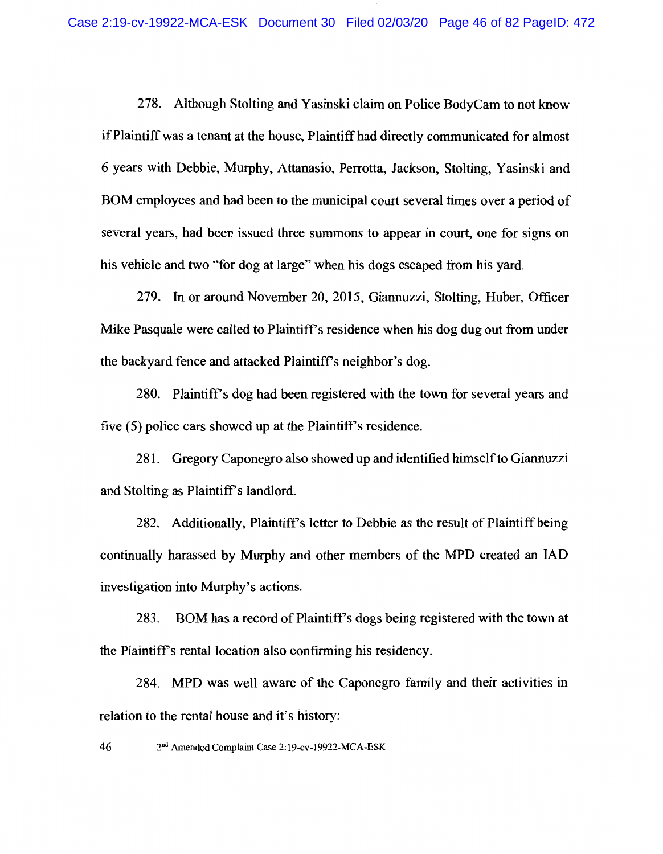278. Although Stolting and Yasinski claim on Police BodyCam to not know if Plaintiff was a tenant at the house, Plaintiff had directly communicated for almost 6 years with Debbie, Murphy, Attanasio, Perrotta, Jackson, Stolting, Yasinski and BOM employees and had been to the municipal court several times over a period of several years, had been issued three summons to appear in court, one for signs on his vehicle and two "for dog at large" when his dogs escaped from his vard.

279. In or around November 20, 2015, Giannuzzi, Stolting, Huber, Officer Mike Pasquale were called to Plaintiff's residence when his dog dug out from under the backyard fence and attacked Plaintiff's neighbor's dog.

280. Plaintiff's dog had been registered with the town for several years and five (5) police cars showed up at the Plaintiff's residence.

281. Gregory Caponegro also showed up and identified himself to Giannuzzi and Stolting as Plaintiff's landlord.

282. Additionally, Plaintiff's letter to Debbie as the result of Plaintiff being continually harassed by Murphy and other members of the MPD created an IAD investigation into Murphy's actions.

BOM has a record of Plaintiff's dogs being registered with the town at 283. the Plaintiff's rental location also confirming his residency.

284. MPD was well aware of the Caponegro family and their activities in relation to the rental house and it's history:

46 2nd Amended Complaint Case 2:19-cv-19922-MCA-ESK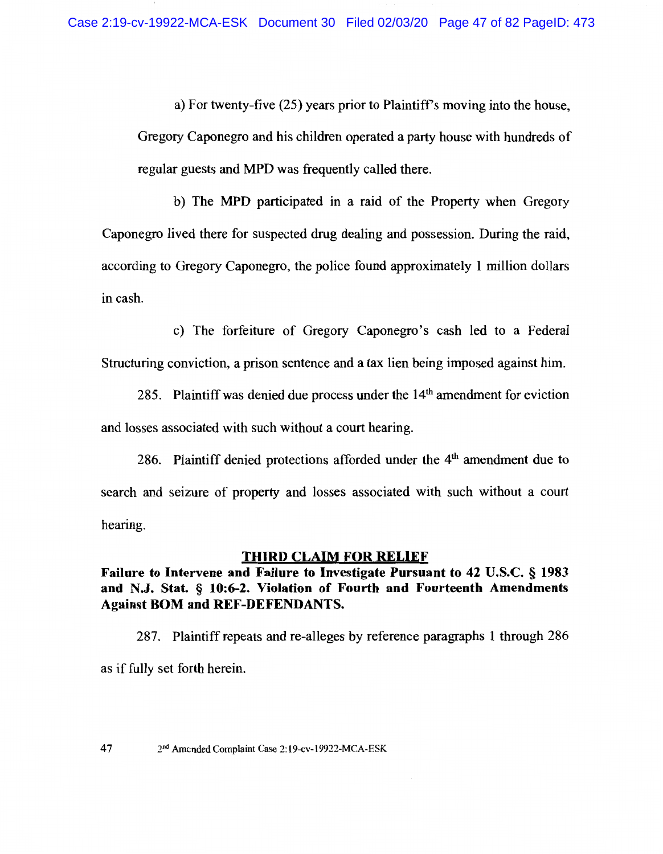a) For twenty-five (25) years prior to Plaintiff's moving into the house. Gregory Caponegro and his children operated a party house with hundreds of regular guests and MPD was frequently called there.

b) The MPD participated in a raid of the Property when Gregory Caponegro lived there for suspected drug dealing and possession. During the raid, according to Gregory Caponegro, the police found approximately 1 million dollars in cash.

c) The forfeiture of Gregory Caponegro's cash led to a Federal Structuring conviction, a prison sentence and a tax lien being imposed against him.

285. Plaintiff was denied due process under the 14<sup>th</sup> amendment for eviction and losses associated with such without a court hearing.

286. Plaintiff denied protections afforded under the  $4<sup>th</sup>$  amendment due to search and seizure of property and losses associated with such without a court hearing.

### **THIRD CLAIM FOR RELIEF**

## Failure to Intervene and Failure to Investigate Pursuant to 42 U.S.C. § 1983 and N.J. Stat. § 10:6-2. Violation of Fourth and Fourteenth Amendments **Against BOM and REF-DEFENDANTS.**

287. Plaintiff repeats and re-alleges by reference paragraphs 1 through 286 as if fully set forth herein.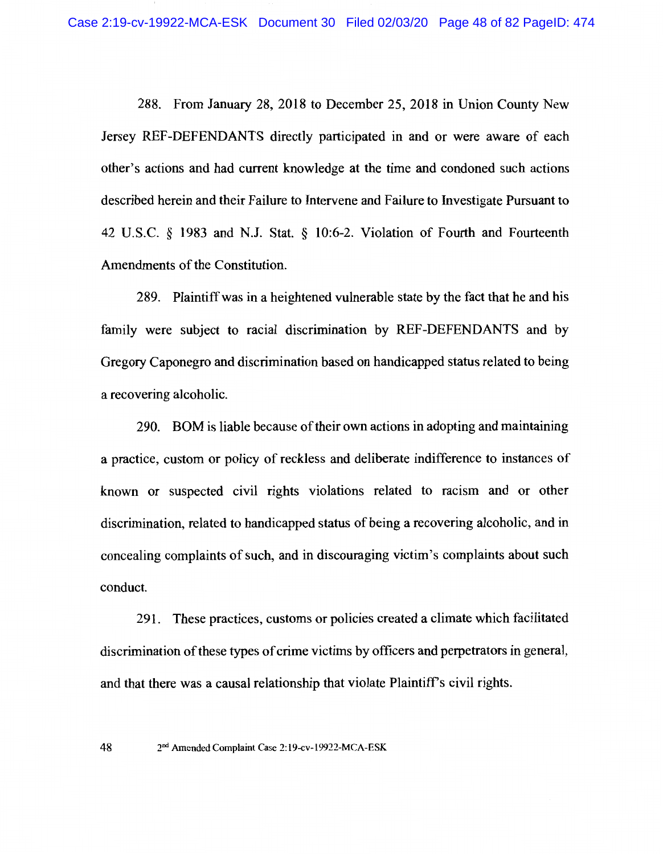288. From January 28, 2018 to December 25, 2018 in Union County New Jersey REF-DEFENDANTS directly participated in and or were aware of each other's actions and had current knowledge at the time and condoned such actions described herein and their Failure to Intervene and Failure to Investigate Pursuant to 42 U.S.C. § 1983 and N.J. Stat. § 10:6-2. Violation of Fourth and Fourteenth Amendments of the Constitution.

289. Plaintiff was in a heightened vulnerable state by the fact that he and his family were subject to racial discrimination by REF-DEFENDANTS and by Gregory Caponegro and discrimination based on handicapped status related to being a recovering alcoholic.

290. BOM is liable because of their own actions in adopting and maintaining a practice, custom or policy of reckless and deliberate indifference to instances of known or suspected civil rights violations related to racism and or other discrimination, related to handicapped status of being a recovering alcoholic, and in concealing complaints of such, and in discouraging victim's complaints about such conduct.

291. These practices, customs or policies created a climate which facilitated discrimination of these types of crime victims by officers and perpetrators in general, and that there was a causal relationship that violate Plaintiff's civil rights.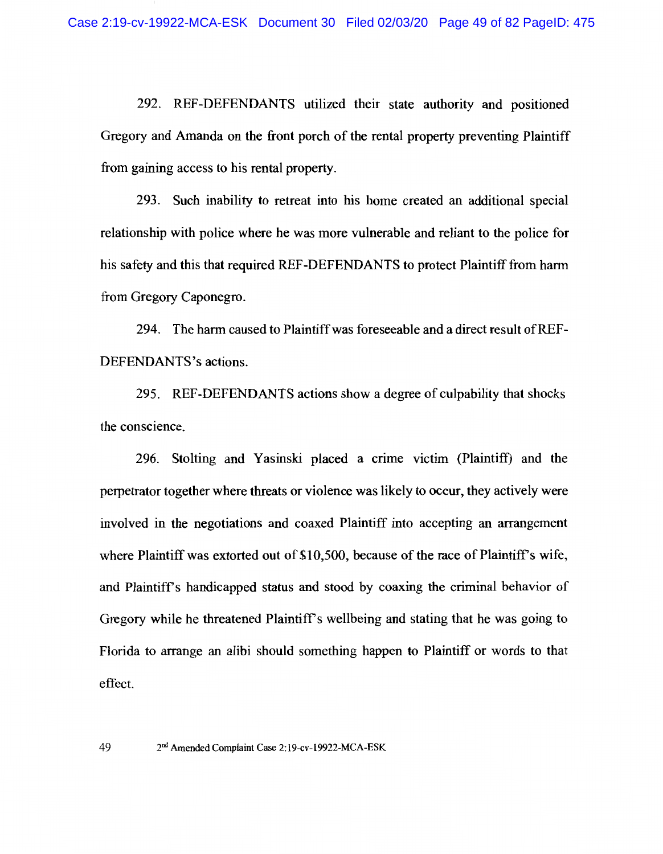292. REF-DEFENDANTS utilized their state authority and positioned Gregory and Amanda on the front porch of the rental property preventing Plaintiff from gaining access to his rental property.

293. Such inability to retreat into his home created an additional special relationship with police where he was more vulnerable and reliant to the police for his safety and this that required REF-DEFENDANTS to protect Plaintiff from harm from Gregory Caponegro.

294. The harm caused to Plaintiff was foreseeable and a direct result of REF-DEFENDANTS's actions.

295. REF-DEFENDANTS actions show a degree of culpability that shocks the conscience.

296. Stolting and Yasinski placed a crime victim (Plaintiff) and the perpetrator together where threats or violence was likely to occur, they actively were involved in the negotiations and coaxed Plaintiff into accepting an arrangement where Plaintiff was extorted out of \$10,500, because of the race of Plaintiff's wife, and Plaintiff's handicapped status and stood by coaxing the criminal behavior of Gregory while he threatened Plaintiff's wellbeing and stating that he was going to Florida to arrange an alibi should something happen to Plaintiff or words to that effect.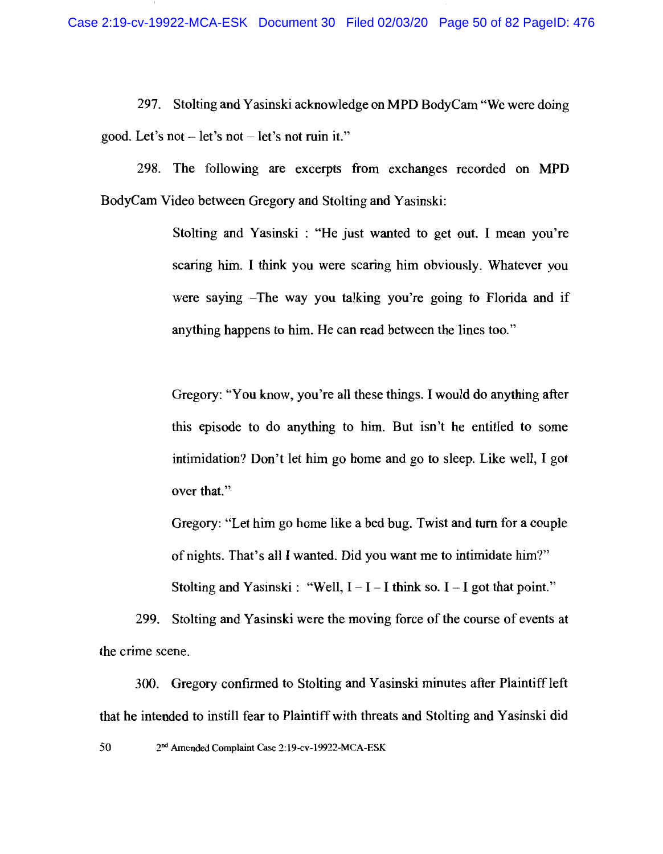297. Stolting and Yasinski acknowledge on MPD BodyCam "We were doing good. Let's not  $-$  let's not  $-$  let's not ruin it."

298. The following are excerpts from exchanges recorded on MPD BodyCam Video between Gregory and Stolting and Yasinski:

> Stolting and Yasinski: "He just wanted to get out. I mean you're scaring him. I think you were scaring him obviously. Whatever you were saying -The way you talking you're going to Florida and if anything happens to him. He can read between the lines too."

> Gregory: "You know, you're all these things. I would do anything after this episode to do anything to him. But isn't he entitled to some intimidation? Don't let him go home and go to sleep. Like well, I got over that."

> Gregory: "Let him go home like a bed bug. Twist and turn for a couple of nights. That's all I wanted. Did you want me to intimidate him?"

Stolting and Yasinski : "Well,  $I - I - I$  think so.  $I - I$  got that point."

299. Stolting and Yasinski were the moving force of the course of events at the crime scene.

300. Gregory confirmed to Stolting and Yasinski minutes after Plaintiff left that he intended to instill fear to Plaintiff with threats and Stolting and Yasinski did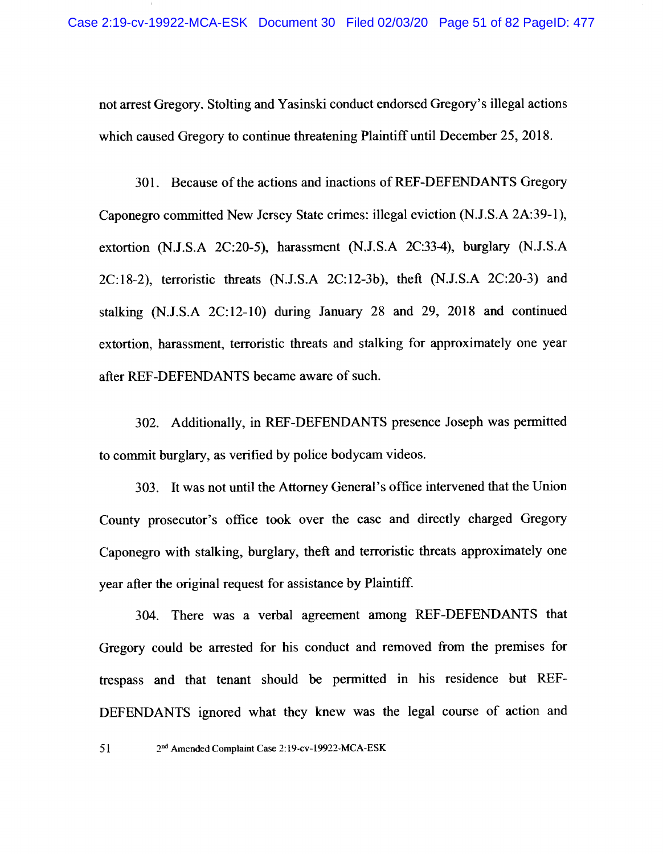not arrest Gregory. Stolting and Yasinski conduct endorsed Gregory's illegal actions which caused Gregory to continue threatening Plaintiff until December 25, 2018.

301. Because of the actions and inactions of REF-DEFENDANTS Gregory Caponegro committed New Jersey State crimes: illegal eviction (N.J.S.A 2A:39-1), extortion (N.J.S.A 2C:20-5), harassment (N.J.S.A 2C:33-4), burglary (N.J.S.A 2C:18-2), terroristic threats (N.J.S.A 2C:12-3b), theft (N.J.S.A 2C:20-3) and stalking (N.J.S.A 2C:12-10) during January 28 and 29, 2018 and continued extortion, harassment, terroristic threats and stalking for approximately one year after REF-DEFENDANTS became aware of such.

302. Additionally, in REF-DEFENDANTS presence Joseph was permitted to commit burglary, as verified by police bodycam videos.

303. It was not until the Attorney General's office intervened that the Union County prosecutor's office took over the case and directly charged Gregory Caponegro with stalking, burglary, theft and terroristic threats approximately one vear after the original request for assistance by Plaintiff.

304. There was a verbal agreement among REF-DEFENDANTS that Gregory could be arrested for his conduct and removed from the premises for trespass and that tenant should be permitted in his residence but REF-DEFENDANTS ignored what they knew was the legal course of action and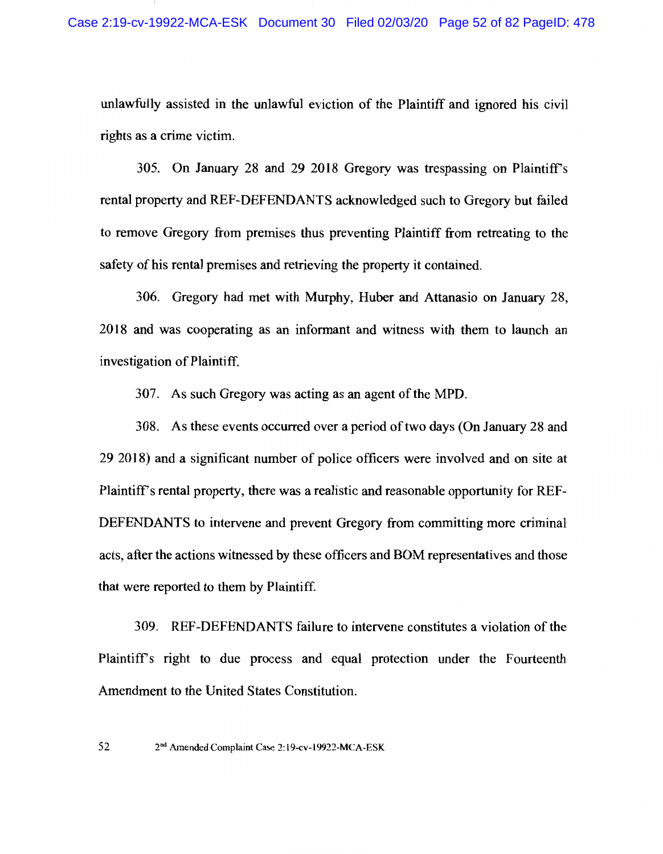unlawfully assisted in the unlawful eviction of the Plaintiff and ignored his civil rights as a crime victim.

305. On January 28 and 29 2018 Gregory was trespassing on Plaintiff's rental property and REF-DEFENDANTS acknowledged such to Gregory but failed to remove Gregory from premises thus preventing Plaintiff from retreating to the safety of his rental premises and retrieving the property it contained.

306. Gregory had met with Murphy, Huber and Attanasio on January 28, 2018 and was cooperating as an informant and witness with them to launch an investigation of Plaintiff.

307. As such Gregory was acting as an agent of the MPD.

308. As these events occurred over a period of two days (On January 28 and 29 2018) and a significant number of police officers were involved and on site at Plaintiff's rental property, there was a realistic and reasonable opportunity for REF-DEFENDANTS to intervene and prevent Gregory from committing more criminal acts, after the actions witnessed by these officers and BOM representatives and those that were reported to them by Plaintiff.

309. REF-DEFENDANTS failure to intervene constitutes a violation of the Plaintiff's right to due process and equal protection under the Fourteenth Amendment to the United States Constitution.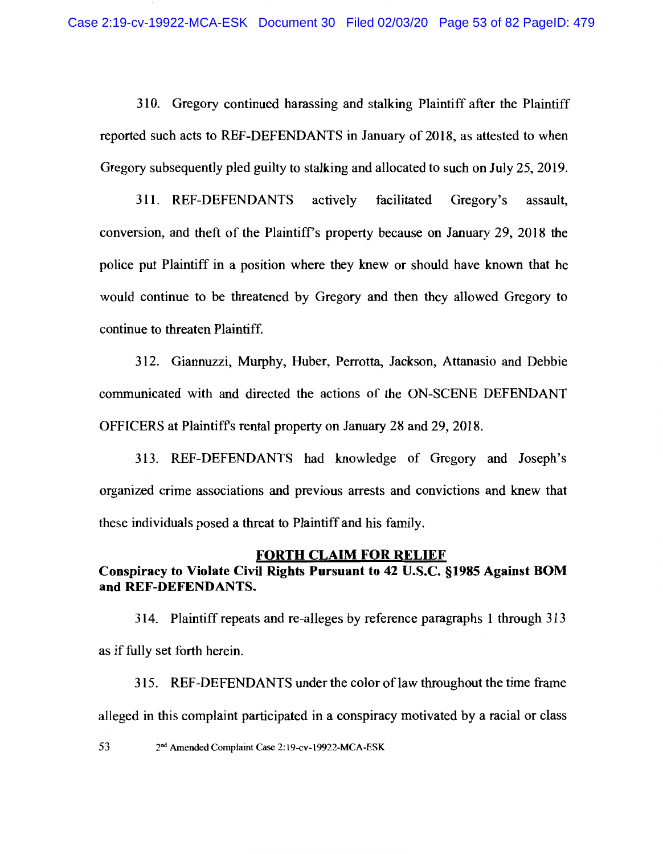310. Gregory continued harassing and stalking Plaintiff after the Plaintiff reported such acts to REF-DEFENDANTS in January of 2018, as attested to when Gregory subsequently pled guilty to stalking and allocated to such on July 25, 2019.

311. REF-DEFENDANTS actively facilitated Gregory's assault. conversion, and theft of the Plaintiff's property because on January 29, 2018 the police put Plaintiff in a position where they knew or should have known that he would continue to be threatened by Gregory and then they allowed Gregory to continue to threaten Plaintiff.

312. Giannuzzi, Murphy, Huber, Perrotta, Jackson, Attanasio and Debbie communicated with and directed the actions of the ON-SCENE DEFENDANT OFFICERS at Plaintiff's rental property on January 28 and 29, 2018.

313. REF-DEFENDANTS had knowledge of Gregory and Joseph's organized crime associations and previous arrests and convictions and knew that these individuals posed a threat to Plaintiff and his family.

#### **FORTH CLAIM FOR RELIEF**

# Conspiracy to Violate Civil Rights Pursuant to 42 U.S.C. §1985 Against BOM and REF-DEFENDANTS.

314. Plaintiff repeats and re-alleges by reference paragraphs 1 through 313 as if fully set forth herein.

315. REF-DEFENDANTS under the color of law throughout the time frame alleged in this complaint participated in a conspiracy motivated by a racial or class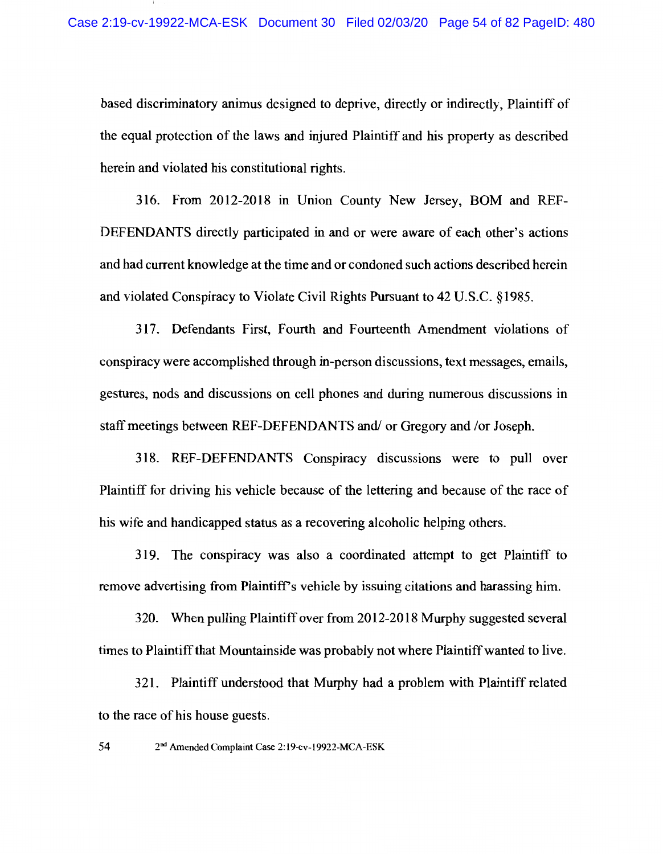based discriminatory animus designed to deprive, directly or indirectly, Plaintiff of the equal protection of the laws and injured Plaintiff and his property as described herein and violated his constitutional rights.

316. From 2012-2018 in Union County New Jersey, BOM and REF-DEFENDANTS directly participated in and or were aware of each other's actions and had current knowledge at the time and or condoned such actions described herein and violated Conspiracy to Violate Civil Rights Pursuant to 42 U.S.C. §1985.

317. Defendants First, Fourth and Fourteenth Amendment violations of conspiracy were accomplished through in-person discussions, text messages, emails, gestures, nods and discussions on cell phones and during numerous discussions in staff meetings between REF-DEFENDANTS and/ or Gregory and /or Joseph.

318. REF-DEFENDANTS Conspiracy discussions were to pull over Plaintiff for driving his vehicle because of the lettering and because of the race of his wife and handicapped status as a recovering alcoholic helping others.

319. The conspiracy was also a coordinated attempt to get Plaintiff to remove advertising from Plaintiff's vehicle by issuing citations and harassing him.

320. When pulling Plaintiff over from 2012-2018 Murphy suggested several times to Plaintiff that Mountainside was probably not where Plaintiff wanted to live.

321. Plaintiff understood that Murphy had a problem with Plaintiff related to the race of his house guests.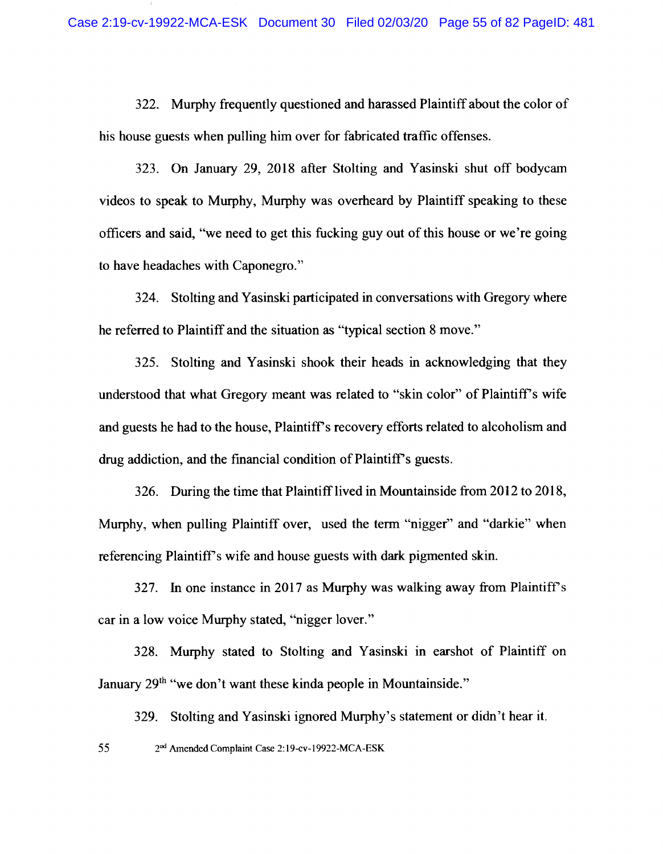322. Murphy frequently questioned and harassed Plaintiff about the color of his house guests when pulling him over for fabricated traffic offenses.

323. On January 29, 2018 after Stolting and Yasinski shut off bodycam videos to speak to Murphy, Murphy was overheard by Plaintiff speaking to these officers and said, "we need to get this fucking guy out of this house or we're going to have headaches with Caponegro."

324. Stolting and Yasinski participated in conversations with Gregory where he referred to Plaintiff and the situation as "typical section 8 move."

325. Stolting and Yasinski shook their heads in acknowledging that they understood that what Gregory meant was related to "skin color" of Plaintiff's wife and guests he had to the house, Plaintiff's recovery efforts related to alcoholism and drug addiction, and the financial condition of Plaintiff's guests.

326. During the time that Plaintiff lived in Mountainside from 2012 to 2018, Murphy, when pulling Plaintiff over, used the term "nigger" and "darkie" when referencing Plaintiff's wife and house guests with dark pigmented skin.

327. In one instance in 2017 as Murphy was walking away from Plaintiff's car in a low voice Murphy stated, "nigger lover."

328. Murphy stated to Stolting and Yasinski in earshot of Plaintiff on January 29<sup>th</sup> "we don't want these kinda people in Mountainside."

329. Stolting and Yasinski ignored Murphy's statement or didn't hear it.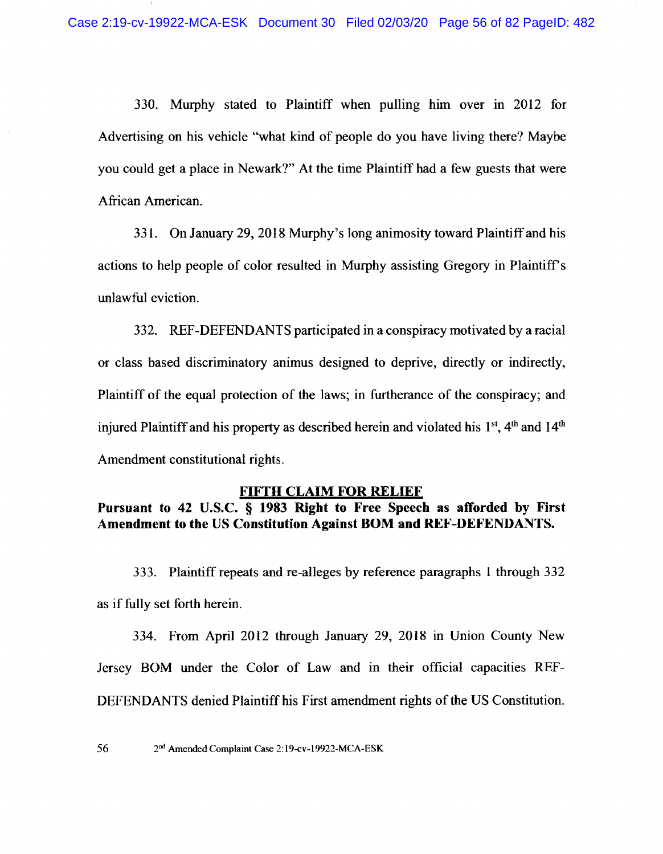330. Murphy stated to Plaintiff when pulling him over in 2012 for Advertising on his vehicle "what kind of people do you have living there? Maybe you could get a place in Newark?" At the time Plaintiff had a few guests that were African American.

331. On January 29, 2018 Murphy's long animosity toward Plaintiff and his actions to help people of color resulted in Murphy assisting Gregory in Plaintiff's unlawful eviction.

332. REF-DEFENDANTS participated in a conspiracy motivated by a racial or class based discriminatory animus designed to deprive, directly or indirectly, Plaintiff of the equal protection of the laws; in furtherance of the conspiracy; and injured Plaintiff and his property as described herein and violated his 1<sup>st</sup>, 4<sup>th</sup> and 14<sup>th</sup> Amendment constitutional rights.

#### **FIFTH CLAIM FOR RELIEF**

Pursuant to 42 U.S.C. § 1983 Right to Free Speech as afforded by First Amendment to the US Constitution Against BOM and REF-DEFENDANTS.

333. Plaintiff repeats and re-alleges by reference paragraphs 1 through 332 as if fully set forth herein.

334. From April 2012 through January 29, 2018 in Union County New Jersey BOM under the Color of Law and in their official capacities REF-DEFENDANTS denied Plaintiff his First amendment rights of the US Constitution.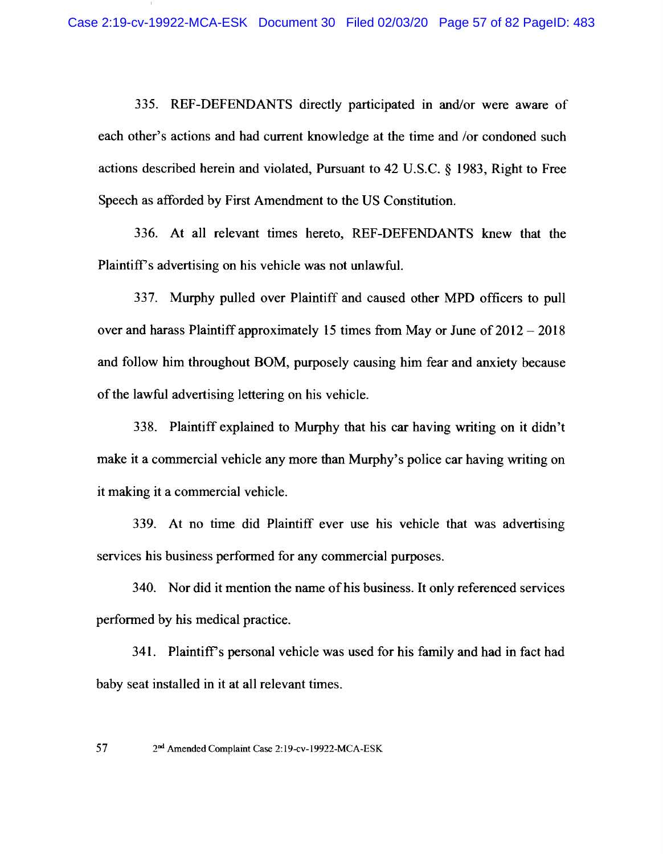335. REF-DEFENDANTS directly participated in and/or were aware of each other's actions and had current knowledge at the time and /or condoned such actions described herein and violated, Pursuant to 42 U.S.C. § 1983, Right to Free Speech as afforded by First Amendment to the US Constitution.

336. At all relevant times hereto, REF-DEFENDANTS knew that the Plaintiff's advertising on his vehicle was not unlawful.

337. Murphy pulled over Plaintiff and caused other MPD officers to pull over and harass Plaintiff approximately 15 times from May or June of  $2012 - 2018$ and follow him throughout BOM, purposely causing him fear and anxiety because of the lawful advertising lettering on his vehicle.

338. Plaintiff explained to Murphy that his car having writing on it didn't make it a commercial vehicle any more than Murphy's police car having writing on it making it a commercial vehicle.

339. At no time did Plaintiff ever use his vehicle that was advertising services his business performed for any commercial purposes.

340. Nor did it mention the name of his business. It only referenced services performed by his medical practice.

341. Plaintiff's personal vehicle was used for his family and had in fact had baby seat installed in it at all relevant times.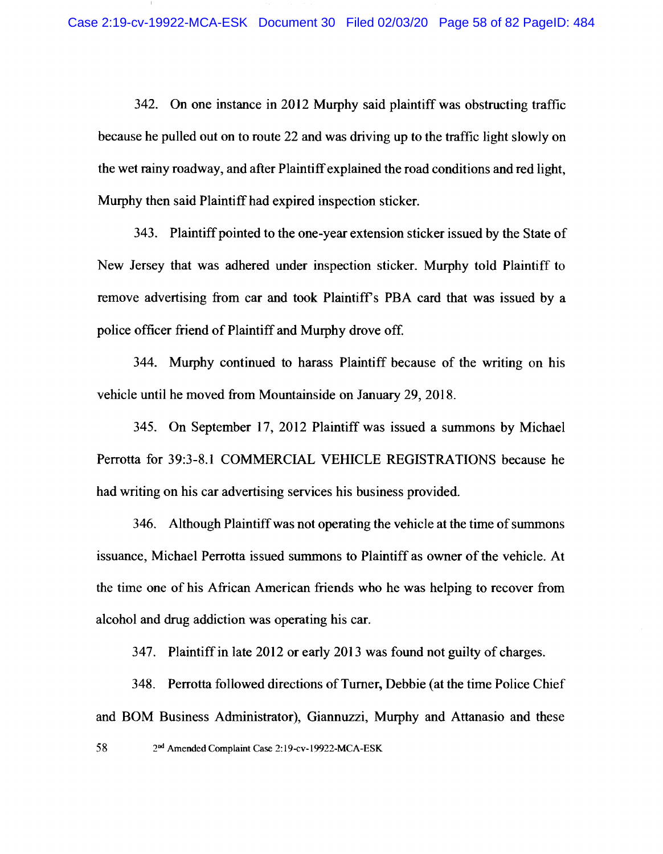342. On one instance in 2012 Murphy said plaintiff was obstructing traffic because he pulled out on to route 22 and was driving up to the traffic light slowly on the wet rainy roadway, and after Plaintiff explained the road conditions and red light, Murphy then said Plaintiff had expired inspection sticker.

343. Plaintiff pointed to the one-year extension sticker issued by the State of New Jersey that was adhered under inspection sticker. Murphy told Plaintiff to remove advertising from car and took Plaintiff's PBA card that was issued by a police officer friend of Plaintiff and Murphy drove off.

344. Murphy continued to harass Plaintiff because of the writing on his vehicle until he moved from Mountainside on January 29, 2018.

345. On September 17, 2012 Plaintiff was issued a summons by Michael Perrotta for 39:3-8.1 COMMERCIAL VEHICLE REGISTRATIONS because he had writing on his car advertising services his business provided.

346. Although Plaintiff was not operating the vehicle at the time of summons issuance, Michael Perrotta issued summons to Plaintiff as owner of the vehicle. At the time one of his African American friends who he was helping to recover from alcohol and drug addiction was operating his car.

347. Plaintiff in late 2012 or early 2013 was found not guilty of charges.

348. Perrotta followed directions of Turner, Debbie (at the time Police Chief and BOM Business Administrator), Giannuzzi, Murphy and Attanasio and these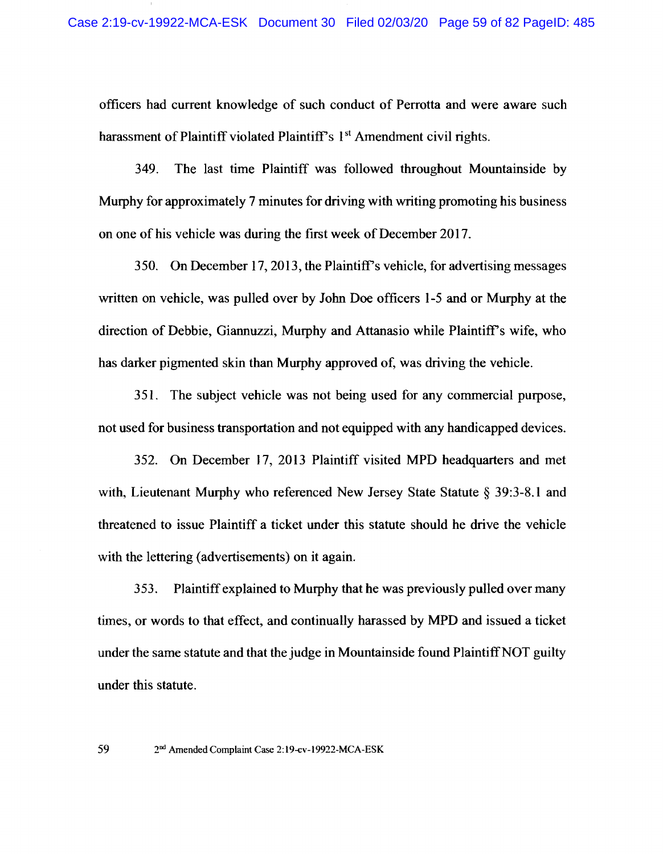officers had current knowledge of such conduct of Perrotta and were aware such harassment of Plaintiff violated Plaintiff's 1<sup>st</sup> Amendment civil rights.

349. The last time Plaintiff was followed throughout Mountainside by Murphy for approximately 7 minutes for driving with writing promoting his business on one of his vehicle was during the first week of December 2017.

350. On December 17, 2013, the Plaintiff's vehicle, for advertising messages written on vehicle, was pulled over by John Doe officers 1-5 and or Murphy at the direction of Debbie, Giannuzzi, Murphy and Attanasio while Plaintiff's wife, who has darker pigmented skin than Murphy approved of, was driving the vehicle.

351. The subject vehicle was not being used for any commercial purpose, not used for business transportation and not equipped with any handicapped devices.

352. On December 17, 2013 Plaintiff visited MPD headquarters and met with, Lieutenant Murphy who referenced New Jersey State Statute § 39:3-8.1 and threatened to issue Plaintiff a ticket under this statute should he drive the vehicle with the lettering (advertisements) on it again.

Plaintiff explained to Murphy that he was previously pulled over many 353. times, or words to that effect, and continually harassed by MPD and issued a ticket under the same statute and that the judge in Mountainside found Plaintiff NOT guilty under this statute.

2<sup>nd</sup> Amended Complaint Case 2:19-cv-19922-MCA-ESK

59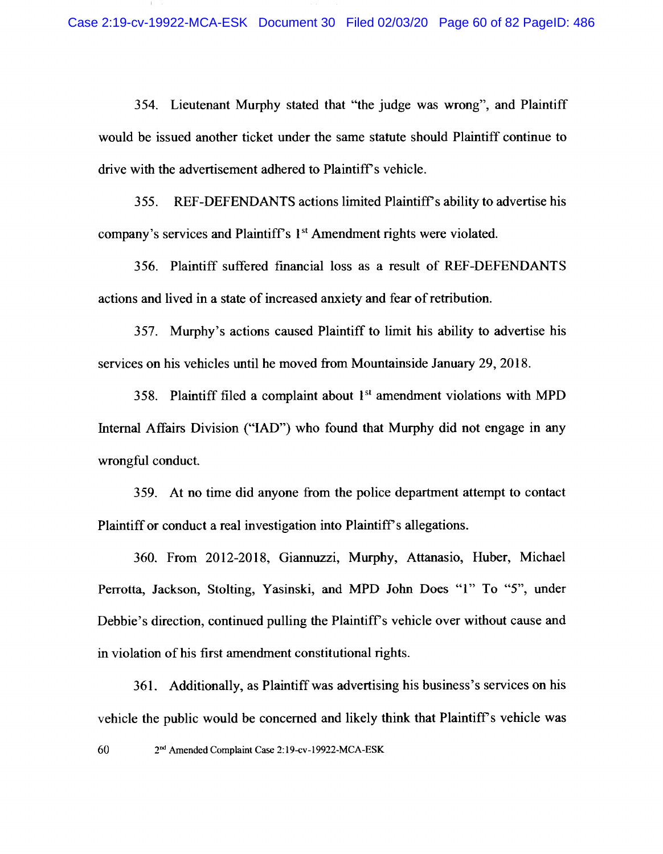354. Lieutenant Murphy stated that "the judge was wrong", and Plaintiff would be issued another ticket under the same statute should Plaintiff continue to drive with the advertisement adhered to Plaintiff's vehicle.

355. REF-DEFENDANTS actions limited Plaintiff's ability to advertise his company's services and Plaintiff's 1<sup>st</sup> Amendment rights were violated.

356. Plaintiff suffered financial loss as a result of REF-DEFENDANTS actions and lived in a state of increased anxiety and fear of retribution.

357. Murphy's actions caused Plaintiff to limit his ability to advertise his services on his vehicles until he moved from Mountainside January 29, 2018.

358. Plaintiff filed a complaint about 1<sup>st</sup> amendment violations with MPD Internal Affairs Division ("IAD") who found that Murphy did not engage in any wrongful conduct.

359. At no time did anyone from the police department attempt to contact Plaintiff or conduct a real investigation into Plaintiff's allegations.

360. From 2012-2018, Giannuzzi, Murphy, Attanasio, Huber, Michael Perrotta, Jackson, Stolting, Yasinski, and MPD John Does "1" To "5", under Debbie's direction, continued pulling the Plaintiff's vehicle over without cause and in violation of his first amendment constitutional rights.

361. Additionally, as Plaintiff was advertising his business's services on his vehicle the public would be concerned and likely think that Plaintiff's vehicle was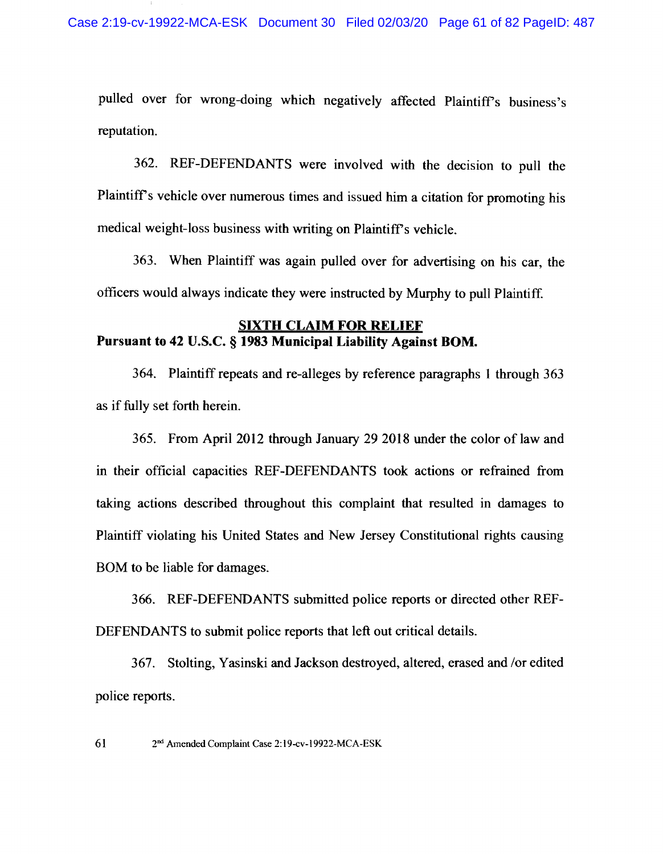pulled over for wrong-doing which negatively affected Plaintiff's business's reputation.

362. REF-DEFENDANTS were involved with the decision to pull the Plaintiff's vehicle over numerous times and issued him a citation for promoting his medical weight-loss business with writing on Plaintiff's vehicle.

363. When Plaintiff was again pulled over for advertising on his car, the officers would always indicate they were instructed by Murphy to pull Plaintiff.

### **SIXTH CLAIM FOR RELIEF** Pursuant to 42 U.S.C. § 1983 Municipal Liability Against BOM.

364. Plaintiff repeats and re-alleges by reference paragraphs 1 through 363 as if fully set forth herein.

365. From April 2012 through January 29 2018 under the color of law and in their official capacities REF-DEFENDANTS took actions or refrained from taking actions described throughout this complaint that resulted in damages to Plaintiff violating his United States and New Jersey Constitutional rights causing BOM to be liable for damages.

366. REF-DEFENDANTS submitted police reports or directed other REF-DEFENDANTS to submit police reports that left out critical details.

367. Stolting, Yasinski and Jackson destroyed, altered, erased and /or edited police reports.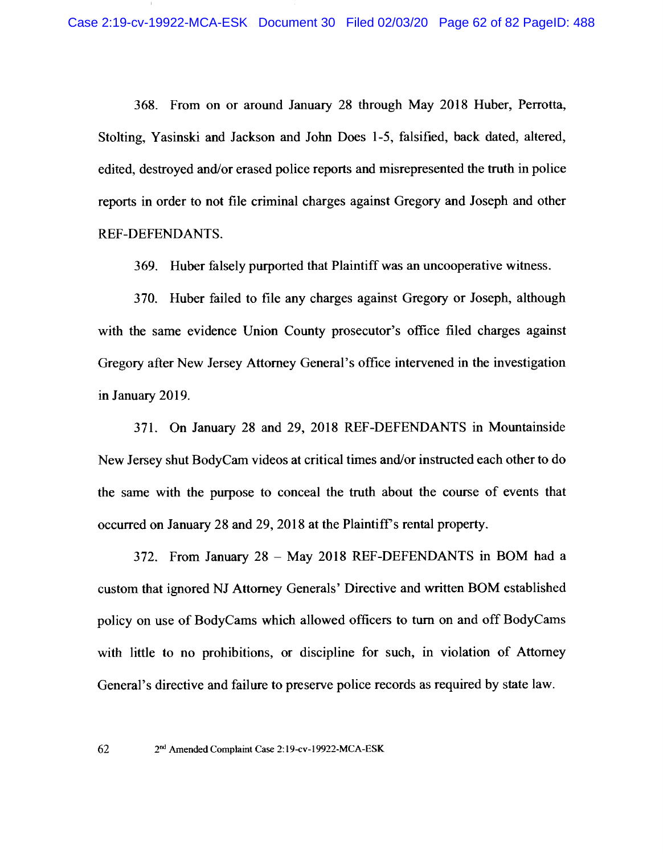368. From on or around January 28 through May 2018 Huber, Perrotta, Stolting, Yasinski and Jackson and John Does 1-5, falsified, back dated, altered, edited, destroyed and/or erased police reports and misrepresented the truth in police reports in order to not file criminal charges against Gregory and Joseph and other REF-DEFENDANTS.

369. Huber falsely purported that Plaintiff was an uncooperative witness.

370. Huber failed to file any charges against Gregory or Joseph, although with the same evidence Union County prosecutor's office filed charges against Gregory after New Jersey Attorney General's office intervened in the investigation in January 2019.

371. On January 28 and 29, 2018 REF-DEFENDANTS in Mountainside New Jersey shut BodyCam videos at critical times and/or instructed each other to do the same with the purpose to conceal the truth about the course of events that occurred on January 28 and 29, 2018 at the Plaintiff's rental property.

372. From January 28 - May 2018 REF-DEFENDANTS in BOM had a custom that ignored NJ Attorney Generals' Directive and written BOM established policy on use of BodyCams which allowed officers to turn on and off BodyCams with little to no prohibitions, or discipline for such, in violation of Attorney General's directive and failure to preserve police records as required by state law.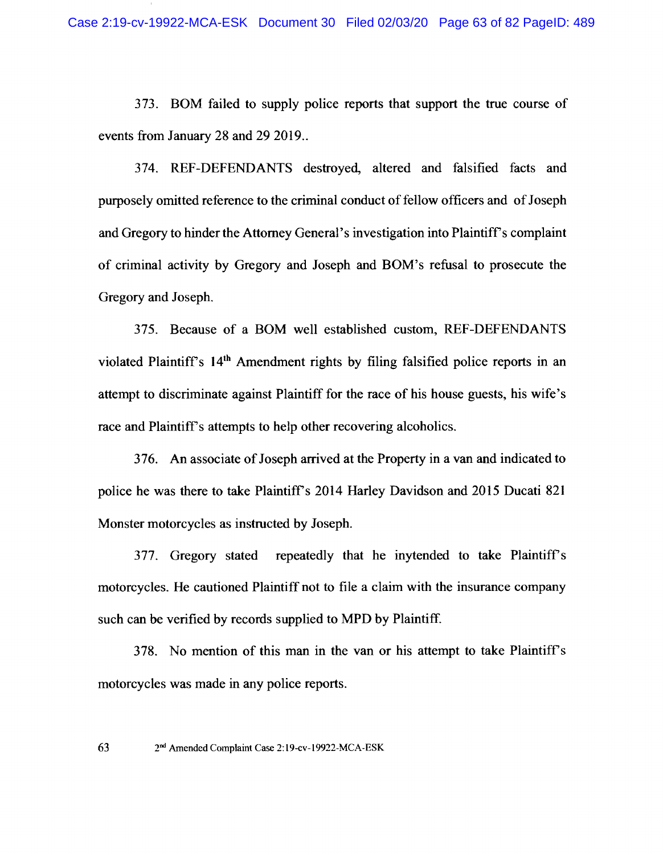373. BOM failed to supply police reports that support the true course of events from January 28 and 29 2019...

374. REF-DEFENDANTS destroyed, altered and falsified facts and purposely omitted reference to the criminal conduct of fellow officers and of Joseph and Gregory to hinder the Attorney General's investigation into Plaintiff's complaint of criminal activity by Gregory and Joseph and BOM's refusal to prosecute the Gregory and Joseph.

375. Because of a BOM well established custom, REF-DEFENDANTS violated Plaintiff's 14<sup>th</sup> Amendment rights by filing falsified police reports in an attempt to discriminate against Plaintiff for the race of his house guests, his wife's race and Plaintiff's attempts to help other recovering alcoholics.

376. An associate of Joseph arrived at the Property in a van and indicated to police he was there to take Plaintiff's 2014 Harley Davidson and 2015 Ducati 821 Monster motorcycles as instructed by Joseph.

repeatedly that he inytended to take Plaintiff's 377. Gregory stated motorcycles. He cautioned Plaintiff not to file a claim with the insurance company such can be verified by records supplied to MPD by Plaintiff.

378. No mention of this man in the van or his attempt to take Plaintiff's motorcycles was made in any police reports.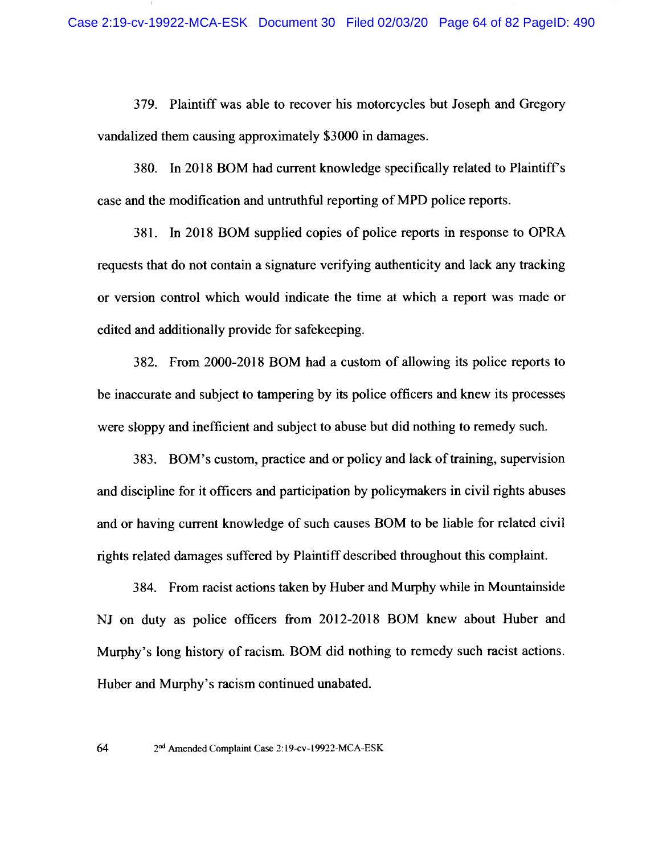379. Plaintiff was able to recover his motorcycles but Joseph and Gregory vandalized them causing approximately \$3000 in damages.

380. In 2018 BOM had current knowledge specifically related to Plaintiff's case and the modification and untruthful reporting of MPD police reports.

381. In 2018 BOM supplied copies of police reports in response to OPRA requests that do not contain a signature verifying authenticity and lack any tracking or version control which would indicate the time at which a report was made or edited and additionally provide for safekeeping.

382. From 2000-2018 BOM had a custom of allowing its police reports to be inaccurate and subject to tampering by its police officers and knew its processes were sloppy and inefficient and subject to abuse but did nothing to remedy such.

383. BOM's custom, practice and or policy and lack of training, supervision and discipline for it officers and participation by policymakers in civil rights abuses and or having current knowledge of such causes BOM to be liable for related civil rights related damages suffered by Plaintiff described throughout this complaint.

384. From racist actions taken by Huber and Murphy while in Mountainside NJ on duty as police officers from 2012-2018 BOM knew about Huber and Murphy's long history of racism. BOM did nothing to remedy such racist actions. Huber and Murphy's racism continued unabated.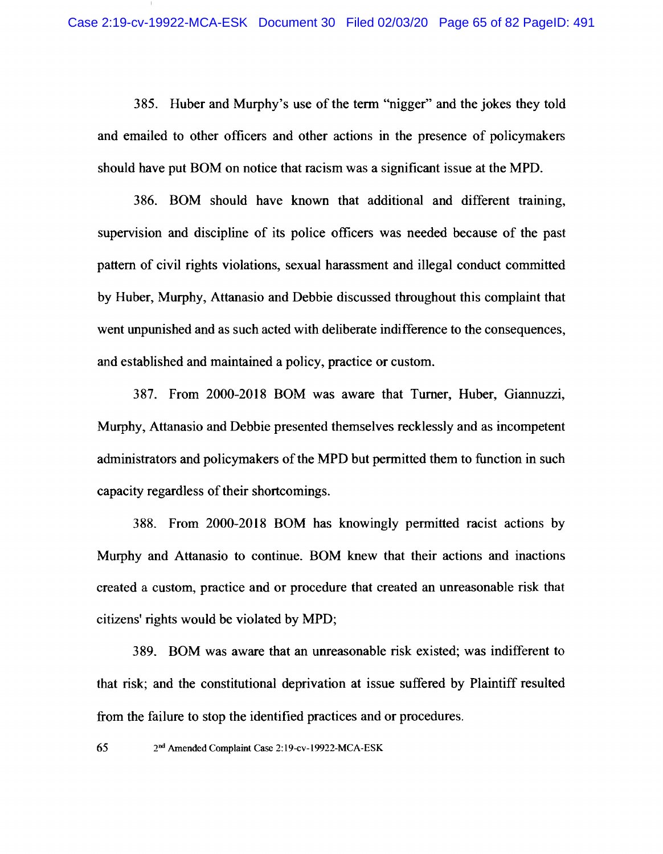385. Huber and Murphy's use of the term "nigger" and the jokes they told and emailed to other officers and other actions in the presence of policymakers should have put BOM on notice that racism was a significant issue at the MPD.

386. BOM should have known that additional and different training, supervision and discipline of its police officers was needed because of the past pattern of civil rights violations, sexual harassment and illegal conduct committed by Huber, Murphy, Attanasio and Debbie discussed throughout this complaint that went unpunished and as such acted with deliberate indifference to the consequences, and established and maintained a policy, practice or custom.

387. From 2000-2018 BOM was aware that Turner, Huber, Giannuzzi, Murphy, Attanasio and Debbie presented themselves recklessly and as incompetent administrators and policymakers of the MPD but permitted them to function in such capacity regardless of their shortcomings.

388. From 2000-2018 BOM has knowingly permitted racist actions by Murphy and Attanasio to continue. BOM knew that their actions and inactions created a custom, practice and or procedure that created an unreasonable risk that citizens' rights would be violated by MPD;

389. BOM was aware that an unreasonable risk existed; was indifferent to that risk; and the constitutional deprivation at issue suffered by Plaintiff resulted from the failure to stop the identified practices and or procedures.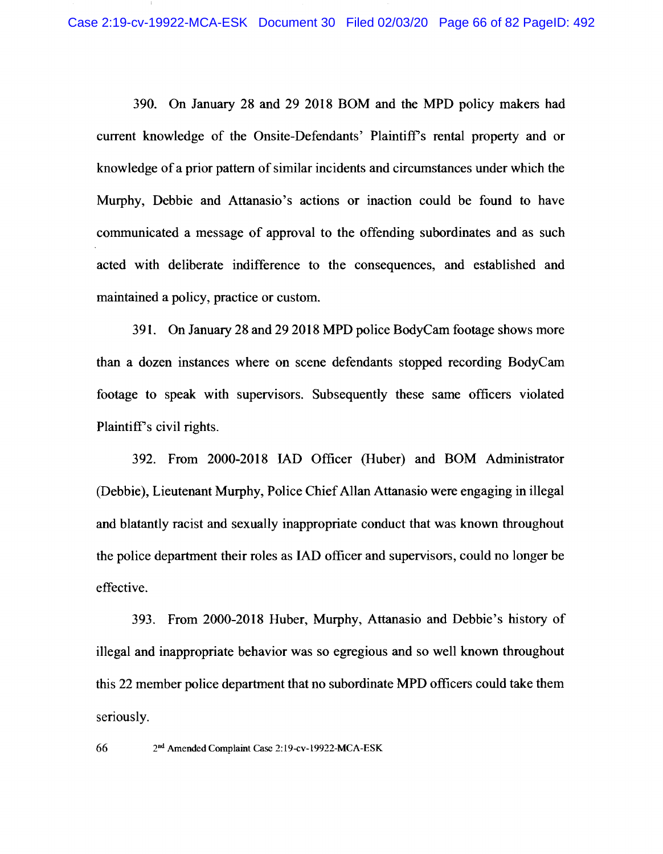390. On January 28 and 29 2018 BOM and the MPD policy makers had current knowledge of the Onsite-Defendants' Plaintiff's rental property and or knowledge of a prior pattern of similar incidents and circumstances under which the Murphy, Debbie and Attanasio's actions or inaction could be found to have communicated a message of approval to the offending subordinates and as such acted with deliberate indifference to the consequences, and established and maintained a policy, practice or custom.

391. On January 28 and 29 2018 MPD police BodyCam footage shows more than a dozen instances where on scene defendants stopped recording BodyCam footage to speak with supervisors. Subsequently these same officers violated Plaintiff's civil rights.

392. From 2000-2018 IAD Officer (Huber) and BOM Administrator (Debbie), Lieutenant Murphy, Police Chief Allan Attanasio were engaging in illegal and blatantly racist and sexually inappropriate conduct that was known throughout the police department their roles as IAD officer and supervisors, could no longer be effective.

393. From 2000-2018 Huber, Murphy, Attanasio and Debbie's history of illegal and inappropriate behavior was so egregious and so well known throughout this 22 member police department that no subordinate MPD officers could take them seriously.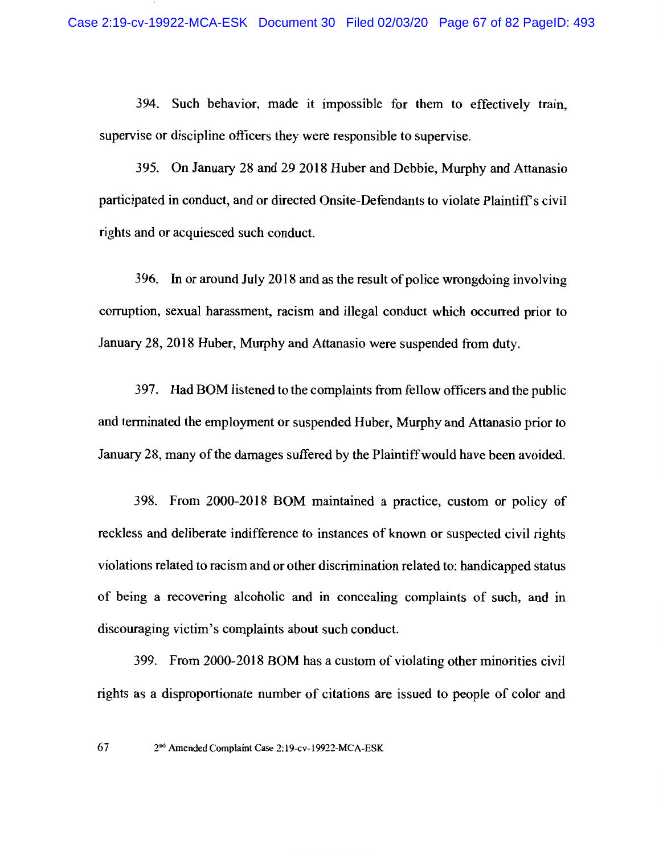394. Such behavior, made it impossible for them to effectively train, supervise or discipline officers they were responsible to supervise.

395. On January 28 and 29 2018 Huber and Debbie, Murphy and Attanasio participated in conduct, and or directed Onsite-Defendants to violate Plaintiff's civil rights and or acquiesced such conduct.

396. In or around July 2018 and as the result of police wrongdoing involving corruption, sexual harassment, racism and illegal conduct which occurred prior to January 28, 2018 Huber, Murphy and Attanasio were suspended from duty.

397. Had BOM listened to the complaints from fellow officers and the public and terminated the employment or suspended Huber, Murphy and Attanasio prior to January 28, many of the damages suffered by the Plaintiff would have been avoided.

398. From 2000-2018 BOM maintained a practice, custom or policy of reckless and deliberate indifference to instances of known or suspected civil rights violations related to racism and or other discrimination related to: handicapped status of being a recovering alcoholic and in concealing complaints of such, and in discouraging victim's complaints about such conduct.

399. From 2000-2018 BOM has a custom of violating other minorities civil rights as a disproportionate number of citations are issued to people of color and

67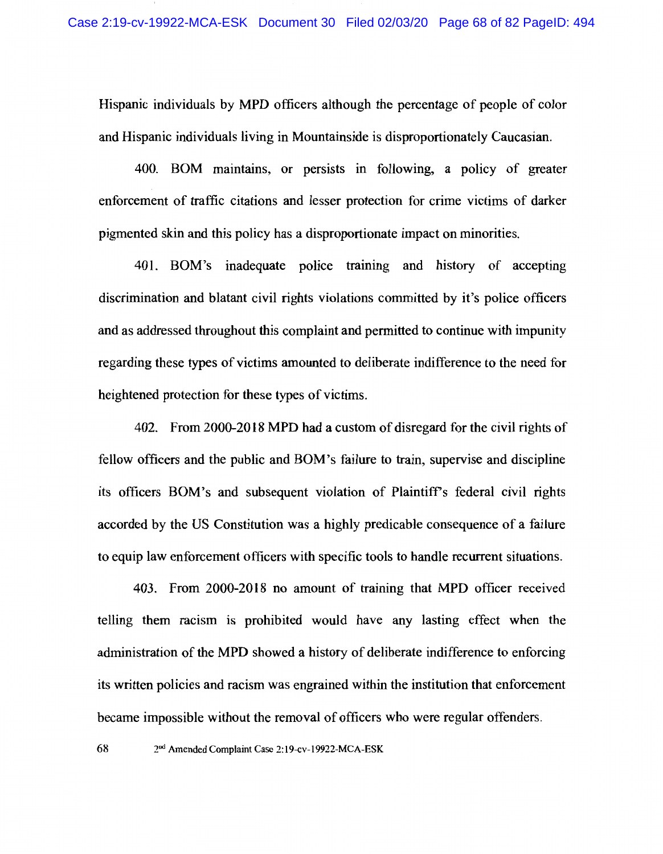Hispanic individuals by MPD officers although the percentage of people of color and Hispanic individuals living in Mountainside is disproportionately Caucasian.

400. BOM maintains, or persists in following, a policy of greater enforcement of traffic citations and lesser protection for crime victims of darker pigmented skin and this policy has a disproportionate impact on minorities.

401. BOM's inadequate police training and history of accepting discrimination and blatant civil rights violations committed by it's police officers and as addressed throughout this complaint and permitted to continue with impunity regarding these types of victims amounted to deliberate indifference to the need for heightened protection for these types of victims.

402. From 2000-2018 MPD had a custom of disregard for the civil rights of fellow officers and the public and BOM's failure to train, supervise and discipline its officers BOM's and subsequent violation of Plaintiff's federal civil rights accorded by the US Constitution was a highly predicable consequence of a failure to equip law enforcement officers with specific tools to handle recurrent situations.

403. From 2000-2018 no amount of training that MPD officer received telling them racism is prohibited would have any lasting effect when the administration of the MPD showed a history of deliberate indifference to enforcing its written policies and racism was engrained within the institution that enforcement became impossible without the removal of officers who were regular offenders.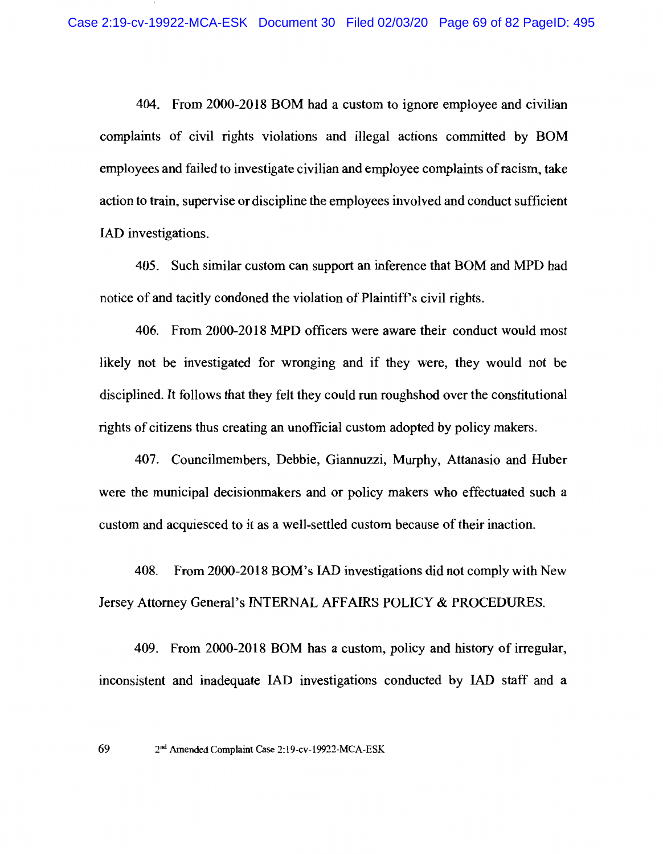404. From 2000-2018 BOM had a custom to ignore employee and civilian complaints of civil rights violations and illegal actions committed by BOM employees and failed to investigate civilian and employee complaints of racism, take action to train, supervise or discipline the employees involved and conduct sufficient IAD investigations.

405. Such similar custom can support an inference that BOM and MPD had notice of and tacitly condoned the violation of Plaintiff's civil rights.

406. From 2000-2018 MPD officers were aware their conduct would most likely not be investigated for wronging and if they were, they would not be disciplined. It follows that they felt they could run roughshod over the constitutional rights of citizens thus creating an unofficial custom adopted by policy makers.

407. Councilmembers, Debbie, Giannuzzi, Murphy, Attanasio and Huber were the municipal decision makers and or policy makers who effectuated such a custom and acquiesced to it as a well-settled custom because of their inaction.

408. From 2000-2018 BOM's IAD investigations did not comply with New Jersey Attorney General's INTERNAL AFFAIRS POLICY & PROCEDURES.

409. From 2000-2018 BOM has a custom, policy and history of irregular, inconsistent and inadequate IAD investigations conducted by IAD staff and a

69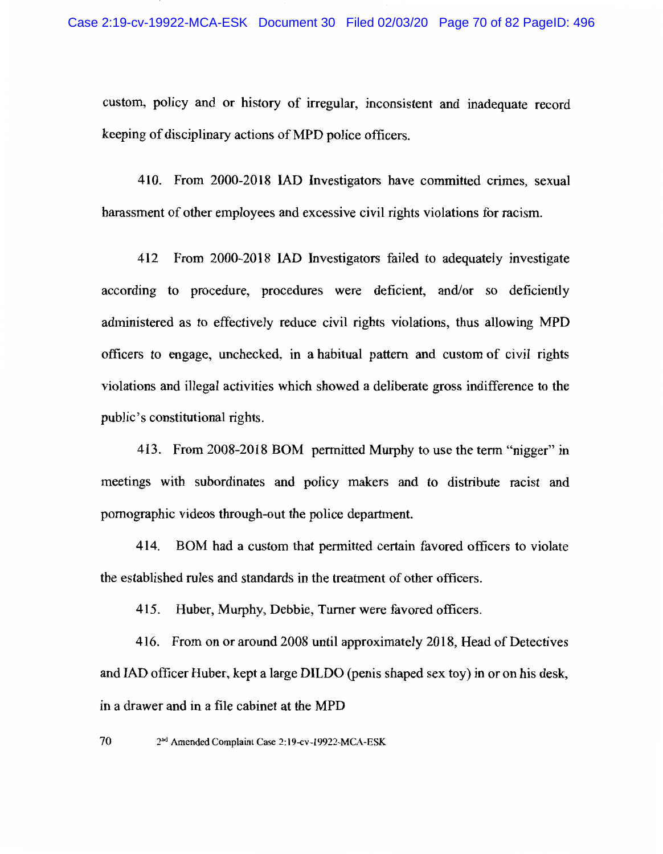custom, policy and or history of irregular, inconsistent and inadequate record keeping of disciplinary actions of MPD police officers.

410. From 2000-2018 IAD Investigators have committed crimes, sexual harassment of other employees and excessive civil rights violations for racism.

412 From 2000-2018 IAD Investigators failed to adequately investigate according to procedure, procedures were deficient, and/or so deficiently administered as to effectively reduce civil rights violations, thus allowing MPD officers to engage, unchecked, in a habitual pattern and custom of civil rights violations and illegal activities which showed a deliberate gross indifference to the public's constitutional rights.

413. From 2008-2018 BOM permitted Murphy to use the term "nigger" in meetings with subordinates and policy makers and to distribute racist and pornographic videos through-out the police department.

414. BOM had a custom that permitted certain favored officers to violate the established rules and standards in the treatment of other officers.

Huber, Murphy, Debbie, Turner were favored officers. 415.

416. From on or around 2008 until approximately 2018, Head of Detectives and IAD officer Huber, kept a large DILDO (penis shaped sex toy) in or on his desk, in a drawer and in a file cabinet at the MPD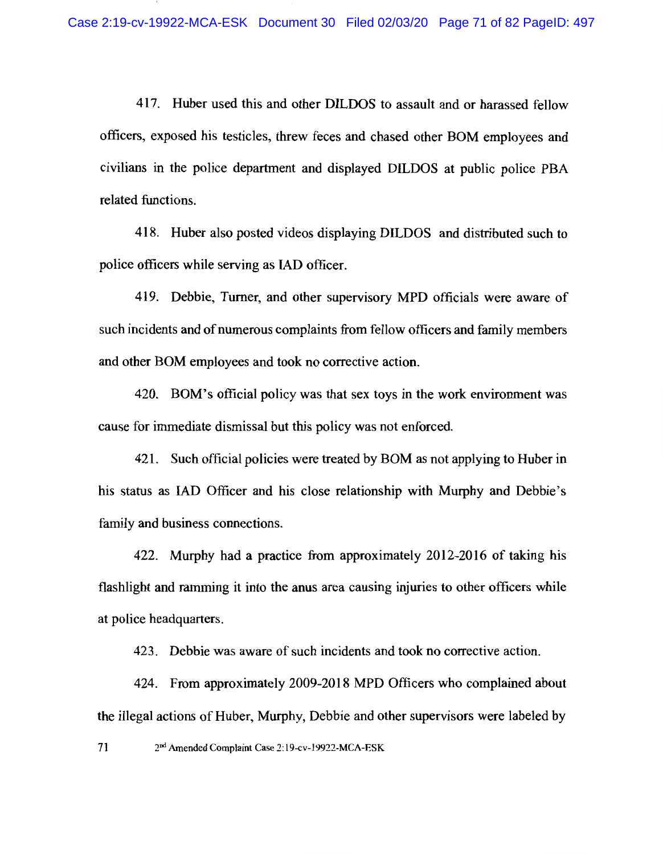417. Huber used this and other DILDOS to assault and or harassed fellow officers, exposed his testicles, threw feces and chased other BOM employees and civilians in the police department and displayed DILDOS at public police PBA related functions.

418. Huber also posted videos displaying DILDOS and distributed such to police officers while serving as IAD officer.

419. Debbie, Turner, and other supervisory MPD officials were aware of such incidents and of numerous complaints from fellow officers and family members and other BOM employees and took no corrective action.

420. BOM's official policy was that sex toys in the work environment was cause for immediate dismissal but this policy was not enforced.

421. Such official policies were treated by BOM as not applying to Huber in his status as IAD Officer and his close relationship with Murphy and Debbie's family and business connections.

422. Murphy had a practice from approximately 2012-2016 of taking his flashlight and ramming it into the anus area causing injuries to other officers while at police headquarters.

423. Debbie was aware of such incidents and took no corrective action.

424. From approximately 2009-2018 MPD Officers who complained about the illegal actions of Huber, Murphy, Debbie and other supervisors were labeled by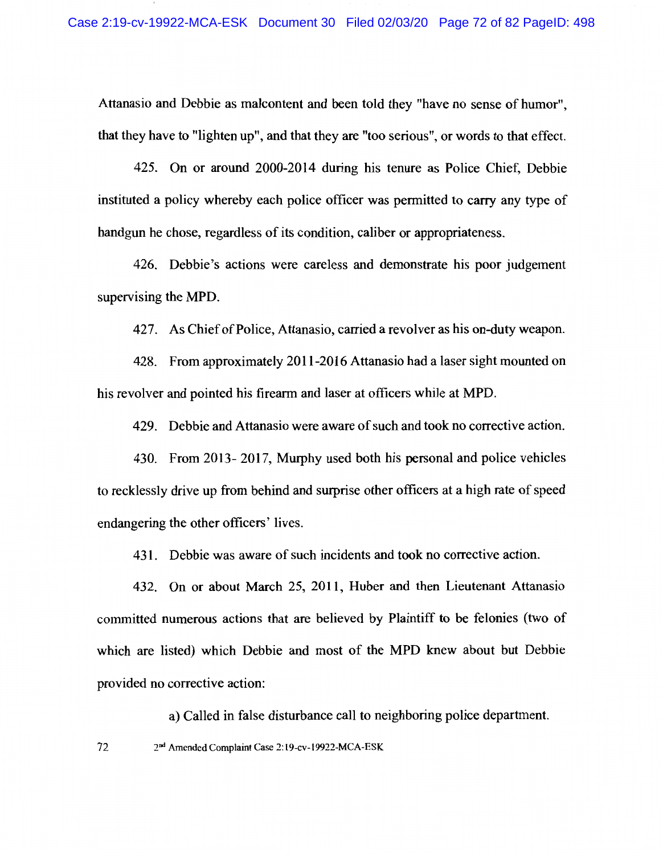Attanasio and Debbie as malcontent and been told they "have no sense of humor". that they have to "lighten up", and that they are "too serious", or words to that effect.

425. On or around 2000-2014 during his tenure as Police Chief, Debbie instituted a policy whereby each police officer was permitted to carry any type of handgun he chose, regardless of its condition, caliber or appropriateness.

426. Debbie's actions were careless and demonstrate his poor judgement supervising the MPD.

427. As Chief of Police, Attanasio, carried a revolver as his on-duty weapon.

428. From approximately 2011-2016 Attanasio had a laser sight mounted on his revolver and pointed his firearm and laser at officers while at MPD.

429. Debbie and Attanasio were aware of such and took no corrective action.

430. From 2013-2017, Murphy used both his personal and police vehicles to recklessly drive up from behind and surprise other officers at a high rate of speed endangering the other officers' lives.

431. Debbie was aware of such incidents and took no corrective action.

432. On or about March 25, 2011, Huber and then Lieutenant Attanasio committed numerous actions that are believed by Plaintiff to be felonies (two of which are listed) which Debbie and most of the MPD knew about but Debbie provided no corrective action:

a) Called in false disturbance call to neighboring police department.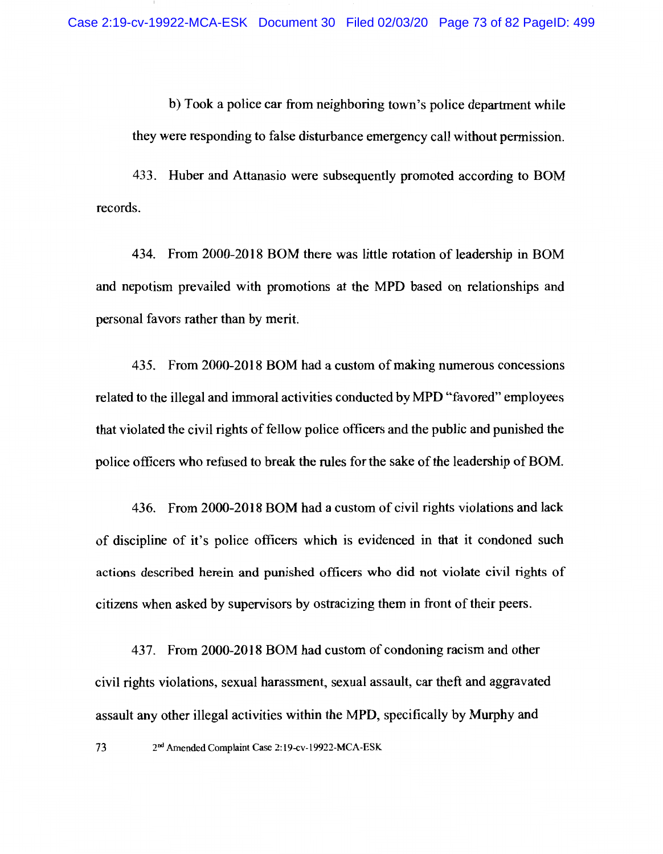b) Took a police car from neighboring town's police department while they were responding to false disturbance emergency call without permission.

433. Huber and Attanasio were subsequently promoted according to BOM records.

434. From 2000-2018 BOM there was little rotation of leadership in BOM and nepotism prevailed with promotions at the MPD based on relationships and personal favors rather than by merit.

435. From 2000-2018 BOM had a custom of making numerous concessions related to the illegal and immoral activities conducted by MPD "favored" employees that violated the civil rights of fellow police officers and the public and punished the police officers who refused to break the rules for the sake of the leadership of BOM.

436. From 2000-2018 BOM had a custom of civil rights violations and lack of discipline of it's police officers which is evidenced in that it condoned such actions described herein and punished officers who did not violate civil rights of citizens when asked by supervisors by ostracizing them in front of their peers.

437. From 2000-2018 BOM had custom of condoning racism and other civil rights violations, sexual harassment, sexual assault, car theft and aggravated assault any other illegal activities within the MPD, specifically by Murphy and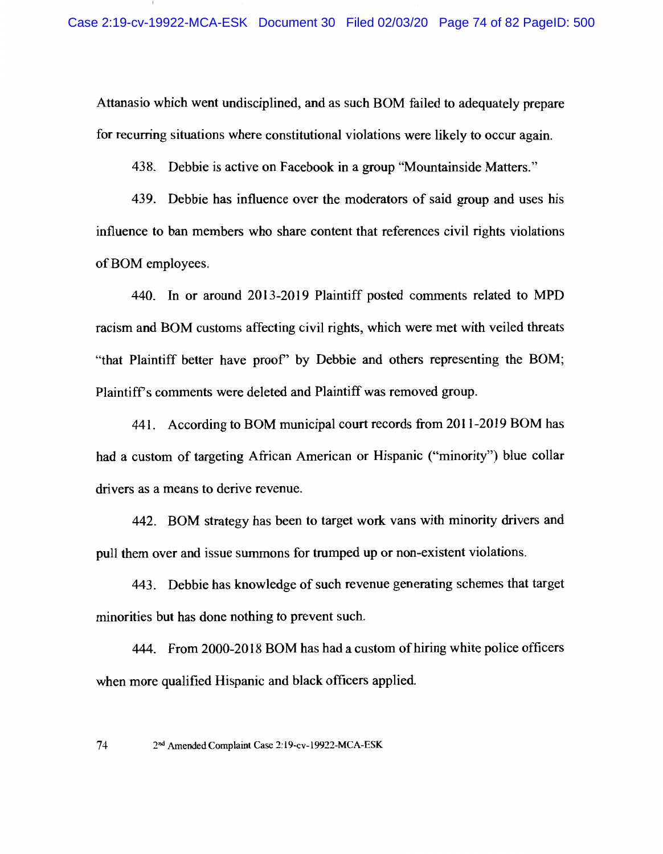Attanasio which went undisciplined, and as such BOM failed to adequately prepare for recurring situations where constitutional violations were likely to occur again.

438. Debbie is active on Facebook in a group "Mountainside Matters."

439. Debbie has influence over the moderators of said group and uses his influence to ban members who share content that references civil rights violations of BOM employees.

440. In or around 2013-2019 Plaintiff posted comments related to MPD racism and BOM customs affecting civil rights, which were met with veiled threats "that Plaintiff better have proof" by Debbie and others representing the BOM; Plaintiff's comments were deleted and Plaintiff was removed group.

441. According to BOM municipal court records from 2011-2019 BOM has had a custom of targeting African American or Hispanic ("minority") blue collar drivers as a means to derive revenue.

442. BOM strategy has been to target work vans with minority drivers and pull them over and issue summons for trumped up or non-existent violations.

443. Debbie has knowledge of such revenue generating schemes that target minorities but has done nothing to prevent such.

444. From 2000-2018 BOM has had a custom of hiring white police officers when more qualified Hispanic and black officers applied.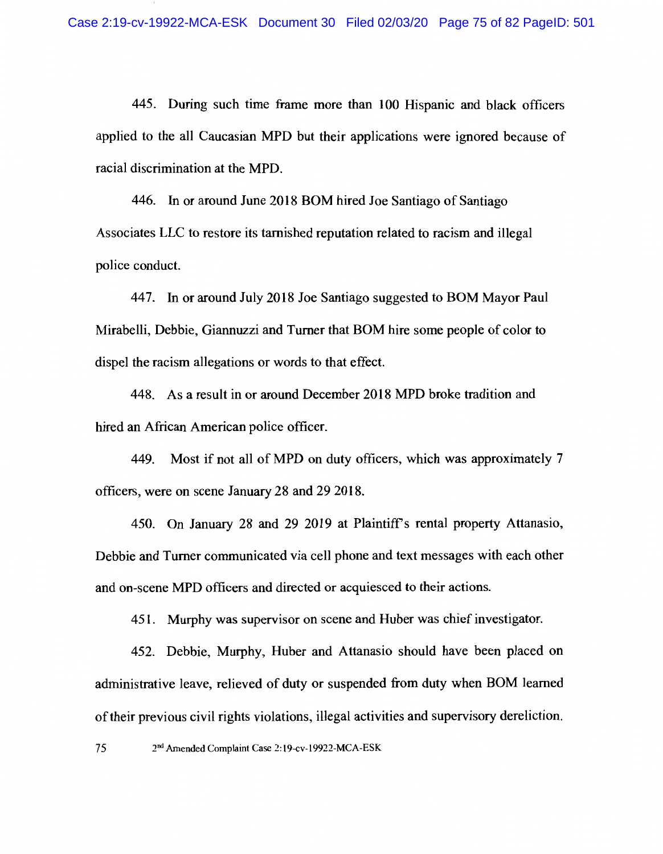445. During such time frame more than 100 Hispanic and black officers applied to the all Caucasian MPD but their applications were ignored because of racial discrimination at the MPD.

446. In or around June 2018 BOM hired Joe Santiago of Santiago Associates LLC to restore its tarnished reputation related to racism and illegal police conduct.

447. In or around July 2018 Joe Santiago suggested to BOM Mayor Paul Mirabelli, Debbie, Giannuzzi and Turner that BOM hire some people of color to dispel the racism allegations or words to that effect.

448. As a result in or around December 2018 MPD broke tradition and hired an African American police officer.

Most if not all of MPD on duty officers, which was approximately 7 449. officers, were on scene January 28 and 29 2018.

450. On January 28 and 29 2019 at Plaintiff's rental property Attanasio, Debbie and Turner communicated via cell phone and text messages with each other and on-scene MPD officers and directed or acquiesced to their actions.

451. Murphy was supervisor on scene and Huber was chief investigator.

452. Debbie, Murphy, Huber and Attanasio should have been placed on administrative leave, relieved of duty or suspended from duty when BOM learned of their previous civil rights violations, illegal activities and supervisory dereliction.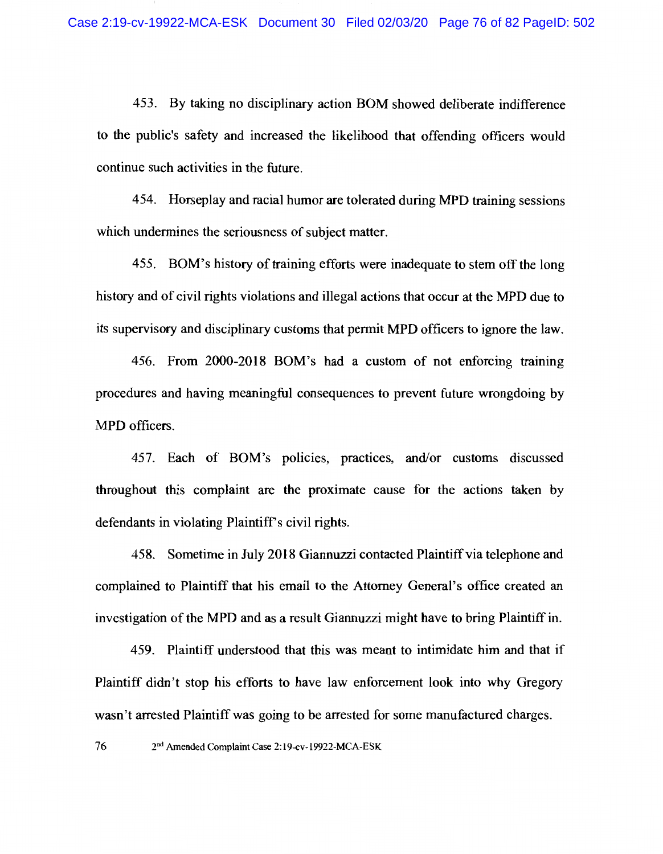453. By taking no disciplinary action BOM showed deliberate indifference to the public's safety and increased the likelihood that offending officers would continue such activities in the future.

454. Horseplay and racial humor are tolerated during MPD training sessions which undermines the seriousness of subject matter.

455. BOM's history of training efforts were inadequate to stem off the long history and of civil rights violations and illegal actions that occur at the MPD due to its supervisory and disciplinary customs that permit MPD officers to ignore the law.

456. From 2000-2018 BOM's had a custom of not enforcing training procedures and having meaningful consequences to prevent future wrongdoing by MPD officers.

457. Each of BOM's policies, practices, and/or customs discussed throughout this complaint are the proximate cause for the actions taken by defendants in violating Plaintiff's civil rights.

458. Sometime in July 2018 Giannuzzi contacted Plaintiff via telephone and complained to Plaintiff that his email to the Attorney General's office created an investigation of the MPD and as a result Giannuzzi might have to bring Plaintiff in.

459. Plaintiff understood that this was meant to intimidate him and that if Plaintiff didn't stop his efforts to have law enforcement look into why Gregory wasn't arrested Plaintiff was going to be arrested for some manufactured charges.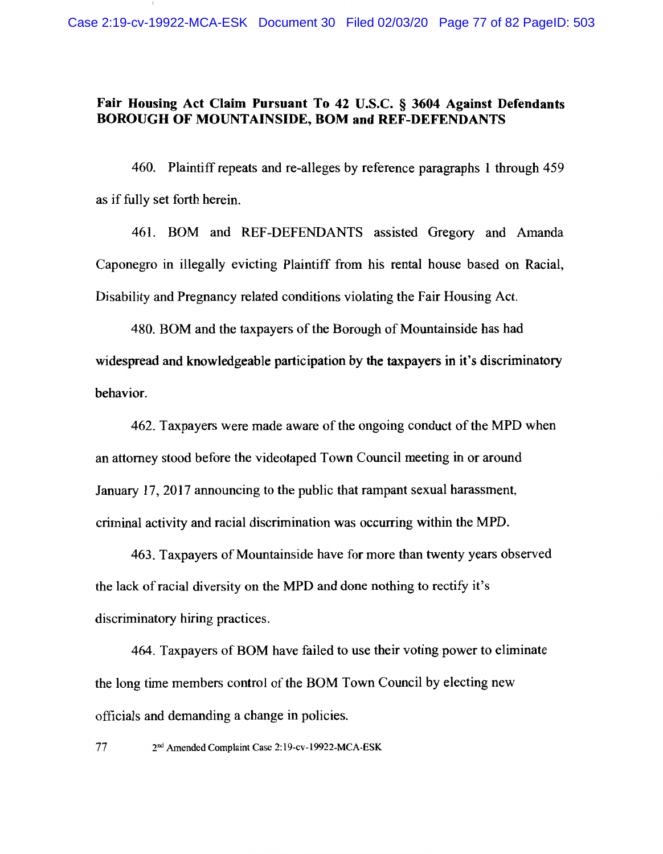## Fair Housing Act Claim Pursuant To 42 U.S.C. § 3604 Against Defendants **BOROUGH OF MOUNTAINSIDE, BOM and REF-DEFENDANTS**

460. Plaintiff repeats and re-alleges by reference paragraphs 1 through 459 as if fully set forth herein.

461. BOM and REF-DEFENDANTS assisted Gregory and Amanda Caponegro in illegally evicting Plaintiff from his rental house based on Racial, Disability and Pregnancy related conditions violating the Fair Housing Act.

480. BOM and the taxpayers of the Borough of Mountainside has had widespread and knowledgeable participation by the taxpayers in it's discriminatory behavior.

462. Taxpayers were made aware of the ongoing conduct of the MPD when an attorney stood before the videotaped Town Council meeting in or around January 17, 2017 announcing to the public that rampant sexual harassment, criminal activity and racial discrimination was occurring within the MPD.

463. Taxpayers of Mountainside have for more than twenty years observed the lack of racial diversity on the MPD and done nothing to rectify it's discriminatory hiring practices.

464. Taxpayers of BOM have failed to use their voting power to eliminate the long time members control of the BOM Town Council by electing new officials and demanding a change in policies.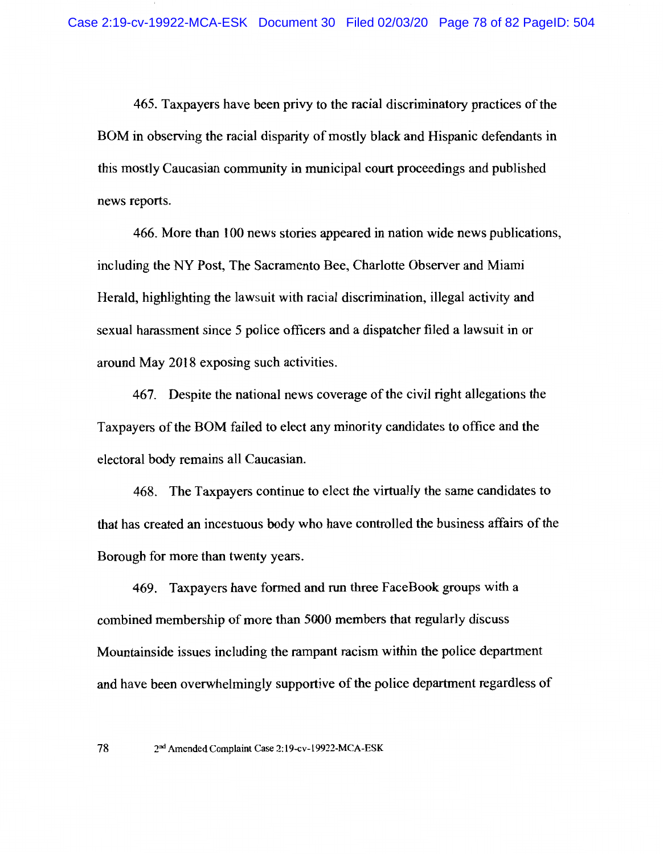465. Taxpayers have been privy to the racial discriminatory practices of the BOM in observing the racial disparity of mostly black and Hispanic defendants in this mostly Caucasian community in municipal court proceedings and published news reports.

466. More than 100 news stories appeared in nation wide news publications, including the NY Post, The Sacramento Bee, Charlotte Observer and Miami Herald, highlighting the lawsuit with racial discrimination, illegal activity and sexual harassment since 5 police officers and a dispatcher filed a lawsuit in or around May 2018 exposing such activities.

467. Despite the national news coverage of the civil right allegations the Taxpayers of the BOM failed to elect any minority candidates to office and the electoral body remains all Caucasian.

468. The Taxpayers continue to elect the virtually the same candidates to that has created an incestuous body who have controlled the business affairs of the Borough for more than twenty years.

469. Taxpayers have formed and run three FaceBook groups with a combined membership of more than 5000 members that regularly discuss Mountainside issues including the rampant racism within the police department and have been overwhelmingly supportive of the police department regardless of

<sup>78</sup> 2<sup>nd</sup> Amended Complaint Case 2:19-cv-19922-MCA-ESK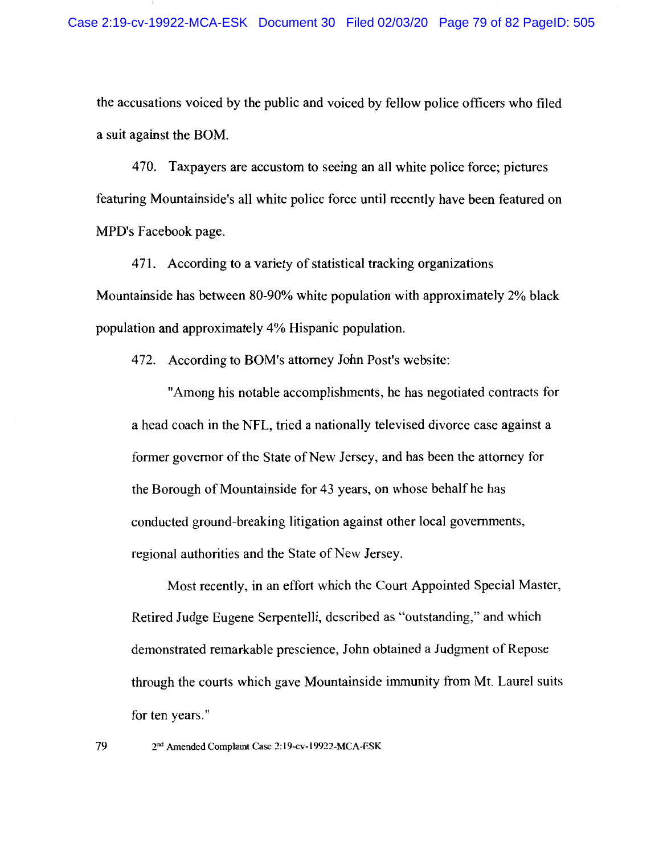the accusations voiced by the public and voiced by fellow police officers who filed a suit against the BOM.

470. Taxpayers are accustom to seeing an all white police force; pictures featuring Mountainside's all white police force until recently have been featured on MPD's Facebook page.

471. According to a variety of statistical tracking organizations Mountainside has between 80-90% white population with approximately 2% black population and approximately 4% Hispanic population.

472. According to BOM's attorney John Post's website:

"Among his notable accomplishments, he has negotiated contracts for a head coach in the NFL, tried a nationally televised divorce case against a former governor of the State of New Jersey, and has been the attorney for the Borough of Mountainside for 43 years, on whose behalf he has conducted ground-breaking litigation against other local governments, regional authorities and the State of New Jersey.

Most recently, in an effort which the Court Appointed Special Master, Retired Judge Eugene Serpentelli, described as "outstanding," and which demonstrated remarkable prescience, John obtained a Judgment of Repose through the courts which gave Mountainside immunity from Mt. Laurel suits for ten years."

2<sup>nd</sup> Amended Complaint Case 2:19-cv-19922-MCA-ESK

79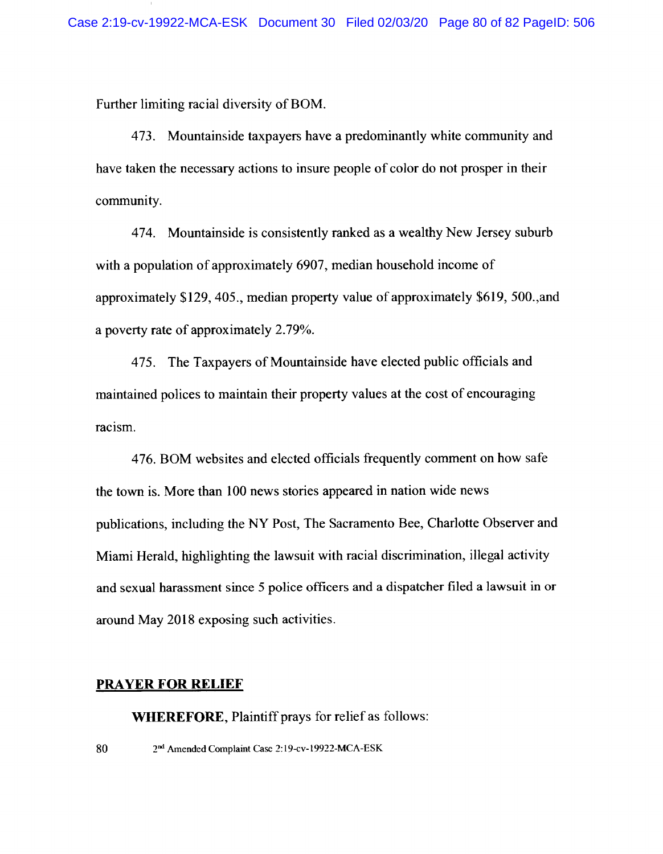Further limiting racial diversity of BOM.

473. Mountainside taxpayers have a predominantly white community and have taken the necessary actions to insure people of color do not prosper in their community.

474. Mountainside is consistently ranked as a wealthy New Jersey suburb with a population of approximately 6907, median household income of approximately \$129, 405., median property value of approximately \$619, 500., and a poverty rate of approximately 2.79%.

475. The Taxpayers of Mountainside have elected public officials and maintained polices to maintain their property values at the cost of encouraging racism.

476. BOM websites and elected officials frequently comment on how safe the town is. More than 100 news stories appeared in nation wide news publications, including the NY Post, The Sacramento Bee, Charlotte Observer and Miami Herald, highlighting the lawsuit with racial discrimination, illegal activity and sexual harassment since 5 police officers and a dispatcher filed a lawsuit in or around May 2018 exposing such activities.

## **PRAYER FOR RELIEF**

**WHEREFORE, Plaintiff prays for relief as follows:**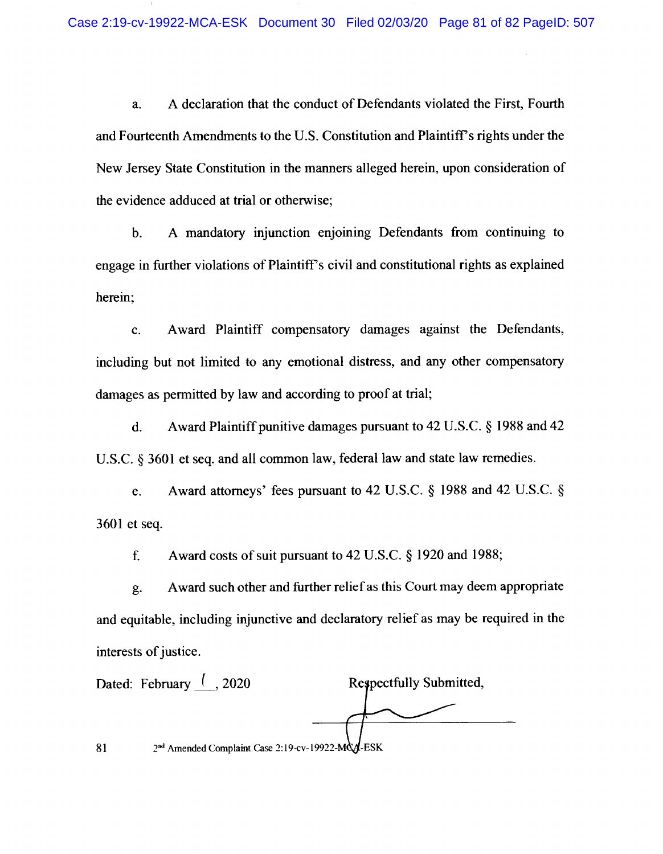A declaration that the conduct of Defendants violated the First, Fourth a. and Fourteenth Amendments to the U.S. Constitution and Plaintiff's rights under the New Jersey State Constitution in the manners alleged herein, upon consideration of the evidence adduced at trial or otherwise;

A mandatory injunction enjoining Defendants from continuing to  $\mathbf{b}$ . engage in further violations of Plaintiff's civil and constitutional rights as explained herein;

Award Plaintiff compensatory damages against the Defendants, c. including but not limited to any emotional distress, and any other compensatory damages as permitted by law and according to proof at trial;

Award Plaintiff punitive damages pursuant to 42 U.S.C. § 1988 and 42  $\mathbf{d}$ . U.S.C. § 3601 et seq. and all common law, federal law and state law remedies.

Award attorneys' fees pursuant to 42 U.S.C. § 1988 and 42 U.S.C. § e. 3601 et seq.

f. Award costs of suit pursuant to 42 U.S.C. § 1920 and 1988;

Award such other and further relief as this Court may deem appropriate g. and equitable, including injunctive and declaratory relief as may be required in the interests of justice.

Dated: February  $($ , 2020 Respectfully Submitted, 2nd Amended Complaint Case 2:19-cv-19922-MQA-ESK 81